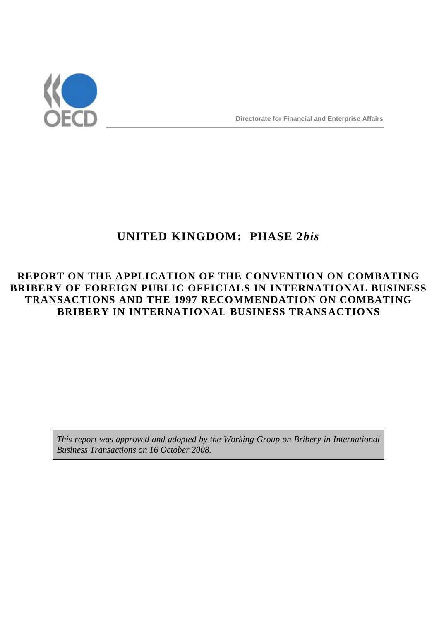

# **UNITED KINGDOM: PHASE 2***bis*

## **REPORT ON THE APPLICATION OF THE CONVENTION ON COMBATING BRIBERY OF FOREIGN PUBLIC OFFICIALS IN INTERNATIONAL BUSINESS TRANSACTIONS AND THE 1997 RECOMMENDATION ON COMBATING BRIBERY IN INTERNATIONAL BUSINESS TRANSACTIONS**

*This report was approved and adopted by the Working Group on Bribery in International Business Transactions on 16 October 2008.*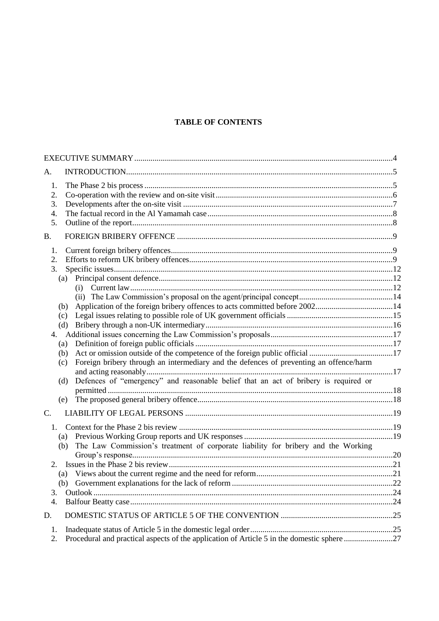## **TABLE OF CONTENTS**

| A.                                                                     |                                                                                                                                                                                             |     |
|------------------------------------------------------------------------|---------------------------------------------------------------------------------------------------------------------------------------------------------------------------------------------|-----|
| 1.<br>2.<br>3.<br>4.<br>5.                                             |                                                                                                                                                                                             |     |
| <b>B.</b>                                                              |                                                                                                                                                                                             |     |
| 1.<br>2.<br>3.<br>(a)<br>(b)<br>(c)<br>(a)<br>(b)<br>(c)<br>(d)<br>(e) | (i)<br>(d)<br>Foreign bribery through an intermediary and the defences of preventing an offence/harm<br>Defences of "emergency" and reasonable belief that an act of bribery is required or |     |
| C.                                                                     |                                                                                                                                                                                             |     |
| 1.<br>(a)<br>(b)                                                       | The Law Commission's treatment of corporate liability for bribery and the Working                                                                                                           |     |
| (a)<br>3.<br>4.                                                        | (b) Government explanations for the lack of reform                                                                                                                                          | .22 |
| D.                                                                     |                                                                                                                                                                                             |     |
| 1.<br>2.                                                               | Procedural and practical aspects of the application of Article 5 in the domestic sphere 27                                                                                                  |     |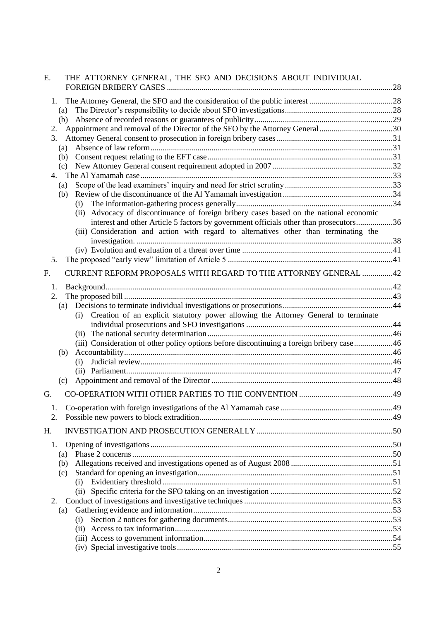| Ε. | THE ATTORNEY GENERAL, THE SFO AND DECISIONS ABOUT INDIVIDUAL                               |  |
|----|--------------------------------------------------------------------------------------------|--|
| 1. |                                                                                            |  |
|    | (a)                                                                                        |  |
|    | (b)                                                                                        |  |
| 2. | Appointment and removal of the Director of the SFO by the Attorney General 30              |  |
| 3. |                                                                                            |  |
|    | (a)                                                                                        |  |
|    | (b)                                                                                        |  |
|    | (c)                                                                                        |  |
| 4. | (a)                                                                                        |  |
|    | (b)                                                                                        |  |
|    | (i)                                                                                        |  |
|    | Advocacy of discontinuance of foreign bribery cases based on the national economic<br>(ii) |  |
|    | interest and other Article 5 factors by government officials other than prosecutors36      |  |
|    | (iii) Consideration and action with regard to alternatives other than terminating the      |  |
|    |                                                                                            |  |
| 5. |                                                                                            |  |
| F. | <b>CURRENT REFORM PROPOSALS WITH REGARD TO THE ATTORNEY GENERAL 42</b>                     |  |
| 1. |                                                                                            |  |
| 2. |                                                                                            |  |
|    | (a)                                                                                        |  |
|    | Creation of an explicit statutory power allowing the Attorney General to terminate<br>(i)  |  |
|    |                                                                                            |  |
|    |                                                                                            |  |
|    | (iii) Consideration of other policy options before discontinuing a foreign bribery case46  |  |
|    | (b)                                                                                        |  |
|    | (i)                                                                                        |  |
|    | (c)                                                                                        |  |
|    |                                                                                            |  |
| G. |                                                                                            |  |
| Ī. |                                                                                            |  |
| 2. |                                                                                            |  |
| H. |                                                                                            |  |
| 1. |                                                                                            |  |
|    | (a)                                                                                        |  |
|    | (b)                                                                                        |  |
|    | (c)                                                                                        |  |
|    | (i)                                                                                        |  |
|    |                                                                                            |  |
| 2. |                                                                                            |  |
|    | (a)                                                                                        |  |
|    | (i)                                                                                        |  |
|    |                                                                                            |  |
|    |                                                                                            |  |
|    |                                                                                            |  |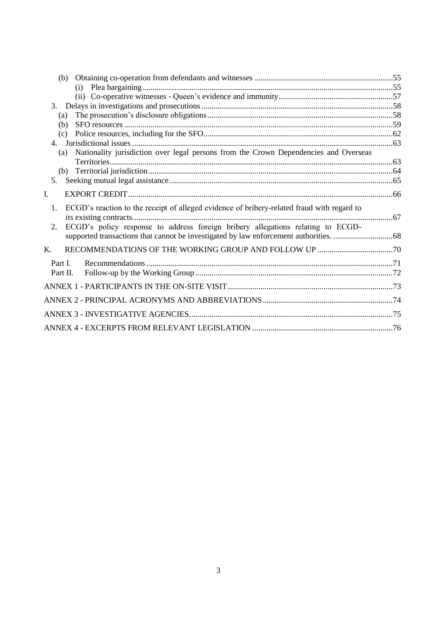|         | (b)                                                                                         |  |
|---------|---------------------------------------------------------------------------------------------|--|
|         |                                                                                             |  |
|         |                                                                                             |  |
| 3.      |                                                                                             |  |
|         | (a)                                                                                         |  |
|         | (b)                                                                                         |  |
|         | (c)                                                                                         |  |
|         |                                                                                             |  |
|         | Nationality jurisdiction over legal persons from the Crown Dependencies and Overseas<br>(a) |  |
|         |                                                                                             |  |
|         |                                                                                             |  |
| 5.      |                                                                                             |  |
| I.      |                                                                                             |  |
| 1.      | ECGD's reaction to the receipt of alleged evidence of bribery-related fraud with regard to  |  |
| 2.      | ECGD's policy response to address foreign bribery allegations relating to ECGD-             |  |
| K.      |                                                                                             |  |
| Part I. |                                                                                             |  |
|         | Part II.                                                                                    |  |
|         |                                                                                             |  |
|         |                                                                                             |  |
|         |                                                                                             |  |
|         |                                                                                             |  |
|         |                                                                                             |  |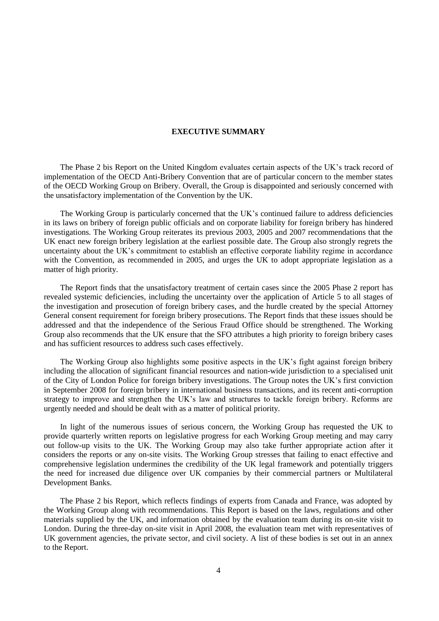#### **EXECUTIVE SUMMARY**

The Phase 2 bis Report on the United Kingdom evaluates certain aspects of the UK's track record of implementation of the OECD Anti-Bribery Convention that are of particular concern to the member states of the OECD Working Group on Bribery. Overall, the Group is disappointed and seriously concerned with the unsatisfactory implementation of the Convention by the UK.

The Working Group is particularly concerned that the UK's continued failure to address deficiencies in its laws on bribery of foreign public officials and on corporate liability for foreign bribery has hindered investigations. The Working Group reiterates its previous 2003, 2005 and 2007 recommendations that the UK enact new foreign bribery legislation at the earliest possible date. The Group also strongly regrets the uncertainty about the UK's commitment to establish an effective corporate liability regime in accordance with the Convention, as recommended in 2005, and urges the UK to adopt appropriate legislation as a matter of high priority.

The Report finds that the unsatisfactory treatment of certain cases since the 2005 Phase 2 report has revealed systemic deficiencies, including the uncertainty over the application of Article 5 to all stages of the investigation and prosecution of foreign bribery cases, and the hurdle created by the special Attorney General consent requirement for foreign bribery prosecutions. The Report finds that these issues should be addressed and that the independence of the Serious Fraud Office should be strengthened. The Working Group also recommends that the UK ensure that the SFO attributes a high priority to foreign bribery cases and has sufficient resources to address such cases effectively.

The Working Group also highlights some positive aspects in the UK's fight against foreign bribery including the allocation of significant financial resources and nation-wide jurisdiction to a specialised unit of the City of London Police for foreign bribery investigations. The Group notes the UK's first conviction in September 2008 for foreign bribery in international business transactions, and its recent anti-corruption strategy to improve and strengthen the UK's law and structures to tackle foreign bribery. Reforms are urgently needed and should be dealt with as a matter of political priority.

In light of the numerous issues of serious concern, the Working Group has requested the UK to provide quarterly written reports on legislative progress for each Working Group meeting and may carry out follow-up visits to the UK. The Working Group may also take further appropriate action after it considers the reports or any on-site visits. The Working Group stresses that failing to enact effective and comprehensive legislation undermines the credibility of the UK legal framework and potentially triggers the need for increased due diligence over UK companies by their commercial partners or Multilateral Development Banks.

The Phase 2 bis Report, which reflects findings of experts from Canada and France, was adopted by the Working Group along with recommendations. This Report is based on the laws, regulations and other materials supplied by the UK, and information obtained by the evaluation team during its on-site visit to London. During the three-day on-site visit in April 2008, the evaluation team met with representatives of UK government agencies, the private sector, and civil society. A list of these bodies is set out in an annex to the Report.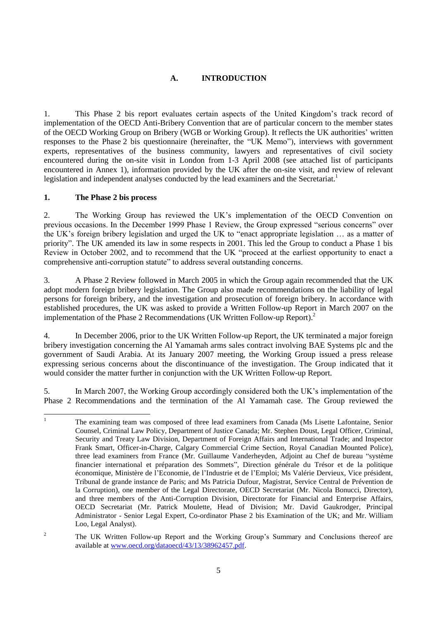## **A. INTRODUCTION**

1. This Phase 2 bis report evaluates certain aspects of the United Kingdom's track record of implementation of the OECD Anti-Bribery Convention that are of particular concern to the member states of the OECD Working Group on Bribery (WGB or Working Group). It reflects the UK authorities' written responses to the Phase 2 bis questionnaire (hereinafter, the "UK Memo"), interviews with government experts, representatives of the business community, lawyers and representatives of civil society encountered during the on-site visit in London from 1-3 April 2008 (see attached list of participants encountered in Annex 1), information provided by the UK after the on-site visit, and review of relevant legislation and independent analyses conducted by the lead examiners and the Secretariat.<sup>1</sup>

#### **1. The Phase 2 bis process**

2. The Working Group has reviewed the UK's implementation of the OECD Convention on previous occasions. In the December 1999 Phase 1 Review, the Group expressed "serious concerns" over the UK's foreign bribery legislation and urged the UK to "enact appropriate legislation ... as a matter of priority". The UK amended its law in some respects in 2001. This led the Group to conduct a Phase 1 bis Review in October 2002, and to recommend that the UK "proceed at the earliest opportunity to enact a comprehensive anti-corruption statute" to address several outstanding concerns.

3. A Phase 2 Review followed in March 2005 in which the Group again recommended that the UK adopt modern foreign bribery legislation. The Group also made recommendations on the liability of legal persons for foreign bribery, and the investigation and prosecution of foreign bribery. In accordance with established procedures, the UK was asked to provide a Written Follow-up Report in March 2007 on the implementation of the Phase 2 Recommendations (UK Written Follow-up Report). 2

4. In December 2006, prior to the UK Written Follow-up Report, the UK terminated a major foreign bribery investigation concerning the Al Yamamah arms sales contract involving BAE Systems plc and the government of Saudi Arabia. At its January 2007 meeting, the Working Group issued a press release expressing serious concerns about the discontinuance of the investigation. The Group indicated that it would consider the matter further in conjunction with the UK Written Follow-up Report.

5. In March 2007, the Working Group accordingly considered both the UK's implementation of the Phase 2 Recommendations and the termination of the Al Yamamah case. The Group reviewed the

 $\mathbf{1}$ <sup>1</sup> The examining team was composed of three lead examiners from Canada (Ms Lisette Lafontaine, Senior Counsel, Criminal Law Policy, Department of Justice Canada; Mr. Stephen Doust, Legal Officer, Criminal, Security and Treaty Law Division, Department of Foreign Affairs and International Trade; and Inspector Frank Smart, Officer-in-Charge, Calgary Commercial Crime Section, Royal Canadian Mounted Police), three lead examiners from France (Mr. Guillaume Vanderheyden, Adjoint au Chef de bureau "système" financier international et préparation des Sommets", Direction générale du Trésor et de la politique économique, Ministère de l'Economie, de l'Industrie et de l'Emploi; Ms Valérie Dervieux, Vice président, Tribunal de grande instance de Paris; and Ms Patricia Dufour, Magistrat, Service Central de Prévention de la Corruption), one member of the Legal Directorate, OECD Secretariat (Mr. Nicola Bonucci, Director), and three members of the Anti-Corruption Division, Directorate for Financial and Enterprise Affairs, OECD Secretariat (Mr. Patrick Moulette, Head of Division; Mr. David Gaukrodger, Principal Administrator - Senior Legal Expert, Co-ordinator Phase 2 bis Examination of the UK; and Mr. William Loo, Legal Analyst).

<sup>&</sup>lt;sup>2</sup> The UK Written Follow-up Report and the Working Group's Summary and Conclusions thereof are available at [www.oecd.org/dataoecd/43/13/38962457.pdf.](http://www.oecd.org/dataoecd/43/13/38962457.pdf)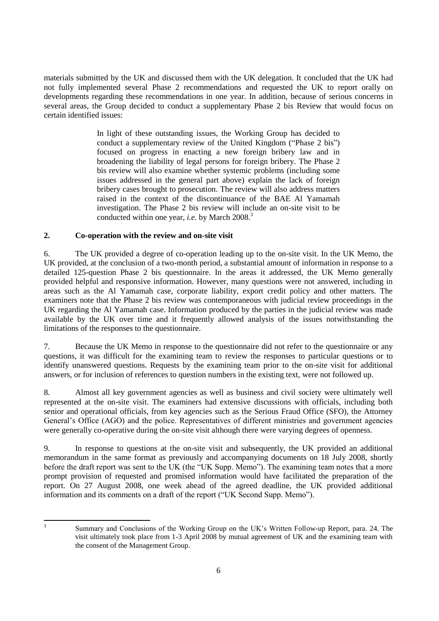materials submitted by the UK and discussed them with the UK delegation. It concluded that the UK had not fully implemented several Phase 2 recommendations and requested the UK to report orally on developments regarding these recommendations in one year. In addition, because of serious concerns in several areas, the Group decided to conduct a supplementary Phase 2 bis Review that would focus on certain identified issues:

> In light of these outstanding issues, the Working Group has decided to conduct a supplementary review of the United Kingdom ("Phase 2 bis") focused on progress in enacting a new foreign bribery law and in broadening the liability of legal persons for foreign bribery. The Phase 2 bis review will also examine whether systemic problems (including some issues addressed in the general part above) explain the lack of foreign bribery cases brought to prosecution. The review will also address matters raised in the context of the discontinuance of the BAE Al Yamamah investigation. The Phase 2 bis review will include an on-site visit to be conducted within one year, *i.e.* by March 2008.<sup>3</sup>

## **2. Co-operation with the review and on-site visit**

6. The UK provided a degree of co-operation leading up to the on-site visit. In the UK Memo, the UK provided, at the conclusion of a two-month period, a substantial amount of information in response to a detailed 125-question Phase 2 bis questionnaire. In the areas it addressed, the UK Memo generally provided helpful and responsive information. However, many questions were not answered, including in areas such as the Al Yamamah case, corporate liability, export credit policy and other matters. The examiners note that the Phase 2 bis review was contemporaneous with judicial review proceedings in the UK regarding the Al Yamamah case. Information produced by the parties in the judicial review was made available by the UK over time and it frequently allowed analysis of the issues notwithstanding the limitations of the responses to the questionnaire.

7. Because the UK Memo in response to the questionnaire did not refer to the questionnaire or any questions, it was difficult for the examining team to review the responses to particular questions or to identify unanswered questions. Requests by the examining team prior to the on-site visit for additional answers, or for inclusion of references to question numbers in the existing text, were not followed up.

8. Almost all key government agencies as well as business and civil society were ultimately well represented at the on-site visit. The examiners had extensive discussions with officials, including both senior and operational officials, from key agencies such as the Serious Fraud Office (SFO), the Attorney General's Office (AGO) and the police. Representatives of different ministries and government agencies were generally co-operative during the on-site visit although there were varying degrees of openness.

9. In response to questions at the on-site visit and subsequently, the UK provided an additional memorandum in the same format as previously and accompanying documents on 18 July 2008, shortly before the draft report was sent to the UK (the "UK Supp. Memo"). The examining team notes that a more prompt provision of requested and promised information would have facilitated the preparation of the report. On 27 August 2008, one week ahead of the agreed deadline, the UK provided additional information and its comments on a draft of the report ("UK Second Supp. Memo").

Summary and Conclusions of the Working Group on the UK's Written Follow-up Report, para. 24. The visit ultimately took place from 1-3 April 2008 by mutual agreement of UK and the examining team with the consent of the Management Group.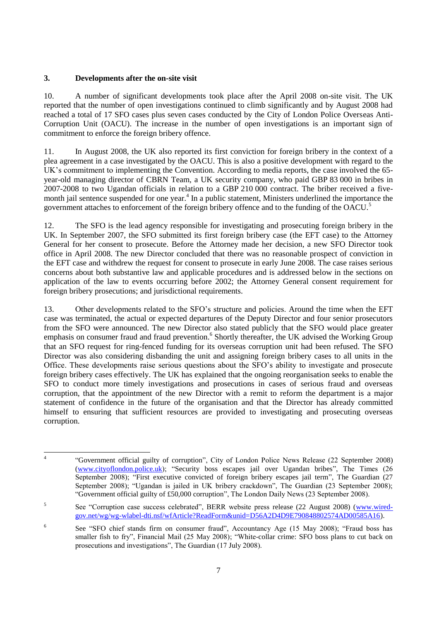## **3. Developments after the on-site visit**

10. A number of significant developments took place after the April 2008 on-site visit. The UK reported that the number of open investigations continued to climb significantly and by August 2008 had reached a total of 17 SFO cases plus seven cases conducted by the City of London Police Overseas Anti-Corruption Unit (OACU). The increase in the number of open investigations is an important sign of commitment to enforce the foreign bribery offence.

11. In August 2008, the UK also reported its first conviction for foreign bribery in the context of a plea agreement in a case investigated by the OACU. This is also a positive development with regard to the UK's commitment to implementing the Convention. According to media reports, the case involved the 65 year-old managing director of CBRN Team, a UK security company, who paid GBP 83 000 in bribes in 2007-2008 to two Ugandan officials in relation to a GBP 210 000 contract. The briber received a fivemonth jail sentence suspended for one year.<sup>4</sup> In a public statement, Ministers underlined the importance the government attaches to enforcement of the foreign bribery offence and to the funding of the OACU.<sup>5</sup>

12. The SFO is the lead agency responsible for investigating and prosecuting foreign bribery in the UK. In September 2007, the SFO submitted its first foreign bribery case (the EFT case) to the Attorney General for her consent to prosecute. Before the Attorney made her decision, a new SFO Director took office in April 2008. The new Director concluded that there was no reasonable prospect of conviction in the EFT case and withdrew the request for consent to prosecute in early June 2008. The case raises serious concerns about both substantive law and applicable procedures and is addressed below in the sections on application of the law to events occurring before 2002; the Attorney General consent requirement for foreign bribery prosecutions; and jurisdictional requirements.

13. Other developments related to the SFO's structure and policies. Around the time when the EFT case was terminated, the actual or expected departures of the Deputy Director and four senior prosecutors from the SFO were announced. The new Director also stated publicly that the SFO would place greater emphasis on consumer fraud and fraud prevention.<sup>6</sup> Shortly thereafter, the UK advised the Working Group that an SFO request for ring-fenced funding for its overseas corruption unit had been refused. The SFO Director was also considering disbanding the unit and assigning foreign bribery cases to all units in the Office. These developments raise serious questions about the SFO's ability to investigate and prosecute foreign bribery cases effectively. The UK has explained that the ongoing reorganisation seeks to enable the SFO to conduct more timely investigations and prosecutions in cases of serious fraud and overseas corruption, that the appointment of the new Director with a remit to reform the department is a major statement of confidence in the future of the organisation and that the Director has already committed himself to ensuring that sufficient resources are provided to investigating and prosecuting overseas corruption.

 $\frac{1}{4}$ ―Government official guilty of corruption‖, City of London Police News Release (22 September 2008) [\(www.cityoflondon.police.uk\)](http://www.cityoflondon.police.uk/); "Security boss escapes jail over Ugandan bribes", The Times (26 September 2008); "First executive convicted of foreign bribery escapes jail term", The Guardian (27) September 2008); "Ugandan is jailed in UK bribery crackdown", The Guardian (23 September 2008); ―Government official guilty of £50,000 corruption‖, The London Daily News (23 September 2008).

<sup>5</sup> See "Corruption case success celebrated", BERR website press release (22 August 2008) [\(www.wired](http://www.wired-gov.net/wg/wg-wlabel-dti.nsf/wfArticle?ReadForm&unid=D56A2D4D9E790848802574AD00585A16)[gov.net/wg/wg-wlabel-dti.nsf/wfArticle?ReadForm&unid=D56A2D4D9E790848802574AD00585A16\)](http://www.wired-gov.net/wg/wg-wlabel-dti.nsf/wfArticle?ReadForm&unid=D56A2D4D9E790848802574AD00585A16).

<sup>6</sup> See "SFO chief stands firm on consumer fraud", Accountancy Age (15 May 2008); "Fraud boss has smaller fish to fry", Financial Mail (25 May 2008); "White-collar crime: SFO boss plans to cut back on prosecutions and investigations", The Guardian (17 July 2008).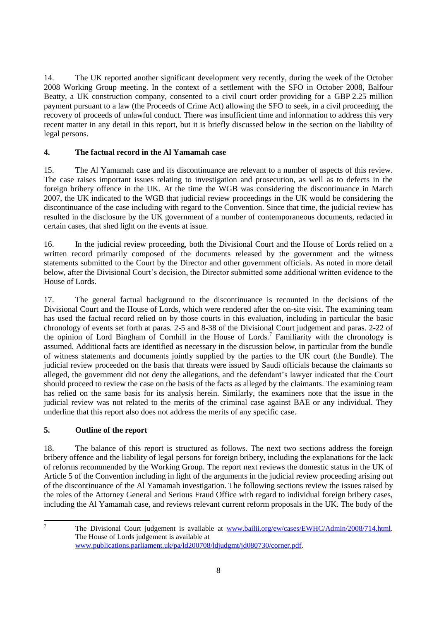14. The UK reported another significant development very recently, during the week of the October 2008 Working Group meeting. In the context of a settlement with the SFO in October 2008, Balfour Beatty, a UK construction company, consented to a civil court order providing for a GBP 2.25 million payment pursuant to a law (the Proceeds of Crime Act) allowing the SFO to seek, in a civil proceeding, the recovery of proceeds of unlawful conduct. There was insufficient time and information to address this very recent matter in any detail in this report, but it is briefly discussed below in the section on the liability of legal persons.

## **4. The factual record in the Al Yamamah case**

15. The Al Yamamah case and its discontinuance are relevant to a number of aspects of this review. The case raises important issues relating to investigation and prosecution, as well as to defects in the foreign bribery offence in the UK. At the time the WGB was considering the discontinuance in March 2007, the UK indicated to the WGB that judicial review proceedings in the UK would be considering the discontinuance of the case including with regard to the Convention. Since that time, the judicial review has resulted in the disclosure by the UK government of a number of contemporaneous documents, redacted in certain cases, that shed light on the events at issue.

16. In the judicial review proceeding, both the Divisional Court and the House of Lords relied on a written record primarily composed of the documents released by the government and the witness statements submitted to the Court by the Director and other government officials. As noted in more detail below, after the Divisional Court's decision, the Director submitted some additional written evidence to the House of Lords.

17. The general factual background to the discontinuance is recounted in the decisions of the Divisional Court and the House of Lords, which were rendered after the on-site visit. The examining team has used the factual record relied on by those courts in this evaluation, including in particular the basic chronology of events set forth at paras. 2-5 and 8-38 of the Divisional Court judgement and paras. 2-22 of the opinion of Lord Bingham of Cornhill in the House of Lords.<sup>7</sup> Familiarity with the chronology is assumed. Additional facts are identified as necessary in the discussion below, in particular from the bundle of witness statements and documents jointly supplied by the parties to the UK court (the Bundle). The judicial review proceeded on the basis that threats were issued by Saudi officials because the claimants so alleged, the government did not deny the allegations, and the defendant's lawyer indicated that the Court should proceed to review the case on the basis of the facts as alleged by the claimants. The examining team has relied on the same basis for its analysis herein. Similarly, the examiners note that the issue in the judicial review was not related to the merits of the criminal case against BAE or any individual. They underline that this report also does not address the merits of any specific case.

## **5. Outline of the report**

18. The balance of this report is structured as follows. The next two sections address the foreign bribery offence and the liability of legal persons for foreign bribery, including the explanations for the lack of reforms recommended by the Working Group. The report next reviews the domestic status in the UK of Article 5 of the Convention including in light of the arguments in the judicial review proceeding arising out of the discontinuance of the Al Yamamah investigation. The following sections review the issues raised by the roles of the Attorney General and Serious Fraud Office with regard to individual foreign bribery cases, including the Al Yamamah case, and reviews relevant current reform proposals in the UK. The body of the

 $\overline{7}$ 

<sup>7</sup> The Divisional Court judgement is available at [www.bailii.org/ew/cases/EWHC/Admin/2008/714.html.](http://www.bailii.org/ew/cases/EWHC/Admin/2008/714.html) The House of Lords judgement is available at [www.publications.parliament.uk/pa/ld200708/ldjudgmt/jd080730/corner.pdf.](http://www.publications.parliament.uk/pa/ld200708/ldjudgmt/jd080730/corner.pdf)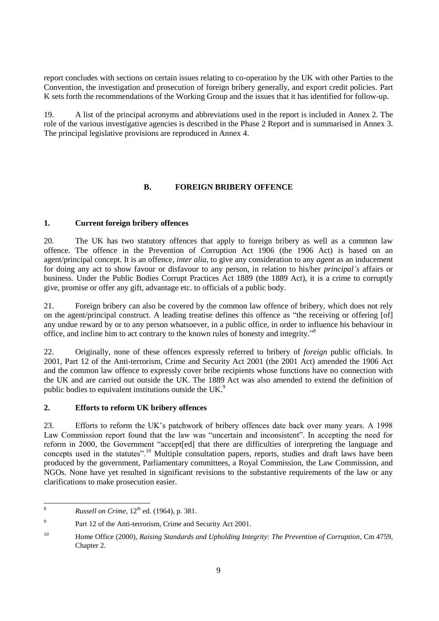report concludes with sections on certain issues relating to co-operation by the UK with other Parties to the Convention, the investigation and prosecution of foreign bribery generally, and export credit policies. Part K sets forth the recommendations of the Working Group and the issues that it has identified for follow-up.

19. A list of the principal acronyms and abbreviations used in the report is included in Annex 2. The role of the various investigative agencies is described in the Phase 2 Report and is summarised in Annex 3. The principal legislative provisions are reproduced in Annex 4.

## **B. FOREIGN BRIBERY OFFENCE**

## **1. Current foreign bribery offences**

20. The UK has two statutory offences that apply to foreign bribery as well as a common law offence. The offence in the Prevention of Corruption Act 1906 (the 1906 Act) is based on an agent/principal concept. It is an offence, *inter alia*, to give any consideration to any *agent* as an inducement for doing any act to show favour or disfavour to any person, in relation to his/her *principal's* affairs or business. Under the Public Bodies Corrupt Practices Act 1889 (the 1889 Act), it is a crime to corruptly give, promise or offer any gift, advantage etc. to officials of a public body.

21. Foreign bribery can also be covered by the common law offence of bribery, which does not rely on the agent/principal construct. A leading treatise defines this offence as "the receiving or offering [of] any undue reward by or to any person whatsoever, in a public office, in order to influence his behaviour in office, and incline him to act contrary to the known rules of honesty and integrity."<sup>8</sup>

22. Originally, none of these offences expressly referred to bribery of *foreign* public officials. In 2001, Part 12 of the Anti-terrorism, Crime and Security Act 2001 (the 2001 Act) amended the 1906 Act and the common law offence to expressly cover bribe recipients whose functions have no connection with the UK and are carried out outside the UK. The 1889 Act was also amended to extend the definition of public bodies to equivalent institutions outside the UK.<sup>9</sup>

#### **2. Efforts to reform UK bribery offences**

23. Efforts to reform the UK's patchwork of bribery offences date back over many years. A 1998 Law Commission report found that the law was "uncertain and inconsistent". In accepting the need for reform in 2000, the Government "accept[ed] that there are difficulties of interpreting the language and concepts used in the statutes".<sup>10</sup> Multiple consultation papers, reports, studies and draft laws have been produced by the government, Parliamentary committees, a Royal Commission, the Law Commission, and NGOs. None have yet resulted in significant revisions to the substantive requirements of the law or any clarifications to make prosecution easier.

<sup>8</sup> *Russell on Crime*,  $12^{th}$  ed. (1964), p. 381.

<sup>9</sup> Part 12 of the Anti-terrorism, Crime and Security Act 2001.

<sup>10</sup> Home Office (2000), *Raising Standards and Upholding Integrity: The Prevention of Corruption*, Cm 4759, Chapter 2.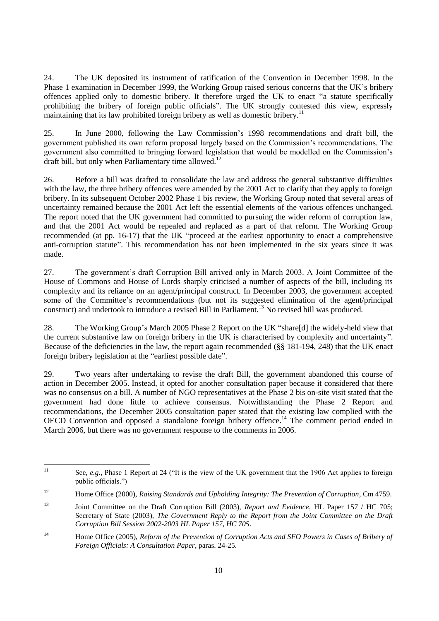24. The UK deposited its instrument of ratification of the Convention in December 1998. In the Phase 1 examination in December 1999, the Working Group raised serious concerns that the UK's bribery offences applied only to domestic bribery. It therefore urged the UK to enact "a statute specifically prohibiting the bribery of foreign public officials". The UK strongly contested this view, expressly maintaining that its law prohibited foreign bribery as well as domestic bribery.<sup>11</sup>

25. In June 2000, following the Law Commission's 1998 recommendations and draft bill, the government published its own reform proposal largely based on the Commission's recommendations. The government also committed to bringing forward legislation that would be modelled on the Commission's draft bill, but only when Parliamentary time allowed.<sup>12</sup>

26. Before a bill was drafted to consolidate the law and address the general substantive difficulties with the law, the three bribery offences were amended by the 2001 Act to clarify that they apply to foreign bribery. In its subsequent October 2002 Phase 1 bis review, the Working Group noted that several areas of uncertainty remained because the 2001 Act left the essential elements of the various offences unchanged. The report noted that the UK government had committed to pursuing the wider reform of corruption law, and that the 2001 Act would be repealed and replaced as a part of that reform. The Working Group recommended (at pp. 16-17) that the UK "proceed at the earliest opportunity to enact a comprehensive anti-corruption statute". This recommendation has not been implemented in the six years since it was made.

27. The government's draft Corruption Bill arrived only in March 2003. A Joint Committee of the House of Commons and House of Lords sharply criticised a number of aspects of the bill, including its complexity and its reliance on an agent/principal construct. In December 2003, the government accepted some of the Committee's recommendations (but not its suggested elimination of the agent/principal construct) and undertook to introduce a revised Bill in Parliament.<sup>13</sup> No revised bill was produced.

28. The Working Group's March 2005 Phase 2 Report on the UK "share[d] the widely-held view that the current substantive law on foreign bribery in the UK is characterised by complexity and uncertainty". Because of the deficiencies in the law, the report again recommended (§§ 181-194, 248) that the UK enact foreign bribery legislation at the "earliest possible date".

29. Two years after undertaking to revise the draft Bill, the government abandoned this course of action in December 2005. Instead, it opted for another consultation paper because it considered that there was no consensus on a bill. A number of NGO representatives at the Phase 2 bis on-site visit stated that the government had done little to achieve consensus. Notwithstanding the Phase 2 Report and recommendations, the December 2005 consultation paper stated that the existing law complied with the OECD Convention and opposed a standalone foreign bribery offence.<sup>14</sup> The comment period ended in March 2006, but there was no government response to the comments in 2006.

 $11$ See, *e.g.*, Phase 1 Report at 24 ("It is the view of the UK government that the 1906 Act applies to foreign public officials.")

<sup>12</sup> Home Office (2000), *Raising Standards and Upholding Integrity: The Prevention of Corruption*, Cm 4759.

<sup>13</sup> Joint Committee on the Draft Corruption Bill (2003), *Report and Evidence*, HL Paper 157 / HC 705; Secretary of State (2003), *The Government Reply to the Report from the Joint Committee on the Draft Corruption Bill Session 2002-2003 HL Paper 157, HC 705*.

<sup>14</sup> Home Office (2005), *Reform of the Prevention of Corruption Acts and SFO Powers in Cases of Bribery of Foreign Officials: A Consultation Paper*, paras. 24-25.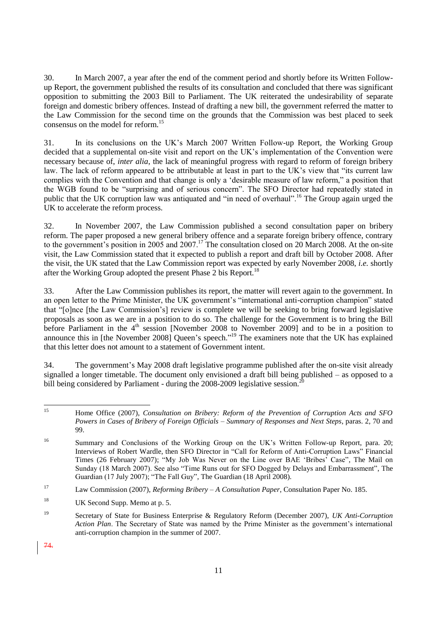30. In March 2007, a year after the end of the comment period and shortly before its Written Followup Report, the government published the results of its consultation and concluded that there was significant opposition to submitting the 2003 Bill to Parliament. The UK reiterated the undesirability of separate foreign and domestic bribery offences. Instead of drafting a new bill, the government referred the matter to the Law Commission for the second time on the grounds that the Commission was best placed to seek consensus on the model for reform. 15

31. In its conclusions on the UK's March 2007 Written Follow-up Report, the Working Group decided that a supplemental on-site visit and report on the UK's implementation of the Convention were necessary because of, *inter alia*, the lack of meaningful progress with regard to reform of foreign bribery law. The lack of reform appeared to be attributable at least in part to the UK's view that "its current law complies with the Convention and that change is only a 'desirable measure of law reform," a position that the WGB found to be "surprising and of serious concern". The SFO Director had repeatedly stated in public that the UK corruption law was antiquated and "in need of overhaul".<sup>16</sup> The Group again urged the UK to accelerate the reform process.

32. In November 2007, the Law Commission published a second consultation paper on bribery reform. The paper proposed a new general bribery offence and a separate foreign bribery offence, contrary to the government's position in 2005 and 2007.<sup>17</sup> The consultation closed on 20 March 2008. At the on-site visit, the Law Commission stated that it expected to publish a report and draft bill by October 2008. After the visit, the UK stated that the Law Commission report was expected by early November 2008, *i.e.* shortly after the Working Group adopted the present Phase 2 bis Report.<sup>18</sup>

33. After the Law Commission publishes its report, the matter will revert again to the government. In an open letter to the Prime Minister, the UK government's "international anti-corruption champion" stated that ―[o]nce [the Law Commission's] review is complete we will be seeking to bring forward legislative proposals as soon as we are in a position to do so. The challenge for the Government is to bring the Bill before Parliament in the 4<sup>th</sup> session [November 2008 to November 2009] and to be in a position to announce this in [the November 2008] Queen's speech."<sup>19</sup> The examiners note that the UK has explained that this letter does not amount to a statement of Government intent.

34. The government's May 2008 draft legislative programme published after the on-site visit already signalled a longer timetable. The document only envisioned a draft bill being published – as opposed to a bill being considered by Parliament - during the 2008-2009 legislative session.

74.

 $15$ <sup>15</sup> Home Office (2007), *Consultation on Bribery: Reform of the Prevention of Corruption Acts and SFO Powers in Cases of Bribery of Foreign Officials – Summary of Responses and Next Steps*, paras. 2, 70 and 99.

<sup>&</sup>lt;sup>16</sup> Summary and Conclusions of the Working Group on the UK's Written Follow-up Report, para. 20: Interviews of Robert Wardle, then SFO Director in "Call for Reform of Anti-Corruption Laws" Financial Times (26 February 2007); "My Job Was Never on the Line over BAE 'Bribes' Case", The Mail on Sunday (18 March 2007). See also "Time Runs out for SFO Dogged by Delays and Embarrassment", The Guardian (17 July 2007); "The Fall Guy", The Guardian (18 April 2008).

<sup>17</sup> Law Commission (2007), *Reforming Bribery – A Consultation Paper*, Consultation Paper No. 185.

<sup>&</sup>lt;sup>18</sup> UK Second Supp. Memo at p. 5.

<sup>19</sup> Secretary of State for Business Enterprise & Regulatory Reform (December 2007), *UK Anti-Corruption Action Plan*. The Secretary of State was named by the Prime Minister as the government's international anti-corruption champion in the summer of 2007.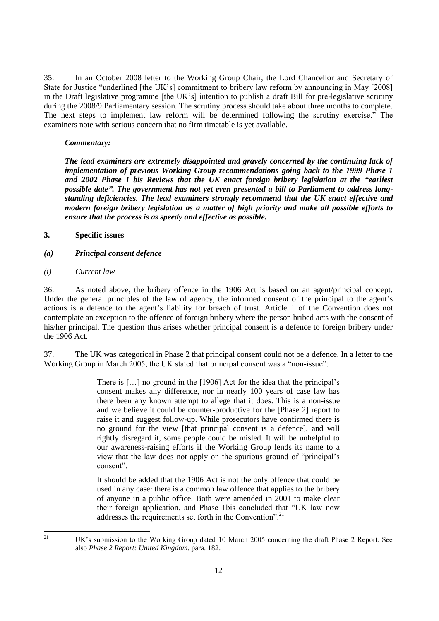35. In an October 2008 letter to the Working Group Chair, the Lord Chancellor and Secretary of State for Justice "underlined [the UK's] commitment to bribery law reform by announcing in May [2008] in the Draft legislative programme [the UK's] intention to publish a draft Bill for pre-legislative scrutiny during the 2008/9 Parliamentary session. The scrutiny process should take about three months to complete. The next steps to implement law reform will be determined following the scrutiny exercise." The examiners note with serious concern that no firm timetable is yet available.

#### *Commentary:*

*The lead examiners are extremely disappointed and gravely concerned by the continuing lack of implementation of previous Working Group recommendations going back to the 1999 Phase 1 and 2002 Phase 1 bis Reviews that the UK enact foreign bribery legislation at the "earliest possible date". The government has not yet even presented a bill to Parliament to address longstanding deficiencies. The lead examiners strongly recommend that the UK enact effective and modern foreign bribery legislation as a matter of high priority and make all possible efforts to ensure that the process is as speedy and effective as possible.* 

#### **3. Specific issues**

- *(a) Principal consent defence*
- *(i) Current law*

36. As noted above, the bribery offence in the 1906 Act is based on an agent/principal concept. Under the general principles of the law of agency, the informed consent of the principal to the agent's actions is a defence to the agent's liability for breach of trust. Article 1 of the Convention does not contemplate an exception to the offence of foreign bribery where the person bribed acts with the consent of his/her principal. The question thus arises whether principal consent is a defence to foreign bribery under the 1906 Act.

37. The UK was categorical in Phase 2 that principal consent could not be a defence. In a letter to the Working Group in March 2005, the UK stated that principal consent was a "non-issue":

> There is […] no ground in the [1906] Act for the idea that the principal's consent makes any difference, nor in nearly 100 years of case law has there been any known attempt to allege that it does. This is a non-issue and we believe it could be counter-productive for the [Phase 2] report to raise it and suggest follow-up. While prosecutors have confirmed there is no ground for the view [that principal consent is a defence], and will rightly disregard it, some people could be misled. It will be unhelpful to our awareness-raising efforts if the Working Group lends its name to a view that the law does not apply on the spurious ground of "principal's consent".

> It should be added that the 1906 Act is not the only offence that could be used in any case: there is a common law offence that applies to the bribery of anyone in a public office. Both were amended in 2001 to make clear their foreign application, and Phase 1bis concluded that "UK law now addresses the requirements set forth in the Convention".<sup>21</sup>

<sup>21</sup> UK's submission to the Working Group dated 10 March 2005 concerning the draft Phase 2 Report. See also *Phase 2 Report: United Kingdom*, para. 182.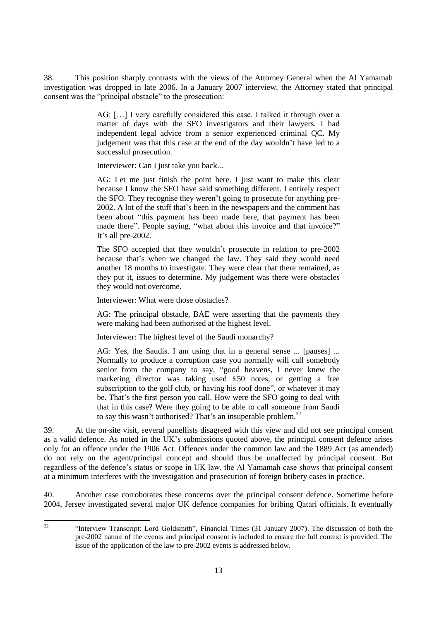38. This position sharply contrasts with the views of the Attorney General when the Al Yamamah investigation was dropped in late 2006. In a January 2007 interview, the Attorney stated that principal consent was the "principal obstacle" to the prosecution:

> AG: […] I very carefully considered this case. I talked it through over a matter of days with the SFO investigators and their lawyers. I had independent legal advice from a senior experienced criminal QC. My judgement was that this case at the end of the day wouldn't have led to a successful prosecution.

Interviewer: Can I just take you back...

AG: Let me just finish the point here. I just want to make this clear because I know the SFO have said something different. I entirely respect the SFO. They recognise they weren't going to prosecute for anything pre-2002. A lot of the stuff that's been in the newspapers and the comment has been about "this payment has been made here, that payment has been made there". People saying, "what about this invoice and that invoice?" It's all pre-2002.

The SFO accepted that they wouldn't prosecute in relation to pre-2002 because that's when we changed the law. They said they would need another 18 months to investigate. They were clear that there remained, as they put it, issues to determine. My judgement was there were obstacles they would not overcome.

Interviewer: What were those obstacles?

AG: The principal obstacle, BAE were asserting that the payments they were making had been authorised at the highest level.

Interviewer: The highest level of the Saudi monarchy?

AG: Yes, the Saudis. I am using that in a general sense ... [pauses] ... Normally to produce a corruption case you normally will call somebody senior from the company to say, "good heavens, I never knew the marketing director was taking used £50 notes, or getting a free subscription to the golf club, or having his roof done", or whatever it may be. That's the first person you call. How were the SFO going to deal with that in this case? Were they going to be able to call someone from Saudi to say this wasn't authorised? That's an insuperable problem.<sup>22</sup>

39. At the on-site visit, several panellists disagreed with this view and did not see principal consent as a valid defence. As noted in the UK's submissions quoted above, the principal consent defence arises only for an offence under the 1906 Act. Offences under the common law and the 1889 Act (as amended) do not rely on the agent/principal concept and should thus be unaffected by principal consent. But regardless of the defence's status or scope in UK law, the Al Yamamah case shows that principal consent at a minimum interferes with the investigation and prosecution of foreign bribery cases in practice.

40. Another case corroborates these concerns over the principal consent defence. Sometime before 2004, Jersey investigated several major UK defence companies for bribing Qatari officials. It eventually

<sup>&</sup>quot;Interview Transcript: Lord Goldsmith", Financial Times (31 January 2007). The discussion of both the pre-2002 nature of the events and principal consent is included to ensure the full context is provided. The issue of the application of the law to pre-2002 events is addressed below.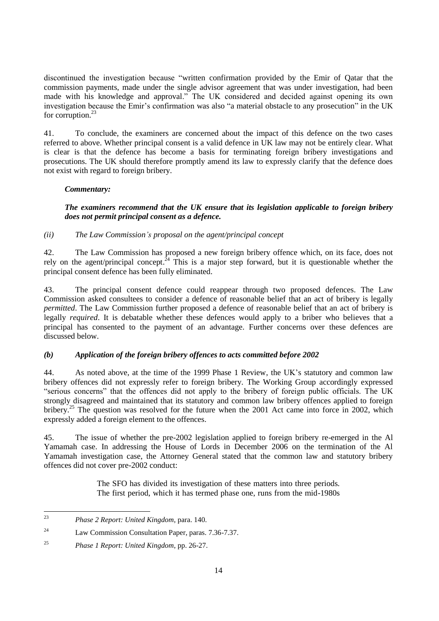discontinued the investigation because "written confirmation provided by the Emir of Qatar that the commission payments, made under the single advisor agreement that was under investigation, had been made with his knowledge and approval." The UK considered and decided against opening its own investigation because the Emir's confirmation was also "a material obstacle to any prosecution" in the UK for corruption.<sup>23</sup>

41. To conclude, the examiners are concerned about the impact of this defence on the two cases referred to above. Whether principal consent is a valid defence in UK law may not be entirely clear. What is clear is that the defence has become a basis for terminating foreign bribery investigations and prosecutions. The UK should therefore promptly amend its law to expressly clarify that the defence does not exist with regard to foreign bribery.

#### *Commentary:*

## *The examiners recommend that the UK ensure that its legislation applicable to foreign bribery does not permit principal consent as a defence.*

*(ii) The Law Commission's proposal on the agent/principal concept*

42. The Law Commission has proposed a new foreign bribery offence which, on its face, does not rely on the agent/principal concept.<sup>24</sup> This is a major step forward, but it is questionable whether the principal consent defence has been fully eliminated.

43. The principal consent defence could reappear through two proposed defences. The Law Commission asked consultees to consider a defence of reasonable belief that an act of bribery is legally *permitted*. The Law Commission further proposed a defence of reasonable belief that an act of bribery is legally *required*. It is debatable whether these defences would apply to a briber who believes that a principal has consented to the payment of an advantage. Further concerns over these defences are discussed below.

## *(b) Application of the foreign bribery offences to acts committed before 2002*

44. As noted above, at the time of the 1999 Phase 1 Review, the UK's statutory and common law bribery offences did not expressly refer to foreign bribery. The Working Group accordingly expressed "serious concerns" that the offences did not apply to the bribery of foreign public officials. The UK strongly disagreed and maintained that its statutory and common law bribery offences applied to foreign bribery.<sup>25</sup> The question was resolved for the future when the 2001 Act came into force in 2002, which expressly added a foreign element to the offences.

45. The issue of whether the pre-2002 legislation applied to foreign bribery re-emerged in the Al Yamamah case. In addressing the House of Lords in December 2006 on the termination of the Al Yamamah investigation case, the Attorney General stated that the common law and statutory bribery offences did not cover pre-2002 conduct:

> The SFO has divided its investigation of these matters into three periods. The first period, which it has termed phase one, runs from the mid-1980s

 $23$ <sup>23</sup> *Phase 2 Report: United Kingdom*, para. 140.

<sup>24</sup> Law Commission Consultation Paper, paras. 7.36-7.37.

<sup>25</sup> *Phase 1 Report: United Kingdom*, pp. 26-27.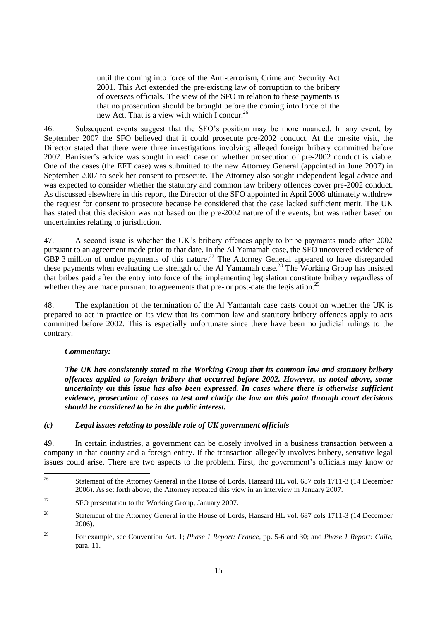until the coming into force of the Anti-terrorism, Crime and Security Act 2001. This Act extended the pre-existing law of corruption to the bribery of overseas officials. The view of the SFO in relation to these payments is that no prosecution should be brought before the coming into force of the new Act. That is a view with which I concur.<sup>26</sup>

46. Subsequent events suggest that the SFO's position may be more nuanced. In any event, by September 2007 the SFO believed that it could prosecute pre-2002 conduct. At the on-site visit, the Director stated that there were three investigations involving alleged foreign bribery committed before 2002. Barrister's advice was sought in each case on whether prosecution of pre-2002 conduct is viable. One of the cases (the EFT case) was submitted to the new Attorney General (appointed in June 2007) in September 2007 to seek her consent to prosecute. The Attorney also sought independent legal advice and was expected to consider whether the statutory and common law bribery offences cover pre-2002 conduct. As discussed elsewhere in this report, the Director of the SFO appointed in April 2008 ultimately withdrew the request for consent to prosecute because he considered that the case lacked sufficient merit. The UK has stated that this decision was not based on the pre-2002 nature of the events, but was rather based on uncertainties relating to jurisdiction.

47. A second issue is whether the UK's bribery offences apply to bribe payments made after 2002 pursuant to an agreement made prior to that date. In the Al Yamamah case, the SFO uncovered evidence of GBP 3 million of undue payments of this nature.<sup>27</sup> The Attorney General appeared to have disregarded these payments when evaluating the strength of the Al Yamamah case.<sup>28</sup> The Working Group has insisted that bribes paid after the entry into force of the implementing legislation constitute bribery regardless of whether they are made pursuant to agreements that pre- or post-date the legislation.<sup>29</sup>

48. The explanation of the termination of the Al Yamamah case casts doubt on whether the UK is prepared to act in practice on its view that its common law and statutory bribery offences apply to acts committed before 2002. This is especially unfortunate since there have been no judicial rulings to the contrary.

#### *Commentary:*

*The UK has consistently stated to the Working Group that its common law and statutory bribery offences applied to foreign bribery that occurred before 2002. However, as noted above, some uncertainty on this issue has also been expressed. In cases where there is otherwise sufficient evidence, prosecution of cases to test and clarify the law on this point through court decisions should be considered to be in the public interest.*

#### *(c) Legal issues relating to possible role of UK government officials*

49. In certain industries, a government can be closely involved in a business transaction between a company in that country and a foreign entity. If the transaction allegedly involves bribery, sensitive legal issues could arise. There are two aspects to the problem. First, the government's officials may know or

<sup>26</sup> <sup>26</sup> Statement of the Attorney General in the House of Lords, Hansard HL vol. 687 cols 1711-3 (14 December 2006). As set forth above, the Attorney repeated this view in an interview in January 2007.

<sup>&</sup>lt;sup>27</sup> SFO presentation to the Working Group, January 2007.

<sup>&</sup>lt;sup>28</sup> Statement of the Attorney General in the House of Lords, Hansard HL vol. 687 cols 1711-3 (14 December 2006).

<sup>29</sup> For example, see Convention Art. 1; *Phase 1 Report: France*, pp. 5-6 and 30; and *Phase 1 Report: Chile*, para. 11.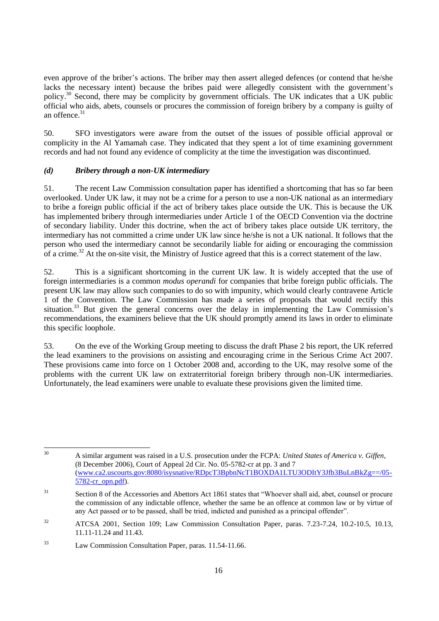even approve of the briber's actions. The briber may then assert alleged defences (or contend that he/she lacks the necessary intent) because the bribes paid were allegedly consistent with the government's policy.<sup>30</sup> Second, there may be complicity by government officials. The UK indicates that a UK public official who aids, abets, counsels or procures the commission of foreign bribery by a company is guilty of an offence $31$ 

50. SFO investigators were aware from the outset of the issues of possible official approval or complicity in the Al Yamamah case. They indicated that they spent a lot of time examining government records and had not found any evidence of complicity at the time the investigation was discontinued.

## *(d) Bribery through a non-UK intermediary*

51. The recent Law Commission consultation paper has identified a shortcoming that has so far been overlooked. Under UK law, it may not be a crime for a person to use a non-UK national as an intermediary to bribe a foreign public official if the act of bribery takes place outside the UK. This is because the UK has implemented bribery through intermediaries under Article 1 of the OECD Convention via the doctrine of secondary liability. Under this doctrine, when the act of bribery takes place outside UK territory, the intermediary has not committed a crime under UK law since he/she is not a UK national. It follows that the person who used the intermediary cannot be secondarily liable for aiding or encouraging the commission of a crime.<sup>32</sup> At the on-site visit, the Ministry of Justice agreed that this is a correct statement of the law.

52. This is a significant shortcoming in the current UK law. It is widely accepted that the use of foreign intermediaries is a common *modus operandi* for companies that bribe foreign public officials. The present UK law may allow such companies to do so with impunity, which would clearly contravene Article 1 of the Convention. The Law Commission has made a series of proposals that would rectify this situation. $33$  But given the general concerns over the delay in implementing the Law Commission's recommendations, the examiners believe that the UK should promptly amend its laws in order to eliminate this specific loophole.

53. On the eve of the Working Group meeting to discuss the draft Phase 2 bis report, the UK referred the lead examiners to the provisions on assisting and encouraging crime in the Serious Crime Act 2007. These provisions came into force on 1 October 2008 and, according to the UK, may resolve some of the problems with the current UK law on extraterritorial foreign bribery through non-UK intermediaries. Unfortunately, the lead examiners were unable to evaluate these provisions given the limited time.

 $30$ <sup>30</sup> A similar argument was raised in a U.S. prosecution under the FCPA: *United States of America v. Giffen*, (8 December 2006), Court of Appeal 2d Cir. No. 05-5782-cr at pp. 3 and 7 [\(www.ca2.uscourts.gov:8080/isysnative/RDpcT3BpbnNcT1BOXDA1LTU3ODItY3Jfb3BuLnBkZg==/05-](http://www.ca2.uscourts.gov:8080/isysnative/RDpcT3BpbnNcT1BOXDA1LTU3ODItY3Jfb3BuLnBkZg==/05-5782-cr_opn.pdf) [5782-cr\\_opn.pdf\)](http://www.ca2.uscourts.gov:8080/isysnative/RDpcT3BpbnNcT1BOXDA1LTU3ODItY3Jfb3BuLnBkZg==/05-5782-cr_opn.pdf).

<sup>&</sup>lt;sup>31</sup> Section 8 of the Accessories and Abettors Act 1861 states that "Whoever shall aid, abet, counsel or procure the commission of any indictable offence, whether the same be an offence at common law or by virtue of any Act passed or to be passed, shall be tried, indicted and punished as a principal offender".

<sup>&</sup>lt;sup>32</sup> ATCSA 2001, Section 109; Law Commission Consultation Paper, paras. 7.23-7.24, 10.2-10.5, 10.13, 11.11-11.24 and 11.43.

<sup>33</sup> Law Commission Consultation Paper, paras. 11.54-11.66.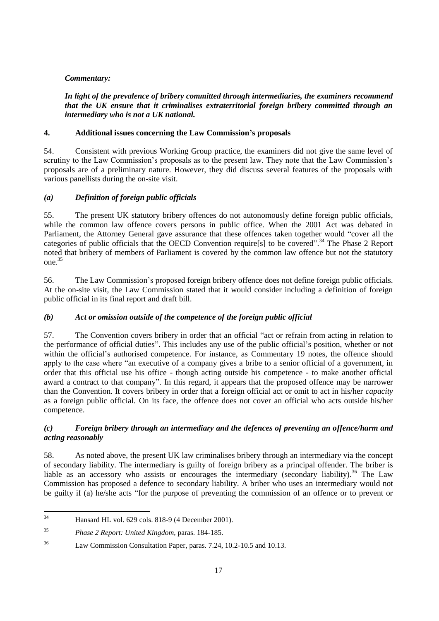## *Commentary:*

## *In light of the prevalence of bribery committed through intermediaries, the examiners recommend that the UK ensure that it criminalises extraterritorial foreign bribery committed through an intermediary who is not a UK national.*

## **4. Additional issues concerning the Law Commission's proposals**

54. Consistent with previous Working Group practice, the examiners did not give the same level of scrutiny to the Law Commission's proposals as to the present law. They note that the Law Commission's proposals are of a preliminary nature. However, they did discuss several features of the proposals with various panellists during the on-site visit.

## *(a) Definition of foreign public officials*

55. The present UK statutory bribery offences do not autonomously define foreign public officials, while the common law offence covers persons in public office. When the 2001 Act was debated in Parliament, the Attorney General gave assurance that these offences taken together would "cover all the categories of public officials that the OECD Convention require[s] to be covered".<sup>34</sup> The Phase 2 Report noted that bribery of members of Parliament is covered by the common law offence but not the statutory one.<sup>35</sup>

56. The Law Commission's proposed foreign bribery offence does not define foreign public officials. At the on-site visit, the Law Commission stated that it would consider including a definition of foreign public official in its final report and draft bill.

## *(b) Act or omission outside of the competence of the foreign public official*

57. The Convention covers bribery in order that an official "act or refrain from acting in relation to the performance of official duties‖. This includes any use of the public official's position, whether or not within the official's authorised competence. For instance, as Commentary 19 notes, the offence should apply to the case where "an executive of a company gives a bribe to a senior official of a government, in order that this official use his office - though acting outside his competence - to make another official award a contract to that company". In this regard, it appears that the proposed offence may be narrower than the Convention. It covers bribery in order that a foreign official act or omit to act in his/her *capacity* as a foreign public official. On its face, the offence does not cover an official who acts outside his/her competence.

## *(c) Foreign bribery through an intermediary and the defences of preventing an offence/harm and acting reasonably*

58. As noted above, the present UK law criminalises bribery through an intermediary via the concept of secondary liability. The intermediary is guilty of foreign bribery as a principal offender. The briber is liable as an accessory who assists or encourages the intermediary (secondary liability).<sup>36</sup> The Law Commission has proposed a defence to secondary liability. A briber who uses an intermediary would not be guilty if (a) he/she acts "for the purpose of preventing the commission of an offence or to prevent or

 $34$ <sup>34</sup> Hansard HL vol. 629 cols. 818-9 (4 December 2001).

<sup>35</sup> *Phase 2 Report: United Kingdom*, paras. 184-185.

<sup>36</sup> Law Commission Consultation Paper, paras. 7.24, 10.2-10.5 and 10.13.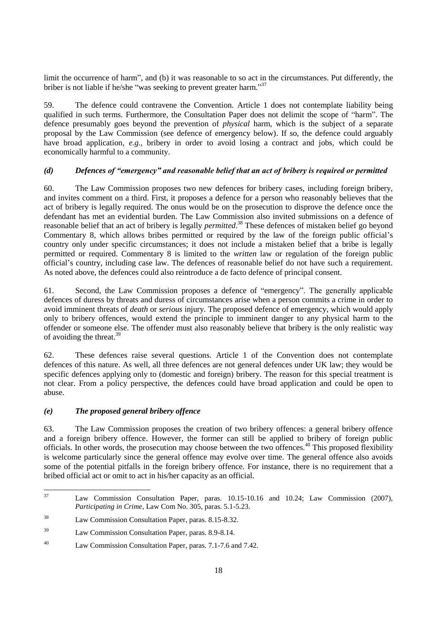limit the occurrence of harm<sup>"</sup>, and (b) it was reasonable to so act in the circumstances. Put differently, the briber is not liable if he/she "was seeking to prevent greater harm."<sup>37</sup>

59. The defence could contravene the Convention. Article 1 does not contemplate liability being qualified in such terms. Furthermore, the Consultation Paper does not delimit the scope of "harm". The defence presumably goes beyond the prevention of *physical* harm, which is the subject of a separate proposal by the Law Commission (see defence of emergency below). If so, the defence could arguably have broad application, *e.g.*, bribery in order to avoid losing a contract and jobs, which could be economically harmful to a community.

#### *(d) Defences of "emergency" and reasonable belief that an act of bribery is required or permitted*

60. The Law Commission proposes two new defences for bribery cases, including foreign bribery, and invites comment on a third. First, it proposes a defence for a person who reasonably believes that the act of bribery is legally required. The onus would be on the prosecution to disprove the defence once the defendant has met an evidential burden. The Law Commission also invited submissions on a defence of reasonable belief that an act of bribery is legally *permitted*. <sup>38</sup> These defences of mistaken belief go beyond Commentary 8, which allows bribes permitted or required by the law of the foreign public official's country only under specific circumstances; it does not include a mistaken belief that a bribe is legally permitted or required. Commentary 8 is limited to the *written* law or regulation of the foreign public official's country, including case law. The defences of reasonable belief do not have such a requirement. As noted above, the defences could also reintroduce a de facto defence of principal consent.

61. Second, the Law Commission proposes a defence of "emergency". The generally applicable defences of duress by threats and duress of circumstances arise when a person commits a crime in order to avoid imminent threats of *death* or *serious* injury. The proposed defence of emergency, which would apply only to bribery offences, would extend the principle to imminent danger to any physical harm to the offender or someone else. The offender must also reasonably believe that bribery is the only realistic way of avoiding the threat.<sup>39</sup>

62. These defences raise several questions. Article 1 of the Convention does not contemplate defences of this nature. As well, all three defences are not general defences under UK law; they would be specific defences applying only to (domestic and foreign) bribery. The reason for this special treatment is not clear. From a policy perspective, the defences could have broad application and could be open to abuse.

#### *(e) The proposed general bribery offence*

63. The Law Commission proposes the creation of two bribery offences: a general bribery offence and a foreign bribery offence. However, the former can still be applied to bribery of foreign public officials. In other words, the prosecution may choose between the two offences.<sup>40</sup> This proposed flexibility is welcome particularly since the general offence may evolve over time. The general offence also avoids some of the potential pitfalls in the foreign bribery offence. For instance, there is no requirement that a bribed official act or omit to act in his/her capacity as an official.

 $37$ Law Commission Consultation Paper, paras. 10.15-10.16 and 10.24; Law Commission (2007), *Participating in Crime*, Law Com No. 305, paras. 5.1-5.23.

<sup>38</sup> Law Commission Consultation Paper, paras. 8.15-8.32.

<sup>39</sup> Law Commission Consultation Paper, paras. 8.9-8.14.

<sup>40</sup> Law Commission Consultation Paper, paras. 7.1-7.6 and 7.42.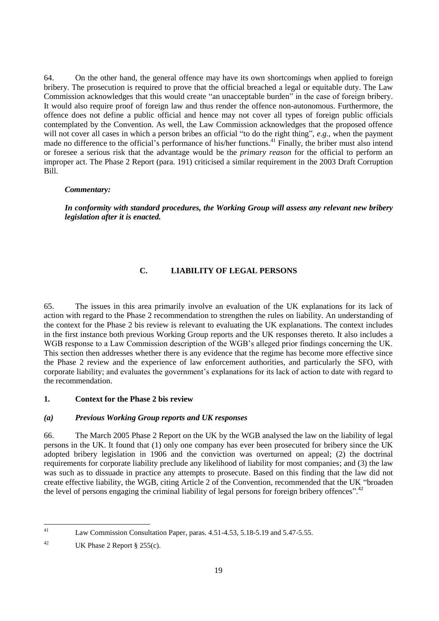64. On the other hand, the general offence may have its own shortcomings when applied to foreign bribery. The prosecution is required to prove that the official breached a legal or equitable duty. The Law Commission acknowledges that this would create "an unacceptable burden" in the case of foreign bribery. It would also require proof of foreign law and thus render the offence non-autonomous. Furthermore, the offence does not define a public official and hence may not cover all types of foreign public officials contemplated by the Convention. As well, the Law Commission acknowledges that the proposed offence will not cover all cases in which a person bribes an official "to do the right thing", *e.g.*, when the payment made no difference to the official's performance of his/her functions.<sup>41</sup> Finally, the briber must also intend or foresee a serious risk that the advantage would be the *primary reason* for the official to perform an improper act. The Phase 2 Report (para. 191) criticised a similar requirement in the 2003 Draft Corruption Bill.

#### *Commentary:*

*In conformity with standard procedures, the Working Group will assess any relevant new bribery legislation after it is enacted.*

## **C. LIABILITY OF LEGAL PERSONS**

65. The issues in this area primarily involve an evaluation of the UK explanations for its lack of action with regard to the Phase 2 recommendation to strengthen the rules on liability. An understanding of the context for the Phase 2 bis review is relevant to evaluating the UK explanations. The context includes in the first instance both previous Working Group reports and the UK responses thereto. It also includes a WGB response to a Law Commission description of the WGB's alleged prior findings concerning the UK. This section then addresses whether there is any evidence that the regime has become more effective since the Phase 2 review and the experience of law enforcement authorities, and particularly the SFO, with corporate liability; and evaluates the government's explanations for its lack of action to date with regard to the recommendation.

#### **1. Context for the Phase 2 bis review**

#### *(a) Previous Working Group reports and UK responses*

66. The March 2005 Phase 2 Report on the UK by the WGB analysed the law on the liability of legal persons in the UK. It found that (1) only one company has ever been prosecuted for bribery since the UK adopted bribery legislation in 1906 and the conviction was overturned on appeal; (2) the doctrinal requirements for corporate liability preclude any likelihood of liability for most companies; and (3) the law was such as to dissuade in practice any attempts to prosecute. Based on this finding that the law did not create effective liability, the WGB, citing Article 2 of the Convention, recommended that the UK "broaden" the level of persons engaging the criminal liability of legal persons for foreign bribery offences".<sup>42</sup>

 $41$ Law Commission Consultation Paper, paras. 4.51-4.53, 5.18-5.19 and 5.47-5.55.

<sup>&</sup>lt;sup>42</sup> UK Phase 2 Report § 255(c).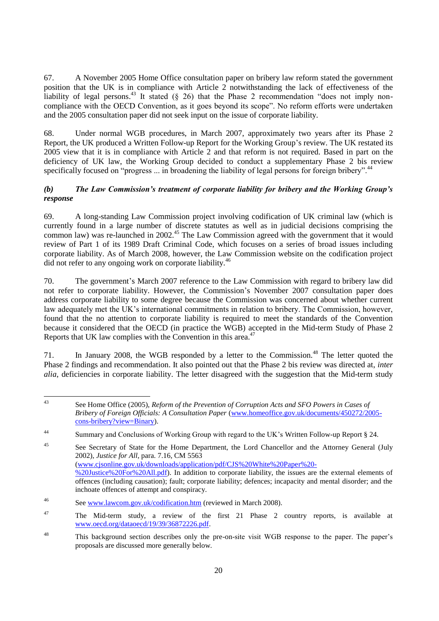67. A November 2005 Home Office consultation paper on bribery law reform stated the government position that the UK is in compliance with Article 2 notwithstanding the lack of effectiveness of the liability of legal persons.<sup>43</sup> It stated (§ 26) that the Phase 2 recommendation "does not imply noncompliance with the OECD Convention, as it goes beyond its scope". No reform efforts were undertaken and the 2005 consultation paper did not seek input on the issue of corporate liability.

68. Under normal WGB procedures, in March 2007, approximately two years after its Phase 2 Report, the UK produced a Written Follow-up Report for the Working Group's review. The UK restated its 2005 view that it is in compliance with Article 2 and that reform is not required. Based in part on the deficiency of UK law, the Working Group decided to conduct a supplementary Phase 2 bis review specifically focused on "progress ... in broadening the liability of legal persons for foreign bribery".<sup>44</sup>

## *(b) The Law Commission's treatment of corporate liability for bribery and the Working Group's response*

69. A long-standing Law Commission project involving codification of UK criminal law (which is currently found in a large number of discrete statutes as well as in judicial decisions comprising the common law) was re-launched in 2002.<sup>45</sup> The Law Commission agreed with the government that it would review of Part 1 of its 1989 Draft Criminal Code, which focuses on a series of broad issues including corporate liability. As of March 2008, however, the Law Commission website on the codification project did not refer to any ongoing work on corporate liability.<sup>46</sup>

70. The government's March 2007 reference to the Law Commission with regard to bribery law did not refer to corporate liability. However, the Commission's November 2007 consultation paper does address corporate liability to some degree because the Commission was concerned about whether current law adequately met the UK's international commitments in relation to bribery. The Commission, however, found that the no attention to corporate liability is required to meet the standards of the Convention because it considered that the OECD (in practice the WGB) accepted in the Mid-term Study of Phase 2 Reports that UK law complies with the Convention in this area.<sup>47</sup>

71. In January 2008, the WGB responded by a letter to the Commission.<sup>48</sup> The letter quoted the Phase 2 findings and recommendation. It also pointed out that the Phase 2 bis review was directed at, *inter alia*, deficiencies in corporate liability. The letter disagreed with the suggestion that the Mid-term study

 $\overline{43}$ See Home Office (2005), *Reform of the Prevention of Corruption Acts and SFO Powers in Cases of Bribery of Foreign Officials: A Consultation Paper* [\(www.homeoffice.gov.uk/documents/450272/2005](http://www.homeoffice.gov.uk/documents/450272/2005-cons-bribery?view=Binary) [cons-bribery?view=Binary\)](http://www.homeoffice.gov.uk/documents/450272/2005-cons-bribery?view=Binary).

<sup>&</sup>lt;sup>44</sup> Summary and Conclusions of Working Group with regard to the UK's Written Follow-up Report § 24.

<sup>&</sup>lt;sup>45</sup> See Secretary of State for the Home Department, the Lord Chancellor and the Attorney General (July 2002), *Justice for All*, para. 7.16, CM 5563 [\(www.cjsonline.gov.uk/downloads/application/pdf/CJS%20White%20Paper%20-](http://www.cjsonline.gov.uk/downloads/application/pdf/CJS%20White%20Paper%20-%20Justice%20For%20All.pdf) [%20Justice%20For%20All.pdf\)](http://www.cjsonline.gov.uk/downloads/application/pdf/CJS%20White%20Paper%20-%20Justice%20For%20All.pdf). In addition to corporate liability, the issues are the external elements of offences (including causation); fault; corporate liability; defences; incapacity and mental disorder; and the inchoate offences of attempt and conspiracy.

<sup>46</sup> See [www.lawcom.gov.uk/codification.htm](http://www.lawcom.gov.uk/codification.htm) (reviewed in March 2008).

 $47$  The Mid-term study, a review of the first 21 Phase 2 country reports, is available at [www.oecd.org/dataoecd/19/39/36872226.pdf.](http://www.oecd.org/dataoecd/19/39/36872226.pdf)

<sup>48</sup> This background section describes only the pre-on-site visit WGB response to the paper. The paper's proposals are discussed more generally below.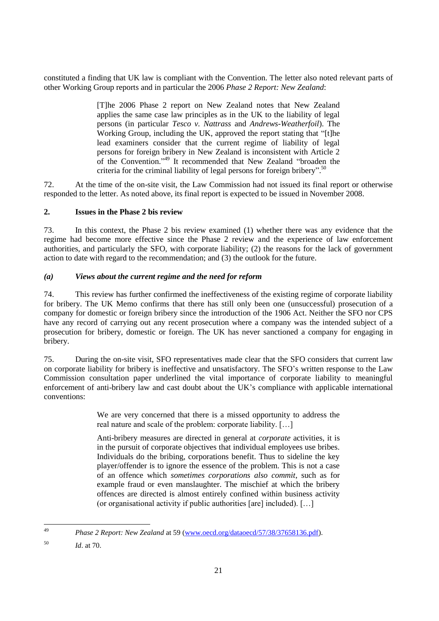constituted a finding that UK law is compliant with the Convention. The letter also noted relevant parts of other Working Group reports and in particular the 2006 *Phase 2 Report: New Zealand*:

> [T]he 2006 Phase 2 report on New Zealand notes that New Zealand applies the same case law principles as in the UK to the liability of legal persons (in particular *Tesco v. Nattrass* and *Andrews-Weatherfoil*). The Working Group, including the UK, approved the report stating that "[t]he lead examiners consider that the current regime of liability of legal persons for foreign bribery in New Zealand is inconsistent with Article 2 of the Convention."<sup>49</sup> It recommended that New Zealand "broaden the criteria for the criminal liability of legal persons for foreign bribery".<sup>50</sup>

72. At the time of the on-site visit, the Law Commission had not issued its final report or otherwise responded to the letter. As noted above, its final report is expected to be issued in November 2008.

## **2. Issues in the Phase 2 bis review**

73. In this context, the Phase 2 bis review examined (1) whether there was any evidence that the regime had become more effective since the Phase 2 review and the experience of law enforcement authorities, and particularly the SFO, with corporate liability; (2) the reasons for the lack of government action to date with regard to the recommendation; and (3) the outlook for the future.

## *(a) Views about the current regime and the need for reform*

74. This review has further confirmed the ineffectiveness of the existing regime of corporate liability for bribery. The UK Memo confirms that there has still only been one (unsuccessful) prosecution of a company for domestic or foreign bribery since the introduction of the 1906 Act. Neither the SFO nor CPS have any record of carrying out any recent prosecution where a company was the intended subject of a prosecution for bribery, domestic or foreign. The UK has never sanctioned a company for engaging in bribery.

75. During the on-site visit, SFO representatives made clear that the SFO considers that current law on corporate liability for bribery is ineffective and unsatisfactory. The SFO's written response to the Law Commission consultation paper underlined the vital importance of corporate liability to meaningful enforcement of anti-bribery law and cast doubt about the UK's compliance with applicable international conventions:

> We are very concerned that there is a missed opportunity to address the real nature and scale of the problem: corporate liability. […]

> Anti-bribery measures are directed in general at *corporate* activities, it is in the pursuit of corporate objectives that individual employees use bribes. Individuals do the bribing, corporations benefit. Thus to sideline the key player/offender is to ignore the essence of the problem. This is not a case of an offence which *sometimes corporations also commit*, such as for example fraud or even manslaughter. The mischief at which the bribery offences are directed is almost entirely confined within business activity (or organisational activity if public authorities [are] included). […]

<sup>49</sup> <sup>49</sup> *Phase 2 Report: New Zealand* at 59 [\(www.oecd.org/dataoecd/57/38/37658136.pdf\)](http://www.oecd.org/dataoecd/57/38/37658136.pdf).

<sup>50</sup> *Id*. at 70.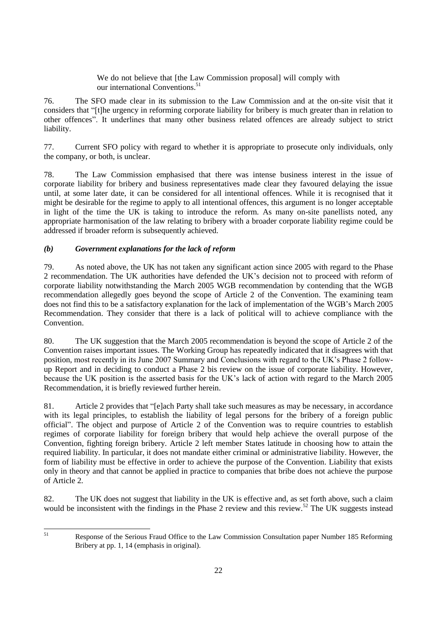We do not believe that [the Law Commission proposal] will comply with our international Conventions.<sup>51</sup>

76. The SFO made clear in its submission to the Law Commission and at the on-site visit that it considers that ―[t]he urgency in reforming corporate liability for bribery is much greater than in relation to other offences". It underlines that many other business related offences are already subject to strict liability.

77. Current SFO policy with regard to whether it is appropriate to prosecute only individuals, only the company, or both, is unclear.

78. The Law Commission emphasised that there was intense business interest in the issue of corporate liability for bribery and business representatives made clear they favoured delaying the issue until, at some later date, it can be considered for all intentional offences. While it is recognised that it might be desirable for the regime to apply to all intentional offences, this argument is no longer acceptable in light of the time the UK is taking to introduce the reform. As many on-site panellists noted, any appropriate harmonisation of the law relating to bribery with a broader corporate liability regime could be addressed if broader reform is subsequently achieved.

## *(b) Government explanations for the lack of reform*

79. As noted above, the UK has not taken any significant action since 2005 with regard to the Phase 2 recommendation. The UK authorities have defended the UK's decision not to proceed with reform of corporate liability notwithstanding the March 2005 WGB recommendation by contending that the WGB recommendation allegedly goes beyond the scope of Article 2 of the Convention. The examining team does not find this to be a satisfactory explanation for the lack of implementation of the WGB's March 2005 Recommendation. They consider that there is a lack of political will to achieve compliance with the Convention.

80. The UK suggestion that the March 2005 recommendation is beyond the scope of Article 2 of the Convention raises important issues. The Working Group has repeatedly indicated that it disagrees with that position, most recently in its June 2007 Summary and Conclusions with regard to the UK's Phase 2 followup Report and in deciding to conduct a Phase 2 bis review on the issue of corporate liability. However, because the UK position is the asserted basis for the UK's lack of action with regard to the March 2005 Recommendation, it is briefly reviewed further herein.

81. Article 2 provides that "[e]ach Party shall take such measures as may be necessary, in accordance with its legal principles, to establish the liability of legal persons for the bribery of a foreign public official‖. The object and purpose of Article 2 of the Convention was to require countries to establish regimes of corporate liability for foreign bribery that would help achieve the overall purpose of the Convention, fighting foreign bribery. Article 2 left member States latitude in choosing how to attain the required liability. In particular, it does not mandate either criminal or administrative liability. However, the form of liability must be effective in order to achieve the purpose of the Convention. Liability that exists only in theory and that cannot be applied in practice to companies that bribe does not achieve the purpose of Article 2.

82. The UK does not suggest that liability in the UK is effective and, as set forth above, such a claim would be inconsistent with the findings in the Phase 2 review and this review.<sup>52</sup> The UK suggests instead

<sup>51</sup> Response of the Serious Fraud Office to the Law Commission Consultation paper Number 185 Reforming Bribery at pp. 1, 14 (emphasis in original).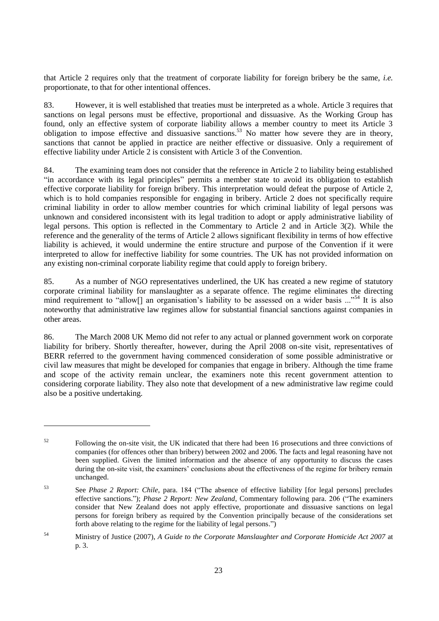that Article 2 requires only that the treatment of corporate liability for foreign bribery be the same, *i.e.* proportionate, to that for other intentional offences.

83. However, it is well established that treaties must be interpreted as a whole. Article 3 requires that sanctions on legal persons must be effective, proportional and dissuasive. As the Working Group has found, only an effective system of corporate liability allows a member country to meet its Article 3 obligation to impose effective and dissuasive sanctions.<sup>53</sup> No matter how severe they are in theory, sanctions that cannot be applied in practice are neither effective or dissuasive. Only a requirement of effective liability under Article 2 is consistent with Article 3 of the Convention.

84. The examining team does not consider that the reference in Article 2 to liability being established ―in accordance with its legal principles‖ permits a member state to avoid its obligation to establish effective corporate liability for foreign bribery. This interpretation would defeat the purpose of Article 2, which is to hold companies responsible for engaging in bribery. Article 2 does not specifically require criminal liability in order to allow member countries for which criminal liability of legal persons was unknown and considered inconsistent with its legal tradition to adopt or apply administrative liability of legal persons. This option is reflected in the Commentary to Article 2 and in Article 3(2). While the reference and the generality of the terms of Article 2 allows significant flexibility in terms of how effective liability is achieved, it would undermine the entire structure and purpose of the Convention if it were interpreted to allow for ineffective liability for some countries. The UK has not provided information on any existing non-criminal corporate liability regime that could apply to foreign bribery.

85. As a number of NGO representatives underlined, the UK has created a new regime of statutory corporate criminal liability for manslaughter as a separate offence. The regime eliminates the directing mind requirement to "allow[] an organisation's liability to be assessed on a wider basis  $\ldots$ <sup>54</sup> It is also noteworthy that administrative law regimes allow for substantial financial sanctions against companies in other areas.

86. The March 2008 UK Memo did not refer to any actual or planned government work on corporate liability for bribery. Shortly thereafter, however, during the April 2008 on-site visit, representatives of BERR referred to the government having commenced consideration of some possible administrative or civil law measures that might be developed for companies that engage in bribery. Although the time frame and scope of the activity remain unclear, the examiners note this recent government attention to considering corporate liability. They also note that development of a new administrative law regime could also be a positive undertaking.

<sup>&</sup>lt;sup>52</sup> Following the on-site visit, the UK indicated that there had been 16 prosecutions and three convictions of companies (for offences other than bribery) between 2002 and 2006. The facts and legal reasoning have not been supplied. Given the limited information and the absence of any opportunity to discuss the cases during the on-site visit, the examiners' conclusions about the effectiveness of the regime for bribery remain unchanged.

<sup>53</sup> See *Phase 2 Report: Chile*, para. 184 ("The absence of effective liability [for legal persons] precludes effective sanctions."); *Phase 2 Report: New Zealand*, Commentary following para. 206 ("The examiners") consider that New Zealand does not apply effective, proportionate and dissuasive sanctions on legal persons for foreign bribery as required by the Convention principally because of the considerations set forth above relating to the regime for the liability of legal persons.")

<sup>54</sup> Ministry of Justice (2007), *A Guide to the Corporate Manslaughter and Corporate Homicide Act 2007* at p. 3.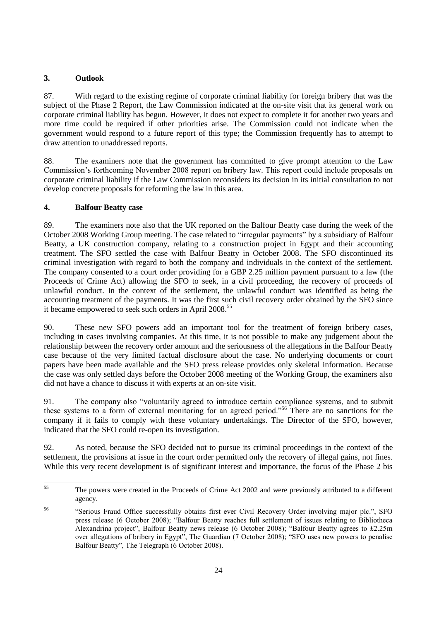## **3. Outlook**

87. With regard to the existing regime of corporate criminal liability for foreign bribery that was the subject of the Phase 2 Report, the Law Commission indicated at the on-site visit that its general work on corporate criminal liability has begun. However, it does not expect to complete it for another two years and more time could be required if other priorities arise. The Commission could not indicate when the government would respond to a future report of this type; the Commission frequently has to attempt to draw attention to unaddressed reports.

88. The examiners note that the government has committed to give prompt attention to the Law Commission's forthcoming November 2008 report on bribery law. This report could include proposals on corporate criminal liability if the Law Commission reconsiders its decision in its initial consultation to not develop concrete proposals for reforming the law in this area.

## **4. Balfour Beatty case**

89. The examiners note also that the UK reported on the Balfour Beatty case during the week of the October 2008 Working Group meeting. The case related to "irregular payments" by a subsidiary of Balfour Beatty, a UK construction company, relating to a construction project in Egypt and their accounting treatment. The SFO settled the case with Balfour Beatty in October 2008. The SFO discontinued its criminal investigation with regard to both the company and individuals in the context of the settlement. The company consented to a court order providing for a GBP 2.25 million payment pursuant to a law (the Proceeds of Crime Act) allowing the SFO to seek, in a civil proceeding, the recovery of proceeds of unlawful conduct. In the context of the settlement, the unlawful conduct was identified as being the accounting treatment of the payments. It was the first such civil recovery order obtained by the SFO since it became empowered to seek such orders in April 2008.<sup>55</sup>

90. These new SFO powers add an important tool for the treatment of foreign bribery cases, including in cases involving companies. At this time, it is not possible to make any judgement about the relationship between the recovery order amount and the seriousness of the allegations in the Balfour Beatty case because of the very limited factual disclosure about the case. No underlying documents or court papers have been made available and the SFO press release provides only skeletal information. Because the case was only settled days before the October 2008 meeting of the Working Group, the examiners also did not have a chance to discuss it with experts at an on-site visit.

91. The company also "voluntarily agreed to introduce certain compliance systems, and to submit these systems to a form of external monitoring for an agreed period."<sup>56</sup> There are no sanctions for the company if it fails to comply with these voluntary undertakings. The Director of the SFO, however, indicated that the SFO could re-open its investigation.

92. As noted, because the SFO decided not to pursue its criminal proceedings in the context of the settlement, the provisions at issue in the court order permitted only the recovery of illegal gains, not fines. While this very recent development is of significant interest and importance, the focus of the Phase 2 bis

 $55$ <sup>55</sup> The powers were created in the Proceeds of Crime Act 2002 and were previously attributed to a different agency.

<sup>&</sup>lt;sup>56</sup> 
Serious Fraud Office successfully obtains first ever Civil Recovery Order involving major plc.", SFO press release (6 October 2008); "Balfour Beatty reaches full settlement of issues relating to Bibliotheca Alexandrina project", Balfour Beatty news release (6 October 2008); "Balfour Beatty agrees to £2.25m over allegations of bribery in Egypt", The Guardian (7 October 2008); "SFO uses new powers to penalise Balfour Beatty", The Telegraph (6 October 2008).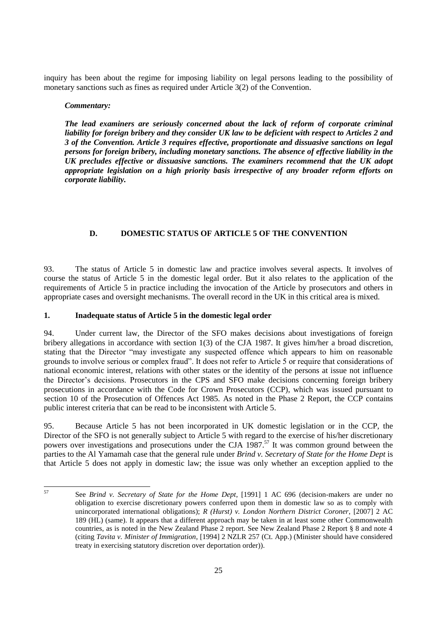inquiry has been about the regime for imposing liability on legal persons leading to the possibility of monetary sanctions such as fines as required under Article 3(2) of the Convention.

#### *Commentary:*

*The lead examiners are seriously concerned about the lack of reform of corporate criminal liability for foreign bribery and they consider UK law to be deficient with respect to Articles 2 and 3 of the Convention. Article 3 requires effective, proportionate and dissuasive sanctions on legal persons for foreign bribery, including monetary sanctions. The absence of effective liability in the UK precludes effective or dissuasive sanctions. The examiners recommend that the UK adopt appropriate legislation on a high priority basis irrespective of any broader reform efforts on corporate liability.* 

## **D. DOMESTIC STATUS OF ARTICLE 5 OF THE CONVENTION**

93. The status of Article 5 in domestic law and practice involves several aspects. It involves of course the status of Article 5 in the domestic legal order. But it also relates to the application of the requirements of Article 5 in practice including the invocation of the Article by prosecutors and others in appropriate cases and oversight mechanisms. The overall record in the UK in this critical area is mixed.

#### **1. Inadequate status of Article 5 in the domestic legal order**

94. Under current law, the Director of the SFO makes decisions about investigations of foreign bribery allegations in accordance with section 1(3) of the CJA 1987. It gives him/her a broad discretion, stating that the Director "may investigate any suspected offence which appears to him on reasonable grounds to involve serious or complex fraud". It does not refer to Article 5 or require that considerations of national economic interest, relations with other states or the identity of the persons at issue not influence the Director's decisions. Prosecutors in the CPS and SFO make decisions concerning foreign bribery prosecutions in accordance with the Code for Crown Prosecutors (CCP), which was issued pursuant to section 10 of the Prosecution of Offences Act 1985. As noted in the Phase 2 Report, the CCP contains public interest criteria that can be read to be inconsistent with Article 5.

95. Because Article 5 has not been incorporated in UK domestic legislation or in the CCP, the Director of the SFO is not generally subject to Article 5 with regard to the exercise of his/her discretionary powers over investigations and prosecutions under the CJA 1987.<sup>57</sup> It was common ground between the parties to the Al Yamamah case that the general rule under *Brind v. Secretary of State for the Home Dept* is that Article 5 does not apply in domestic law; the issue was only whether an exception applied to the

 $57$ 

<sup>57</sup> See *Brind v. Secretary of State for the Home Dept*, [1991] 1 AC 696 (decision-makers are under no obligation to exercise discretionary powers conferred upon them in domestic law so as to comply with unincorporated international obligations); *R (Hurst) v. London Northern District Coroner*, [2007] 2 AC 189 (HL) (same). It appears that a different approach may be taken in at least some other Commonwealth countries, as is noted in the New Zealand Phase 2 report. See New Zealand Phase 2 Report § 8 and note 4 (citing *Tavita v. Minister of Immigration*, [1994] 2 NZLR 257 (Ct. App.) (Minister should have considered treaty in exercising statutory discretion over deportation order)).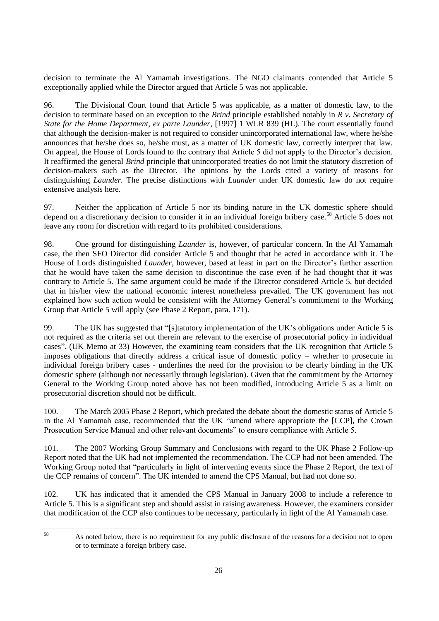decision to terminate the Al Yamamah investigations. The NGO claimants contended that Article 5 exceptionally applied while the Director argued that Article 5 was not applicable.

96. The Divisional Court found that Article 5 was applicable, as a matter of domestic law, to the decision to terminate based on an exception to the *Brind* principle established notably in *R v. Secretary of State for the Home Department, ex parte Launder*, [1997] 1 WLR 839 (HL). The court essentially found that although the decision-maker is not required to consider unincorporated international law, where he/she announces that he/she does so, he/she must, as a matter of UK domestic law, correctly interpret that law. On appeal, the House of Lords found to the contrary that Article 5 did not apply to the Director's decision. It reaffirmed the general *Brind* principle that unincorporated treaties do not limit the statutory discretion of decision-makers such as the Director. The opinions by the Lords cited a variety of reasons for distinguishing *Launder.* The precise distinctions with *Launder* under UK domestic law do not require extensive analysis here.

97. Neither the application of Article 5 nor its binding nature in the UK domestic sphere should depend on a discretionary decision to consider it in an individual foreign bribery case.<sup>58</sup> Article 5 does not leave any room for discretion with regard to its prohibited considerations.

98. One ground for distinguishing *Launder* is, however, of particular concern. In the Al Yamamah case, the then SFO Director did consider Article 5 and thought that he acted in accordance with it. The House of Lords distinguished *Launder*, however, based at least in part on the Director's further assertion that he would have taken the same decision to discontinue the case even if he had thought that it was contrary to Article 5. The same argument could be made if the Director considered Article 5, but decided that in his/her view the national economic interest nonetheless prevailed. The UK government has not explained how such action would be consistent with the Attorney General's commitment to the Working Group that Article 5 will apply (see Phase 2 Report, para. 171).

99. The UK has suggested that "[s]tatutory implementation of the UK's obligations under Article 5 is not required as the criteria set out therein are relevant to the exercise of prosecutorial policy in individual cases‖. (UK Memo at 33) However, the examining team considers that the UK recognition that Article 5 imposes obligations that directly address a critical issue of domestic policy – whether to prosecute in individual foreign bribery cases - underlines the need for the provision to be clearly binding in the UK domestic sphere (although not necessarily through legislation). Given that the commitment by the Attorney General to the Working Group noted above has not been modified, introducing Article 5 as a limit on prosecutorial discretion should not be difficult.

100. The March 2005 Phase 2 Report, which predated the debate about the domestic status of Article 5 in the Al Yamamah case, recommended that the UK "amend where appropriate the [CCP], the Crown Prosecution Service Manual and other relevant documents" to ensure compliance with Article 5.

101. The 2007 Working Group Summary and Conclusions with regard to the UK Phase 2 Follow-up Report noted that the UK had not implemented the recommendation. The CCP had not been amended. The Working Group noted that "particularly in light of intervening events since the Phase 2 Report, the text of the CCP remains of concern". The UK intended to amend the CPS Manual, but had not done so.

102. UK has indicated that it amended the CPS Manual in January 2008 to include a reference to Article 5. This is a significant step and should assist in raising awareness. However, the examiners consider that modification of the CCP also continues to be necessary, particularly in light of the Al Yamamah case.

As noted below, there is no requirement for any public disclosure of the reasons for a decision not to open or to terminate a foreign bribery case.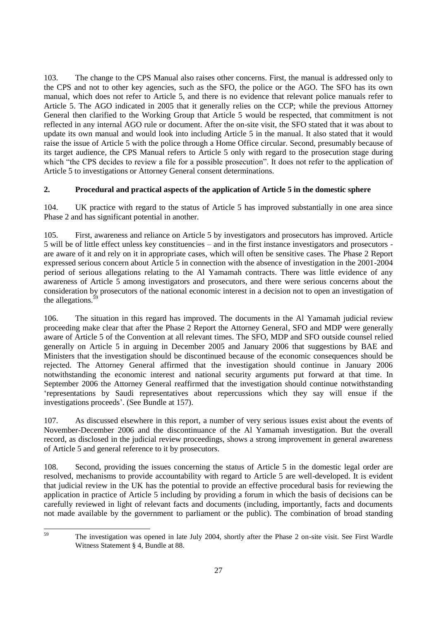103. The change to the CPS Manual also raises other concerns. First, the manual is addressed only to the CPS and not to other key agencies, such as the SFO, the police or the AGO. The SFO has its own manual, which does not refer to Article 5, and there is no evidence that relevant police manuals refer to Article 5. The AGO indicated in 2005 that it generally relies on the CCP; while the previous Attorney General then clarified to the Working Group that Article 5 would be respected, that commitment is not reflected in any internal AGO rule or document. After the on-site visit, the SFO stated that it was about to update its own manual and would look into including Article 5 in the manual. It also stated that it would raise the issue of Article 5 with the police through a Home Office circular. Second, presumably because of its target audience, the CPS Manual refers to Article 5 only with regard to the prosecution stage during which "the CPS decides to review a file for a possible prosecution". It does not refer to the application of Article 5 to investigations or Attorney General consent determinations.

## **2. Procedural and practical aspects of the application of Article 5 in the domestic sphere**

104. UK practice with regard to the status of Article 5 has improved substantially in one area since Phase 2 and has significant potential in another.

105. First, awareness and reliance on Article 5 by investigators and prosecutors has improved. Article 5 will be of little effect unless key constituencies – and in the first instance investigators and prosecutors are aware of it and rely on it in appropriate cases, which will often be sensitive cases. The Phase 2 Report expressed serious concern about Article 5 in connection with the absence of investigation in the 2001-2004 period of serious allegations relating to the Al Yamamah contracts. There was little evidence of any awareness of Article 5 among investigators and prosecutors, and there were serious concerns about the consideration by prosecutors of the national economic interest in a decision not to open an investigation of the allegations.<sup>5</sup>

106. The situation in this regard has improved. The documents in the Al Yamamah judicial review proceeding make clear that after the Phase 2 Report the Attorney General, SFO and MDP were generally aware of Article 5 of the Convention at all relevant times. The SFO, MDP and SFO outside counsel relied generally on Article 5 in arguing in December 2005 and January 2006 that suggestions by BAE and Ministers that the investigation should be discontinued because of the economic consequences should be rejected. The Attorney General affirmed that the investigation should continue in January 2006 notwithstanding the economic interest and national security arguments put forward at that time. In September 2006 the Attorney General reaffirmed that the investigation should continue notwithstanding ‗representations by Saudi representatives about repercussions which they say will ensue if the investigations proceeds'. (See Bundle at 157).

107. As discussed elsewhere in this report, a number of very serious issues exist about the events of November-December 2006 and the discontinuance of the Al Yamamah investigation. But the overall record, as disclosed in the judicial review proceedings, shows a strong improvement in general awareness of Article 5 and general reference to it by prosecutors.

108. Second, providing the issues concerning the status of Article 5 in the domestic legal order are resolved, mechanisms to provide accountability with regard to Article 5 are well-developed. It is evident that judicial review in the UK has the potential to provide an effective procedural basis for reviewing the application in practice of Article 5 including by providing a forum in which the basis of decisions can be carefully reviewed in light of relevant facts and documents (including, importantly, facts and documents not made available by the government to parliament or the public). The combination of broad standing

<sup>59</sup> The investigation was opened in late July 2004, shortly after the Phase 2 on-site visit. See First Wardle Witness Statement § 4, Bundle at 88.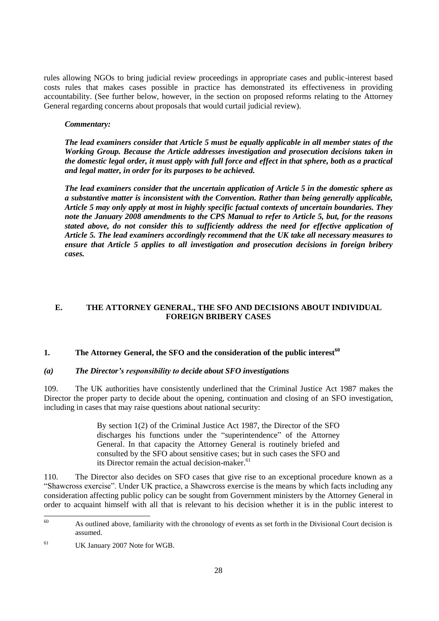rules allowing NGOs to bring judicial review proceedings in appropriate cases and public-interest based costs rules that makes cases possible in practice has demonstrated its effectiveness in providing accountability. (See further below, however, in the section on proposed reforms relating to the Attorney General regarding concerns about proposals that would curtail judicial review).

#### *Commentary:*

*The lead examiners consider that Article 5 must be equally applicable in all member states of the Working Group. Because the Article addresses investigation and prosecution decisions taken in the domestic legal order, it must apply with full force and effect in that sphere, both as a practical and legal matter, in order for its purposes to be achieved.* 

*The lead examiners consider that the uncertain application of Article 5 in the domestic sphere as a substantive matter is inconsistent with the Convention. Rather than being generally applicable, Article 5 may only apply at most in highly specific factual contexts of uncertain boundaries. They note the January 2008 amendments to the CPS Manual to refer to Article 5, but, for the reasons stated above, do not consider this to sufficiently address the need for effective application of Article 5. The lead examiners accordingly recommend that the UK take all necessary measures to ensure that Article 5 applies to all investigation and prosecution decisions in foreign bribery cases.*

## **E. THE ATTORNEY GENERAL, THE SFO AND DECISIONS ABOUT INDIVIDUAL FOREIGN BRIBERY CASES**

## **1. The Attorney General, the SFO and the consideration of the public interest<sup>60</sup>**

#### *(a) The Director's responsibility to decide about SFO investigations*

109. The UK authorities have consistently underlined that the Criminal Justice Act 1987 makes the Director the proper party to decide about the opening, continuation and closing of an SFO investigation, including in cases that may raise questions about national security:

> By section 1(2) of the Criminal Justice Act 1987, the Director of the SFO discharges his functions under the "superintendence" of the Attorney General. In that capacity the Attorney General is routinely briefed and consulted by the SFO about sensitive cases; but in such cases the SFO and its Director remain the actual decision-maker.<sup>61</sup>

110. The Director also decides on SFO cases that give rise to an exceptional procedure known as a ―Shawcross exercise‖. Under UK practice, a Shawcross exercise is the means by which facts including any consideration affecting public policy can be sought from Government ministers by the Attorney General in order to acquaint himself with all that is relevant to his decision whether it is in the public interest to

<sup>60</sup> As outlined above, familiarity with the chronology of events as set forth in the Divisional Court decision is assumed.

<sup>61</sup> UK January 2007 Note for WGB.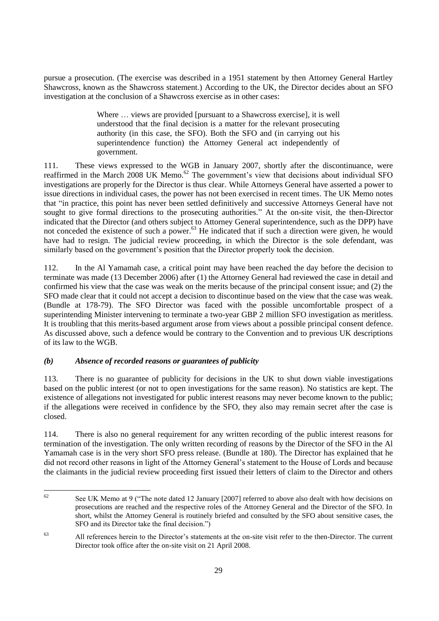pursue a prosecution. (The exercise was described in a 1951 statement by then Attorney General Hartley Shawcross, known as the Shawcross statement.) According to the UK, the Director decides about an SFO investigation at the conclusion of a Shawcross exercise as in other cases:

> Where … views are provided [pursuant to a Shawcross exercise], it is well understood that the final decision is a matter for the relevant prosecuting authority (in this case, the SFO). Both the SFO and (in carrying out his superintendence function) the Attorney General act independently of government.

111. These views expressed to the WGB in January 2007, shortly after the discontinuance, were reaffirmed in the March  $2008$  UK Memo.<sup>62</sup> The government's view that decisions about individual SFO investigations are properly for the Director is thus clear. While Attorneys General have asserted a power to issue directions in individual cases, the power has not been exercised in recent times. The UK Memo notes that "in practice, this point has never been settled definitively and successive Attorneys General have not sought to give formal directions to the prosecuting authorities." At the on-site visit, the then-Director indicated that the Director (and others subject to Attorney General superintendence, such as the DPP) have not conceded the existence of such a power.<sup>63</sup> He indicated that if such a direction were given, he would have had to resign. The judicial review proceeding, in which the Director is the sole defendant, was similarly based on the government's position that the Director properly took the decision.

112. In the Al Yamamah case, a critical point may have been reached the day before the decision to terminate was made (13 December 2006) after (1) the Attorney General had reviewed the case in detail and confirmed his view that the case was weak on the merits because of the principal consent issue; and (2) the SFO made clear that it could not accept a decision to discontinue based on the view that the case was weak. (Bundle at 178-79). The SFO Director was faced with the possible uncomfortable prospect of a superintending Minister intervening to terminate a two-year GBP 2 million SFO investigation as meritless. It is troubling that this merits-based argument arose from views about a possible principal consent defence. As discussed above, such a defence would be contrary to the Convention and to previous UK descriptions of its law to the WGB.

## *(b) Absence of recorded reasons or guarantees of publicity*

113. There is no guarantee of publicity for decisions in the UK to shut down viable investigations based on the public interest (or not to open investigations for the same reason). No statistics are kept. The existence of allegations not investigated for public interest reasons may never become known to the public; if the allegations were received in confidence by the SFO, they also may remain secret after the case is closed.

114. There is also no general requirement for any written recording of the public interest reasons for termination of the investigation. The only written recording of reasons by the Director of the SFO in the Al Yamamah case is in the very short SFO press release. (Bundle at 180). The Director has explained that he did not record other reasons in light of the Attorney General's statement to the House of Lords and because the claimants in the judicial review proceeding first issued their letters of claim to the Director and others

 $62$ See UK Memo at 9 ("The note dated 12 January [2007] referred to above also dealt with how decisions on prosecutions are reached and the respective roles of the Attorney General and the Director of the SFO. In short, whilst the Attorney General is routinely briefed and consulted by the SFO about sensitive cases, the SFO and its Director take the final decision."

<sup>63</sup> All references herein to the Director's statements at the on-site visit refer to the then-Director. The current Director took office after the on-site visit on 21 April 2008.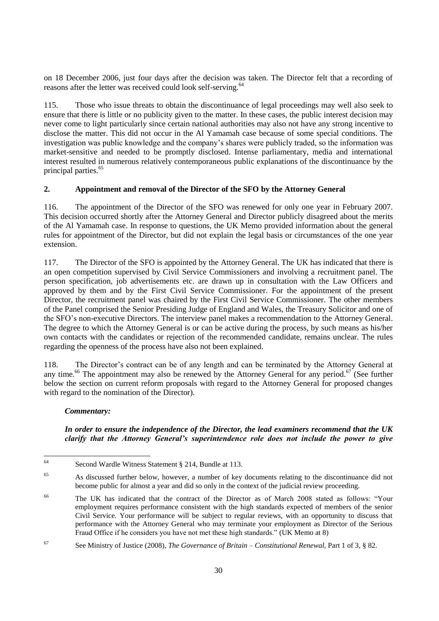on 18 December 2006, just four days after the decision was taken. The Director felt that a recording of reasons after the letter was received could look self-serving.<sup>64</sup>

115. Those who issue threats to obtain the discontinuance of legal proceedings may well also seek to ensure that there is little or no publicity given to the matter. In these cases, the public interest decision may never come to light particularly since certain national authorities may also not have any strong incentive to disclose the matter. This did not occur in the Al Yamamah case because of some special conditions. The investigation was public knowledge and the company's shares were publicly traded, so the information was market-sensitive and needed to be promptly disclosed. Intense parliamentary, media and international interest resulted in numerous relatively contemporaneous public explanations of the discontinuance by the principal parties.<sup>65</sup>

## **2. Appointment and removal of the Director of the SFO by the Attorney General**

116. The appointment of the Director of the SFO was renewed for only one year in February 2007. This decision occurred shortly after the Attorney General and Director publicly disagreed about the merits of the Al Yamamah case. In response to questions, the UK Memo provided information about the general rules for appointment of the Director, but did not explain the legal basis or circumstances of the one year extension.

117. The Director of the SFO is appointed by the Attorney General. The UK has indicated that there is an open competition supervised by Civil Service Commissioners and involving a recruitment panel. The person specification, job advertisements etc. are drawn up in consultation with the Law Officers and approved by them and by the First Civil Service Commissioner. For the appointment of the present Director, the recruitment panel was chaired by the First Civil Service Commissioner. The other members of the Panel comprised the Senior Presiding Judge of England and Wales, the Treasury Solicitor and one of the SFO's non-executive Directors. The interview panel makes a recommendation to the Attorney General. The degree to which the Attorney General is or can be active during the process, by such means as his/her own contacts with the candidates or rejection of the recommended candidate, remains unclear. The rules regarding the openness of the process have also not been explained.

118. The Director's contract can be of any length and can be terminated by the Attorney General at any time.<sup>66</sup> The appointment may also be renewed by the Attorney General for any period.<sup>67</sup> (See further below the section on current reform proposals with regard to the Attorney General for proposed changes with regard to the nomination of the Director).

#### *Commentary:*

## *In order to ensure the independence of the Director, the lead examiners recommend that the UK clarify that the Attorney General's superintendence role does not include the power to give*

<sup>64</sup> Second Wardle Witness Statement § 214, Bundle at 113.

<sup>65</sup> As discussed further below, however, a number of key documents relating to the discontinuance did not become public for almost a year and did so only in the context of the judicial review proceeding.

<sup>&</sup>lt;sup>66</sup> The UK has indicated that the contract of the Director as of March 2008 stated as follows: "Your employment requires performance consistent with the high standards expected of members of the senior Civil Service. Your performance will be subject to regular reviews, with an opportunity to discuss that performance with the Attorney General who may terminate your employment as Director of the Serious Fraud Office if he considers you have not met these high standards." (UK Memo at 8)

<sup>67</sup> See Ministry of Justice (2008), *The Governance of Britain – Constitutional Renewal*, Part 1 of 3, § 82.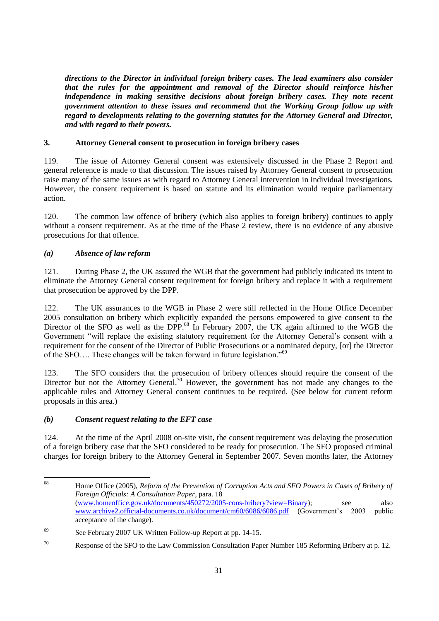*directions to the Director in individual foreign bribery cases. The lead examiners also consider that the rules for the appointment and removal of the Director should reinforce his/her independence in making sensitive decisions about foreign bribery cases. They note recent government attention to these issues and recommend that the Working Group follow up with regard to developments relating to the governing statutes for the Attorney General and Director, and with regard to their powers.* 

## **3. Attorney General consent to prosecution in foreign bribery cases**

119. The issue of Attorney General consent was extensively discussed in the Phase 2 Report and general reference is made to that discussion. The issues raised by Attorney General consent to prosecution raise many of the same issues as with regard to Attorney General intervention in individual investigations. However, the consent requirement is based on statute and its elimination would require parliamentary action.

120. The common law offence of bribery (which also applies to foreign bribery) continues to apply without a consent requirement. As at the time of the Phase 2 review, there is no evidence of any abusive prosecutions for that offence.

## *(a) Absence of law reform*

121. During Phase 2, the UK assured the WGB that the government had publicly indicated its intent to eliminate the Attorney General consent requirement for foreign bribery and replace it with a requirement that prosecution be approved by the DPP.

122. The UK assurances to the WGB in Phase 2 were still reflected in the Home Office December 2005 consultation on bribery which explicitly expanded the persons empowered to give consent to the Director of the SFO as well as the DPP.<sup>68</sup> In February 2007, the UK again affirmed to the WGB the Government "will replace the existing statutory requirement for the Attorney General's consent with a requirement for the consent of the Director of Public Prosecutions or a nominated deputy, [or] the Director of the SFO.... These changes will be taken forward in future legislation.<sup>769</sup>

123. The SFO considers that the prosecution of bribery offences should require the consent of the Director but not the Attorney General.<sup>70</sup> However, the government has not made any changes to the applicable rules and Attorney General consent continues to be required. (See below for current reform proposals in this area.)

## *(b) Consent request relating to the EFT case*

124. At the time of the April 2008 on-site visit, the consent requirement was delaying the prosecution of a foreign bribery case that the SFO considered to be ready for prosecution. The SFO proposed criminal charges for foreign bribery to the Attorney General in September 2007. Seven months later, the Attorney

<sup>68</sup> <sup>68</sup> Home Office (2005), *Reform of the Prevention of Corruption Acts and SFO Powers in Cases of Bribery of Foreign Officials: A Consultation Paper*, para. 18 [\(www.homeoffice.gov.uk/documents/450272/2005-cons-bribery?view=Binary\)](http://www.homeoffice.gov.uk/documents/450272/2005-cons-bribery?view=Binary); see also [www.archive2.official-documents.co.uk/document/cm60/6086/6086.pdf](http://www.archive2.official-documents.co.uk/document/cm60/6086/6086.pdf) (Government's 2003 public acceptance of the change).

<sup>69</sup> See February 2007 UK Written Follow-up Report at pp. 14-15.

<sup>&</sup>lt;sup>70</sup> Response of the SFO to the Law Commission Consultation Paper Number 185 Reforming Bribery at p. 12.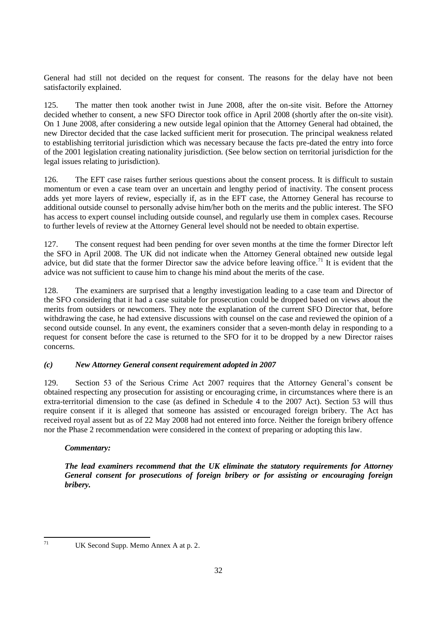General had still not decided on the request for consent. The reasons for the delay have not been satisfactorily explained.

125. The matter then took another twist in June 2008, after the on-site visit. Before the Attorney decided whether to consent, a new SFO Director took office in April 2008 (shortly after the on-site visit). On 1 June 2008, after considering a new outside legal opinion that the Attorney General had obtained, the new Director decided that the case lacked sufficient merit for prosecution. The principal weakness related to establishing territorial jurisdiction which was necessary because the facts pre-dated the entry into force of the 2001 legislation creating nationality jurisdiction. (See below section on territorial jurisdiction for the legal issues relating to jurisdiction).

126. The EFT case raises further serious questions about the consent process. It is difficult to sustain momentum or even a case team over an uncertain and lengthy period of inactivity. The consent process adds yet more layers of review, especially if, as in the EFT case, the Attorney General has recourse to additional outside counsel to personally advise him/her both on the merits and the public interest. The SFO has access to expert counsel including outside counsel, and regularly use them in complex cases. Recourse to further levels of review at the Attorney General level should not be needed to obtain expertise.

127. The consent request had been pending for over seven months at the time the former Director left the SFO in April 2008. The UK did not indicate when the Attorney General obtained new outside legal advice, but did state that the former Director saw the advice before leaving office.<sup>71</sup> It is evident that the advice was not sufficient to cause him to change his mind about the merits of the case.

128. The examiners are surprised that a lengthy investigation leading to a case team and Director of the SFO considering that it had a case suitable for prosecution could be dropped based on views about the merits from outsiders or newcomers. They note the explanation of the current SFO Director that, before withdrawing the case, he had extensive discussions with counsel on the case and reviewed the opinion of a second outside counsel. In any event, the examiners consider that a seven-month delay in responding to a request for consent before the case is returned to the SFO for it to be dropped by a new Director raises concerns.

#### *(c) New Attorney General consent requirement adopted in 2007*

129. Section 53 of the Serious Crime Act 2007 requires that the Attorney General's consent be obtained respecting any prosecution for assisting or encouraging crime, in circumstances where there is an extra-territorial dimension to the case (as defined in Schedule 4 to the 2007 Act). Section 53 will thus require consent if it is alleged that someone has assisted or encouraged foreign bribery. The Act has received royal assent but as of 22 May 2008 had not entered into force. Neither the foreign bribery offence nor the Phase 2 recommendation were considered in the context of preparing or adopting this law.

## *Commentary:*

*The lead examiners recommend that the UK eliminate the statutory requirements for Attorney General consent for prosecutions of foreign bribery or for assisting or encouraging foreign bribery.* 

UK Second Supp. Memo Annex A at p. 2.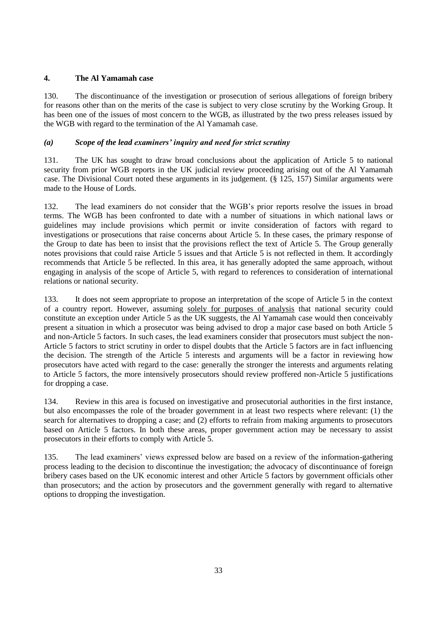## **4. The Al Yamamah case**

130. The discontinuance of the investigation or prosecution of serious allegations of foreign bribery for reasons other than on the merits of the case is subject to very close scrutiny by the Working Group. It has been one of the issues of most concern to the WGB, as illustrated by the two press releases issued by the WGB with regard to the termination of the Al Yamamah case.

## *(a) Scope of the lead examiners' inquiry and need for strict scrutiny*

131. The UK has sought to draw broad conclusions about the application of Article 5 to national security from prior WGB reports in the UK judicial review proceeding arising out of the Al Yamamah case. The Divisional Court noted these arguments in its judgement. (§ 125, 157) Similar arguments were made to the House of Lords.

132. The lead examiners do not consider that the WGB's prior reports resolve the issues in broad terms. The WGB has been confronted to date with a number of situations in which national laws or guidelines may include provisions which permit or invite consideration of factors with regard to investigations or prosecutions that raise concerns about Article 5. In these cases, the primary response of the Group to date has been to insist that the provisions reflect the text of Article 5. The Group generally notes provisions that could raise Article 5 issues and that Article 5 is not reflected in them. It accordingly recommends that Article 5 be reflected. In this area, it has generally adopted the same approach, without engaging in analysis of the scope of Article 5, with regard to references to consideration of international relations or national security.

133. It does not seem appropriate to propose an interpretation of the scope of Article 5 in the context of a country report. However, assuming solely for purposes of analysis that national security could constitute an exception under Article 5 as the UK suggests, the Al Yamamah case would then conceivably present a situation in which a prosecutor was being advised to drop a major case based on both Article 5 and non-Article 5 factors. In such cases, the lead examiners consider that prosecutors must subject the non-Article 5 factors to strict scrutiny in order to dispel doubts that the Article 5 factors are in fact influencing the decision. The strength of the Article 5 interests and arguments will be a factor in reviewing how prosecutors have acted with regard to the case: generally the stronger the interests and arguments relating to Article 5 factors, the more intensively prosecutors should review proffered non-Article 5 justifications for dropping a case.

134. Review in this area is focused on investigative and prosecutorial authorities in the first instance, but also encompasses the role of the broader government in at least two respects where relevant: (1) the search for alternatives to dropping a case; and (2) efforts to refrain from making arguments to prosecutors based on Article 5 factors. In both these areas, proper government action may be necessary to assist prosecutors in their efforts to comply with Article 5.

135. The lead examiners' views expressed below are based on a review of the information-gathering process leading to the decision to discontinue the investigation; the advocacy of discontinuance of foreign bribery cases based on the UK economic interest and other Article 5 factors by government officials other than prosecutors; and the action by prosecutors and the government generally with regard to alternative options to dropping the investigation.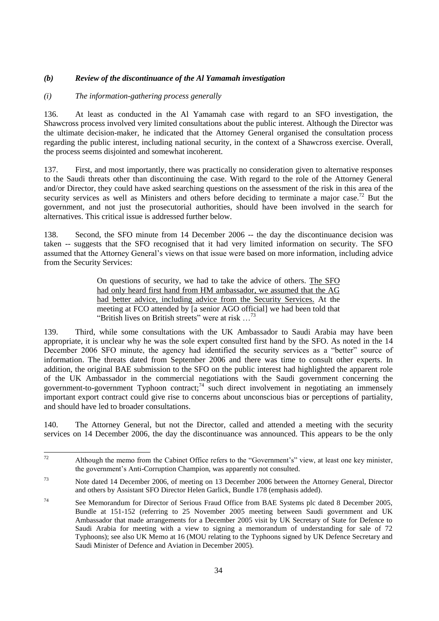## *(b) Review of the discontinuance of the Al Yamamah investigation*

#### *(i) The information-gathering process generally*

136. At least as conducted in the Al Yamamah case with regard to an SFO investigation, the Shawcross process involved very limited consultations about the public interest. Although the Director was the ultimate decision-maker, he indicated that the Attorney General organised the consultation process regarding the public interest, including national security, in the context of a Shawcross exercise. Overall, the process seems disjointed and somewhat incoherent.

137. First, and most importantly, there was practically no consideration given to alternative responses to the Saudi threats other than discontinuing the case. With regard to the role of the Attorney General and/or Director, they could have asked searching questions on the assessment of the risk in this area of the security services as well as Ministers and others before deciding to terminate a major case.<sup>72</sup> But the government, and not just the prosecutorial authorities, should have been involved in the search for alternatives. This critical issue is addressed further below.

138. Second, the SFO minute from 14 December 2006 -- the day the discontinuance decision was taken -- suggests that the SFO recognised that it had very limited information on security. The SFO assumed that the Attorney General's views on that issue were based on more information, including advice from the Security Services:

> On questions of security, we had to take the advice of others. The SFO had only heard first hand from HM ambassador, we assumed that the AG had better advice, including advice from the Security Services. At the meeting at FCO attended by [a senior AGO official] we had been told that "British lives on British streets" were at risk  $\ldots$ <sup>73</sup>

139. Third, while some consultations with the UK Ambassador to Saudi Arabia may have been appropriate, it is unclear why he was the sole expert consulted first hand by the SFO. As noted in the 14 December 2006 SFO minute, the agency had identified the security services as a "better" source of information. The threats dated from September 2006 and there was time to consult other experts. In addition, the original BAE submission to the SFO on the public interest had highlighted the apparent role of the UK Ambassador in the commercial negotiations with the Saudi government concerning the government-to-government Typhoon contract;<sup>74</sup> such direct involvement in negotiating an immensely important export contract could give rise to concerns about unconscious bias or perceptions of partiality, and should have led to broader consultations.

140. The Attorney General, but not the Director, called and attended a meeting with the security services on 14 December 2006, the day the discontinuance was announced. This appears to be the only

 $72$ Although the memo from the Cabinet Office refers to the "Government's" view, at least one key minister, the government's Anti-Corruption Champion, was apparently not consulted.

<sup>73</sup> Note dated 14 December 2006, of meeting on 13 December 2006 between the Attorney General, Director and others by Assistant SFO Director Helen Garlick, Bundle 178 (emphasis added).

<sup>&</sup>lt;sup>74</sup> See Memorandum for Director of Serious Fraud Office from BAE Systems plc dated 8 December 2005, Bundle at 151-152 (referring to 25 November 2005 meeting between Saudi government and UK Ambassador that made arrangements for a December 2005 visit by UK Secretary of State for Defence to Saudi Arabia for meeting with a view to signing a memorandum of understanding for sale of 72 Typhoons); see also UK Memo at 16 (MOU relating to the Typhoons signed by UK Defence Secretary and Saudi Minister of Defence and Aviation in December 2005).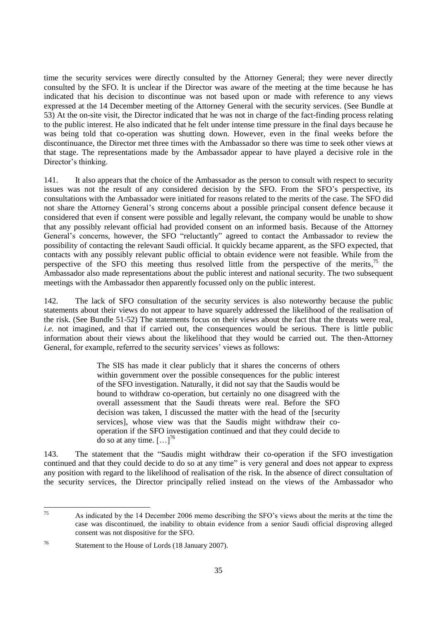time the security services were directly consulted by the Attorney General; they were never directly consulted by the SFO. It is unclear if the Director was aware of the meeting at the time because he has indicated that his decision to discontinue was not based upon or made with reference to any views expressed at the 14 December meeting of the Attorney General with the security services. (See Bundle at 53) At the on-site visit, the Director indicated that he was not in charge of the fact-finding process relating to the public interest. He also indicated that he felt under intense time pressure in the final days because he was being told that co-operation was shutting down. However, even in the final weeks before the discontinuance, the Director met three times with the Ambassador so there was time to seek other views at that stage. The representations made by the Ambassador appear to have played a decisive role in the Director's thinking.

141. It also appears that the choice of the Ambassador as the person to consult with respect to security issues was not the result of any considered decision by the SFO. From the SFO's perspective, its consultations with the Ambassador were initiated for reasons related to the merits of the case. The SFO did not share the Attorney General's strong concerns about a possible principal consent defence because it considered that even if consent were possible and legally relevant, the company would be unable to show that any possibly relevant official had provided consent on an informed basis. Because of the Attorney General's concerns, however, the SFO "reluctantly" agreed to contact the Ambassador to review the possibility of contacting the relevant Saudi official. It quickly became apparent, as the SFO expected, that contacts with any possibly relevant public official to obtain evidence were not feasible. While from the perspective of the SFO this meeting thus resolved little from the perspective of the merits,<sup>75</sup> the Ambassador also made representations about the public interest and national security. The two subsequent meetings with the Ambassador then apparently focussed only on the public interest.

142. The lack of SFO consultation of the security services is also noteworthy because the public statements about their views do not appear to have squarely addressed the likelihood of the realisation of the risk. (See Bundle 51-52) The statements focus on their views about the fact that the threats were real, *i.e.* not imagined, and that if carried out, the consequences would be serious. There is little public information about their views about the likelihood that they would be carried out. The then-Attorney General, for example, referred to the security services' views as follows:

> The SIS has made it clear publicly that it shares the concerns of others within government over the possible consequences for the public interest of the SFO investigation. Naturally, it did not say that the Saudis would be bound to withdraw co-operation, but certainly no one disagreed with the overall assessment that the Saudi threats were real. Before the SFO decision was taken, I discussed the matter with the head of the [security services], whose view was that the Saudis might withdraw their cooperation if the SFO investigation continued and that they could decide to do so at any time.  $[\dots]^{76}$

143. The statement that the "Saudis might withdraw their co-operation if the SFO investigation continued and that they could decide to do so at any time" is very general and does not appear to express any position with regard to the likelihood of realisation of the risk. In the absence of direct consultation of the security services, the Director principally relied instead on the views of the Ambassador who

<sup>75</sup> <sup>75</sup> As indicated by the 14 December 2006 memo describing the SFO's views about the merits at the time the case was discontinued, the inability to obtain evidence from a senior Saudi official disproving alleged consent was not dispositive for the SFO.

<sup>76</sup> Statement to the House of Lords (18 January 2007).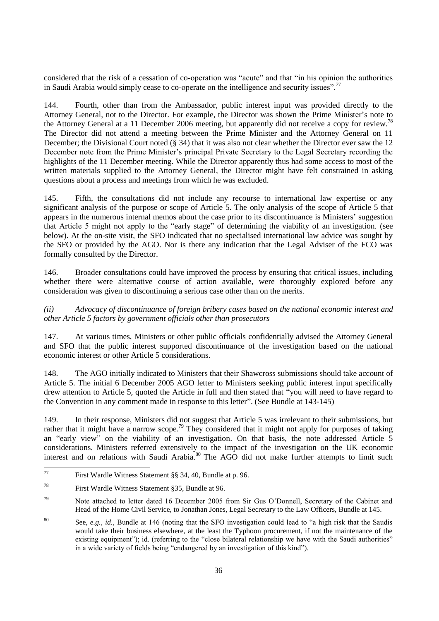considered that the risk of a cessation of co-operation was "acute" and that "in his opinion the authorities in Saudi Arabia would simply cease to co-operate on the intelligence and security issues".<sup>77</sup>

144. Fourth, other than from the Ambassador, public interest input was provided directly to the Attorney General, not to the Director. For example, the Director was shown the Prime Minister's note to the Attorney General at a 11 December 2006 meeting, but apparently did not receive a copy for review.<sup>78</sup> The Director did not attend a meeting between the Prime Minister and the Attorney General on 11 December; the Divisional Court noted (§ 34) that it was also not clear whether the Director ever saw the 12 December note from the Prime Minister's principal Private Secretary to the Legal Secretary recording the highlights of the 11 December meeting. While the Director apparently thus had some access to most of the written materials supplied to the Attorney General, the Director might have felt constrained in asking questions about a process and meetings from which he was excluded.

145. Fifth, the consultations did not include any recourse to international law expertise or any significant analysis of the purpose or scope of Article 5. The only analysis of the scope of Article 5 that appears in the numerous internal memos about the case prior to its discontinuance is Ministers' suggestion that Article 5 might not apply to the "early stage" of determining the viability of an investigation. (see below). At the on-site visit, the SFO indicated that no specialised international law advice was sought by the SFO or provided by the AGO. Nor is there any indication that the Legal Adviser of the FCO was formally consulted by the Director.

146. Broader consultations could have improved the process by ensuring that critical issues, including whether there were alternative course of action available, were thoroughly explored before any consideration was given to discontinuing a serious case other than on the merits.

*(ii) Advocacy of discontinuance of foreign bribery cases based on the national economic interest and other Article 5 factors by government officials other than prosecutors*

147. At various times, Ministers or other public officials confidentially advised the Attorney General and SFO that the public interest supported discontinuance of the investigation based on the national economic interest or other Article 5 considerations.

148. The AGO initially indicated to Ministers that their Shawcross submissions should take account of Article 5. The initial 6 December 2005 AGO letter to Ministers seeking public interest input specifically drew attention to Article 5, quoted the Article in full and then stated that "you will need to have regard to the Convention in any comment made in response to this letter". (See Bundle at 143-145)

149. In their response, Ministers did not suggest that Article 5 was irrelevant to their submissions, but rather that it might have a narrow scope.<sup>79</sup> They considered that it might not apply for purposes of taking an "early view" on the viability of an investigation. On that basis, the note addressed Article  $\bar{5}$ considerations. Ministers referred extensively to the impact of the investigation on the UK economic interest and on relations with Saudi Arabia.<sup>80</sup> The AGO did not make further attempts to limit such

<sup>77</sup> First Wardle Witness Statement §§ 34, 40, Bundle at p. 96.

<sup>78</sup> First Wardle Witness Statement §35, Bundle at 96.

<sup>79</sup> Note attached to letter dated 16 December 2005 from Sir Gus O'Donnell, Secretary of the Cabinet and Head of the Home Civil Service, to Jonathan Jones, Legal Secretary to the Law Officers, Bundle at 145.

<sup>80</sup> See, *e.g.*, *id.*, Bundle at 146 (noting that the SFO investigation could lead to "a high risk that the Saudis would take their business elsewhere, at the least the Typhoon procurement, if not the maintenance of the existing equipment"); id. (referring to the "close bilateral relationship we have with the Saudi authorities" in a wide variety of fields being "endangered by an investigation of this kind").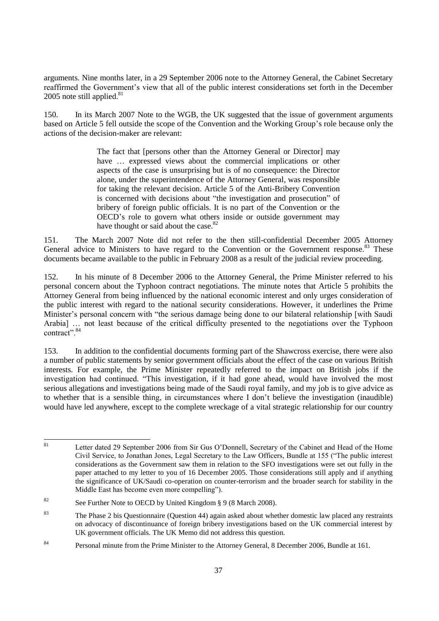arguments. Nine months later, in a 29 September 2006 note to the Attorney General, the Cabinet Secretary reaffirmed the Government's view that all of the public interest considerations set forth in the December 2005 note still applied. $81$ 

150. In its March 2007 Note to the WGB, the UK suggested that the issue of government arguments based on Article 5 fell outside the scope of the Convention and the Working Group's role because only the actions of the decision-maker are relevant:

> The fact that [persons other than the Attorney General or Director] may have ... expressed views about the commercial implications or other aspects of the case is unsurprising but is of no consequence: the Director alone, under the superintendence of the Attorney General, was responsible for taking the relevant decision. Article 5 of the Anti-Bribery Convention is concerned with decisions about "the investigation and prosecution" of bribery of foreign public officials. It is no part of the Convention or the OECD's role to govern what others inside or outside government may have thought or said about the case.<sup>82</sup>

151. The March 2007 Note did not refer to the then still-confidential December 2005 Attorney General advice to Ministers to have regard to the Convention or the Government response.<sup>83</sup> These documents became available to the public in February 2008 as a result of the judicial review proceeding.

152. In his minute of 8 December 2006 to the Attorney General, the Prime Minister referred to his personal concern about the Typhoon contract negotiations. The minute notes that Article 5 prohibits the Attorney General from being influenced by the national economic interest and only urges consideration of the public interest with regard to the national security considerations. However, it underlines the Prime Minister's personal concern with "the serious damage being done to our bilateral relationship [with Saudi Arabia] … not least because of the critical difficulty presented to the negotiations over the Typhoon contract". 84

153. In addition to the confidential documents forming part of the Shawcross exercise, there were also a number of public statements by senior government officials about the effect of the case on various British interests. For example, the Prime Minister repeatedly referred to the impact on British jobs if the investigation had continued. "This investigation, if it had gone ahead, would have involved the most serious allegations and investigations being made of the Saudi royal family, and my job is to give advice as to whether that is a sensible thing, in circumstances where I don't believe the investigation (inaudible) would have led anywhere, except to the complete wreckage of a vital strategic relationship for our country

 $\overline{81}$ Letter dated 29 September 2006 from Sir Gus O'Donnell, Secretary of the Cabinet and Head of the Home Civil Service, to Jonathan Jones, Legal Secretary to the Law Officers, Bundle at 155 ("The public interest considerations as the Government saw them in relation to the SFO investigations were set out fully in the paper attached to my letter to you of 16 December 2005. Those considerations still apply and if anything the significance of UK/Saudi co-operation on counter-terrorism and the broader search for stability in the Middle East has become even more compelling").

<sup>&</sup>lt;sup>82</sup> See Further Note to OECD by United Kingdom § 9 (8 March 2008).

<sup>&</sup>lt;sup>83</sup> The Phase 2 bis Questionnaire (Question 44) again asked about whether domestic law placed any restraints on advocacy of discontinuance of foreign bribery investigations based on the UK commercial interest by UK government officials. The UK Memo did not address this question.

<sup>&</sup>lt;sup>84</sup> Personal minute from the Prime Minister to the Attorney General, 8 December 2006, Bundle at 161.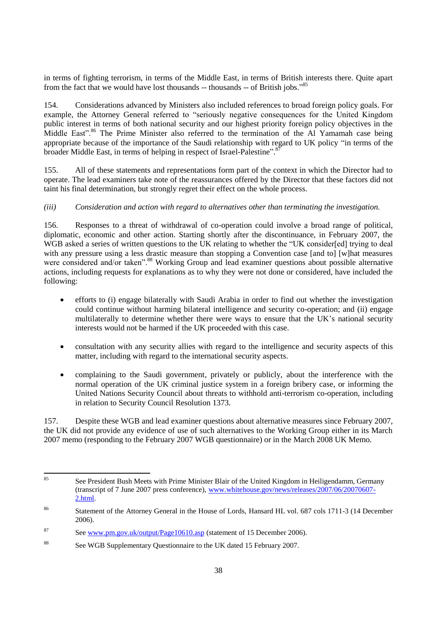in terms of fighting terrorism, in terms of the Middle East, in terms of British interests there. Quite apart from the fact that we would have lost thousands -- thousands -- of British jobs."<sup>85</sup>

154. Considerations advanced by Ministers also included references to broad foreign policy goals. For example, the Attorney General referred to "seriously negative consequences for the United Kingdom public interest in terms of both national security and our highest priority foreign policy objectives in the Middle East".<sup>86</sup> The Prime Minister also referred to the termination of the Al Yamamah case being appropriate because of the importance of the Saudi relationship with regard to UK policy "in terms of the broader Middle East, in terms of helping in respect of Israel-Palestine".<sup>87</sup>

155. All of these statements and representations form part of the context in which the Director had to operate. The lead examiners take note of the reassurances offered by the Director that these factors did not taint his final determination, but strongly regret their effect on the whole process.

## *(iii) Consideration and action with regard to alternatives other than terminating the investigation.*

156. Responses to a threat of withdrawal of co-operation could involve a broad range of political, diplomatic, economic and other action. Starting shortly after the discontinuance, in February 2007, the WGB asked a series of written questions to the UK relating to whether the "UK consider[ed] trying to deal with any pressure using a less drastic measure than stopping a Convention case [and to] [w]hat measures were considered and/or taken".<sup>88</sup> Working Group and lead examiner questions about possible alternative actions, including requests for explanations as to why they were not done or considered, have included the following:

- efforts to (i) engage bilaterally with Saudi Arabia in order to find out whether the investigation could continue without harming bilateral intelligence and security co-operation; and (ii) engage multilaterally to determine whether there were ways to ensure that the UK's national security interests would not be harmed if the UK proceeded with this case.
- consultation with any security allies with regard to the intelligence and security aspects of this matter, including with regard to the international security aspects.
- complaining to the Saudi government, privately or publicly, about the interference with the normal operation of the UK criminal justice system in a foreign bribery case, or informing the United Nations Security Council about threats to withhold anti-terrorism co-operation, including in relation to Security Council Resolution 1373.

157. Despite these WGB and lead examiner questions about alternative measures since February 2007, the UK did not provide any evidence of use of such alternatives to the Working Group either in its March 2007 memo (responding to the February 2007 WGB questionnaire) or in the March 2008 UK Memo.

<sup>85</sup> See President Bush Meets with Prime Minister Blair of the United Kingdom in Heiligendamm, Germany (transcript of 7 June 2007 press conference), [www.whitehouse.gov/news/releases/2007/06/20070607-](http://www.whitehouse.gov/news/releases/2007/06/20070607-2.html) [2.html.](http://www.whitehouse.gov/news/releases/2007/06/20070607-2.html)

<sup>86</sup> Statement of the Attorney General in the House of Lords, Hansard HL vol. 687 cols 1711-3 (14 December 2006).

<sup>87</sup> See [www.pm.gov.uk/output/Page10610.asp](http://www.pm.gov.uk/output/Page10610.asp) (statement of 15 December 2006).

<sup>&</sup>lt;sup>88</sup> See WGB Supplementary Questionnaire to the UK dated 15 February 2007.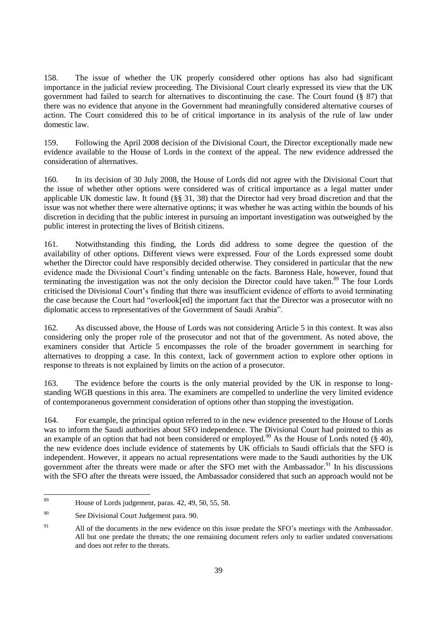158. The issue of whether the UK properly considered other options has also had significant importance in the judicial review proceeding. The Divisional Court clearly expressed its view that the UK government had failed to search for alternatives to discontinuing the case. The Court found (§ 87) that there was no evidence that anyone in the Government had meaningfully considered alternative courses of action. The Court considered this to be of critical importance in its analysis of the rule of law under domestic law.

159. Following the April 2008 decision of the Divisional Court, the Director exceptionally made new evidence available to the House of Lords in the context of the appeal. The new evidence addressed the consideration of alternatives.

160. In its decision of 30 July 2008, the House of Lords did not agree with the Divisional Court that the issue of whether other options were considered was of critical importance as a legal matter under applicable UK domestic law. It found (§§ 31, 38) that the Director had very broad discretion and that the issue was not whether there were alternative options; it was whether he was acting within the bounds of his discretion in deciding that the public interest in pursuing an important investigation was outweighed by the public interest in protecting the lives of British citizens.

161. Notwithstanding this finding, the Lords did address to some degree the question of the availability of other options. Different views were expressed. Four of the Lords expressed some doubt whether the Director could have responsibly decided otherwise. They considered in particular that the new evidence made the Divisional Court's finding untenable on the facts. Baroness Hale, however, found that terminating the investigation was not the only decision the Director could have taken. <sup>89</sup> The four Lords criticised the Divisional Court's finding that there was insufficient evidence of efforts to avoid terminating the case because the Court had "overlook[ed] the important fact that the Director was a prosecutor with no diplomatic access to representatives of the Government of Saudi Arabia".

162. As discussed above, the House of Lords was not considering Article 5 in this context. It was also considering only the proper role of the prosecutor and not that of the government. As noted above, the examiners consider that Article 5 encompasses the role of the broader government in searching for alternatives to dropping a case. In this context, lack of government action to explore other options in response to threats is not explained by limits on the action of a prosecutor.

163. The evidence before the courts is the only material provided by the UK in response to longstanding WGB questions in this area. The examiners are compelled to underline the very limited evidence of contemporaneous government consideration of options other than stopping the investigation.

164. For example, the principal option referred to in the new evidence presented to the House of Lords was to inform the Saudi authorities about SFO independence. The Divisional Court had pointed to this as an example of an option that had not been considered or employed.<sup>90</sup> As the House of Lords noted ( $\S$  40), the new evidence does include evidence of statements by UK officials to Saudi officials that the SFO is independent. However, it appears no actual representations were made to the Saudi authorities by the UK government after the threats were made or after the SFO met with the Ambassador.<sup>91</sup> In his discussions with the SFO after the threats were issued, the Ambassador considered that such an approach would not be

 $\overline{80}$ House of Lords judgement, paras. 42, 49, 50, 55, 58.

<sup>90</sup> See Divisional Court Judgement para. 90.

<sup>&</sup>lt;sup>91</sup> All of the documents in the new evidence on this issue predate the SFO's meetings with the Ambassador. All but one predate the threats; the one remaining document refers only to earlier undated conversations and does not refer to the threats.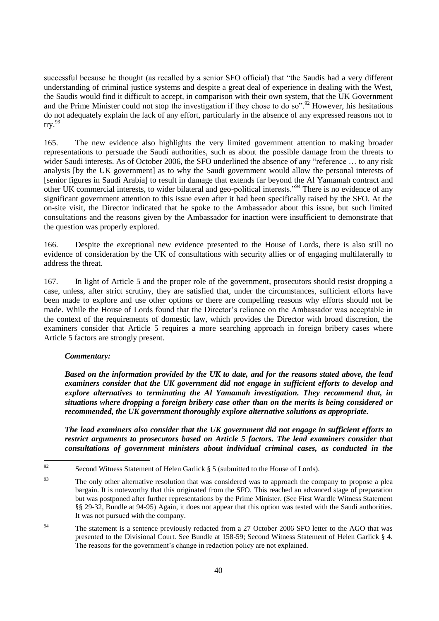successful because he thought (as recalled by a senior SFO official) that "the Saudis had a very different understanding of criminal justice systems and despite a great deal of experience in dealing with the West, the Saudis would find it difficult to accept, in comparison with their own system, that the UK Government and the Prime Minister could not stop the investigation if they chose to do so".<sup>92</sup> However, his hesitations do not adequately explain the lack of any effort, particularly in the absence of any expressed reasons not to  $try.<sup>93</sup>$ 

165. The new evidence also highlights the very limited government attention to making broader representations to persuade the Saudi authorities, such as about the possible damage from the threats to wider Saudi interests. As of October 2006, the SFO underlined the absence of any "reference ... to any risk analysis [by the UK government] as to why the Saudi government would allow the personal interests of [senior figures in Saudi Arabia] to result in damage that extends far beyond the Al Yamamah contract and other UK commercial interests, to wider bilateral and geo-political interests."<sup>94</sup> There is no evidence of any significant government attention to this issue even after it had been specifically raised by the SFO. At the on-site visit, the Director indicated that he spoke to the Ambassador about this issue, but such limited consultations and the reasons given by the Ambassador for inaction were insufficient to demonstrate that the question was properly explored.

166. Despite the exceptional new evidence presented to the House of Lords, there is also still no evidence of consideration by the UK of consultations with security allies or of engaging multilaterally to address the threat.

167. In light of Article 5 and the proper role of the government, prosecutors should resist dropping a case, unless, after strict scrutiny, they are satisfied that, under the circumstances, sufficient efforts have been made to explore and use other options or there are compelling reasons why efforts should not be made. While the House of Lords found that the Director's reliance on the Ambassador was acceptable in the context of the requirements of domestic law, which provides the Director with broad discretion, the examiners consider that Article 5 requires a more searching approach in foreign bribery cases where Article 5 factors are strongly present.

## *Commentary:*

*Based on the information provided by the UK to date, and for the reasons stated above, the lead examiners consider that the UK government did not engage in sufficient efforts to develop and explore alternatives to terminating the Al Yamamah investigation. They recommend that, in situations where dropping a foreign bribery case other than on the merits is being considered or recommended, the UK government thoroughly explore alternative solutions as appropriate.* 

*The lead examiners also consider that the UK government did not engage in sufficient efforts to restrict arguments to prosecutors based on Article 5 factors. The lead examiners consider that consultations of government ministers about individual criminal cases, as conducted in the* 

 $\overline{Q}$ Second Witness Statement of Helen Garlick § 5 (submitted to the House of Lords).

<sup>&</sup>lt;sup>93</sup> The only other alternative resolution that was considered was to approach the company to propose a plea bargain. It is noteworthy that this originated from the SFO. This reached an advanced stage of preparation but was postponed after further representations by the Prime Minister. (See First Wardle Witness Statement §§ 29-32, Bundle at 94-95) Again, it does not appear that this option was tested with the Saudi authorities. It was not pursued with the company.

<sup>&</sup>lt;sup>94</sup> The statement is a sentence previously redacted from a 27 October 2006 SFO letter to the AGO that was presented to the Divisional Court. See Bundle at 158-59; Second Witness Statement of Helen Garlick § 4. The reasons for the government's change in redaction policy are not explained.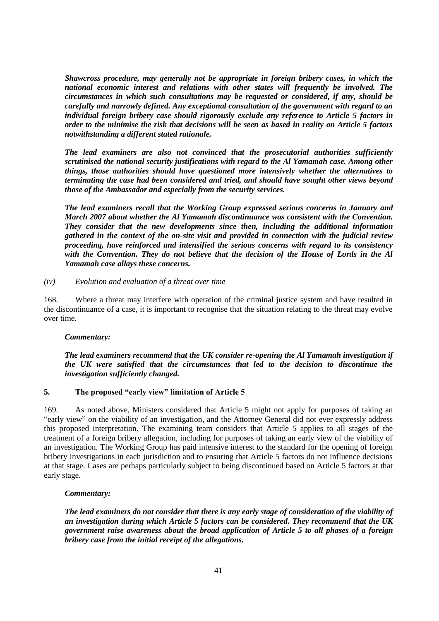*Shawcross procedure, may generally not be appropriate in foreign bribery cases, in which the national economic interest and relations with other states will frequently be involved. The circumstances in which such consultations may be requested or considered, if any, should be carefully and narrowly defined. Any exceptional consultation of the government with regard to an individual foreign bribery case should rigorously exclude any reference to Article 5 factors in order to the minimise the risk that decisions will be seen as based in reality on Article 5 factors notwithstanding a different stated rationale.*

*The lead examiners are also not convinced that the prosecutorial authorities sufficiently scrutinised the national security justifications with regard to the Al Yamamah case. Among other things, those authorities should have questioned more intensively whether the alternatives to terminating the case had been considered and tried, and should have sought other views beyond those of the Ambassador and especially from the security services.* 

*The lead examiners recall that the Working Group expressed serious concerns in January and March 2007 about whether the Al Yamamah discontinuance was consistent with the Convention. They consider that the new developments since then, including the additional information gathered in the context of the on-site visit and provided in connection with the judicial review proceeding, have reinforced and intensified the serious concerns with regard to its consistency with the Convention. They do not believe that the decision of the House of Lords in the Al Yamamah case allays these concerns.*

#### *(iv) Evolution and evaluation of a threat over time*

168. Where a threat may interfere with operation of the criminal justice system and have resulted in the discontinuance of a case, it is important to recognise that the situation relating to the threat may evolve over time.

## *Commentary:*

*The lead examiners recommend that the UK consider re-opening the Al Yamamah investigation if the UK were satisfied that the circumstances that led to the decision to discontinue the investigation sufficiently changed.*

## **5. The proposed "early view" limitation of Article 5**

169. As noted above, Ministers considered that Article 5 might not apply for purposes of taking an "early view" on the viability of an investigation, and the Attorney General did not ever expressly address this proposed interpretation. The examining team considers that Article 5 applies to all stages of the treatment of a foreign bribery allegation, including for purposes of taking an early view of the viability of an investigation. The Working Group has paid intensive interest to the standard for the opening of foreign bribery investigations in each jurisdiction and to ensuring that Article 5 factors do not influence decisions at that stage. Cases are perhaps particularly subject to being discontinued based on Article 5 factors at that early stage.

#### *Commentary:*

*The lead examiners do not consider that there is any early stage of consideration of the viability of an investigation during which Article 5 factors can be considered. They recommend that the UK government raise awareness about the broad application of Article 5 to all phases of a foreign bribery case from the initial receipt of the allegations.*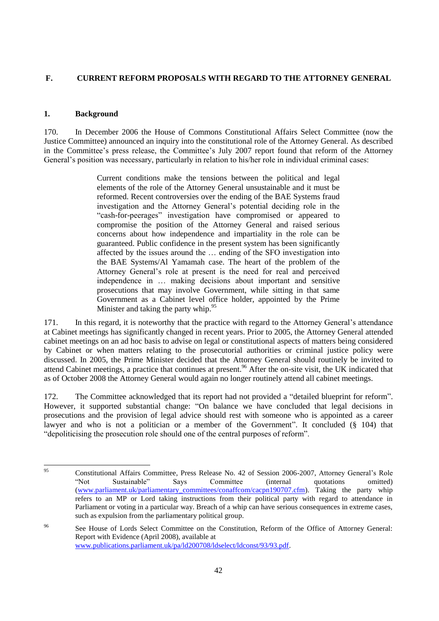# **F. CURRENT REFORM PROPOSALS WITH REGARD TO THE ATTORNEY GENERAL**

## **1. Background**

170. In December 2006 the House of Commons Constitutional Affairs Select Committee (now the Justice Committee) announced an inquiry into the constitutional role of the Attorney General. As described in the Committee's press release, the Committee's July 2007 report found that reform of the Attorney General's position was necessary, particularly in relation to his/her role in individual criminal cases:

> Current conditions make the tensions between the political and legal elements of the role of the Attorney General unsustainable and it must be reformed. Recent controversies over the ending of the BAE Systems fraud investigation and the Attorney General's potential deciding role in the "cash-for-peerages" investigation have compromised or appeared to compromise the position of the Attorney General and raised serious concerns about how independence and impartiality in the role can be guaranteed. Public confidence in the present system has been significantly affected by the issues around the … ending of the SFO investigation into the BAE Systems/Al Yamamah case. The heart of the problem of the Attorney General's role at present is the need for real and perceived independence in … making decisions about important and sensitive prosecutions that may involve Government, while sitting in that same Government as a Cabinet level office holder, appointed by the Prime Minister and taking the party whip. $95$

171. In this regard, it is noteworthy that the practice with regard to the Attorney General's attendance at Cabinet meetings has significantly changed in recent years. Prior to 2005, the Attorney General attended cabinet meetings on an ad hoc basis to advise on legal or constitutional aspects of matters being considered by Cabinet or when matters relating to the prosecutorial authorities or criminal justice policy were discussed. In 2005, the Prime Minister decided that the Attorney General should routinely be invited to attend Cabinet meetings, a practice that continues at present.<sup>96</sup> After the on-site visit, the UK indicated that as of October 2008 the Attorney General would again no longer routinely attend all cabinet meetings.

172. The Committee acknowledged that its report had not provided a "detailed blueprint for reform". However, it supported substantial change: "On balance we have concluded that legal decisions in prosecutions and the provision of legal advice should rest with someone who is appointed as a career lawyer and who is not a politician or a member of the Government". It concluded  $(\S$  104) that "depoliticising the prosecution role should one of the central purposes of reform".

<sup>95</sup> <sup>95</sup> Constitutional Affairs Committee, Press Release No. 42 of Session 2006-2007, Attorney General's Role ―Not Sustainable‖ Says Committee (internal quotations omitted) [\(www.parliament.uk/parliamentary\\_committees/conaffcom/cacpn190707.cfm\)](http://www.parliament.uk/parliamentary_committees/conaffcom/cacpn190707.cfm). Taking the party whip refers to an MP or Lord taking instructions from their political party with regard to attendance in Parliament or voting in a particular way. Breach of a whip can have serious consequences in extreme cases, such as expulsion from the parliamentary political group.

<sup>96</sup> See House of Lords Select Committee on the Constitution, Reform of the Office of Attorney General: Report with Evidence (April 2008), available at [www.publications.parliament.uk/pa/ld200708/ldselect/ldconst/93/93.pdf.](http://www.publications.parliament.uk/pa/ld200708/ldselect/ldconst/93/93.pdf)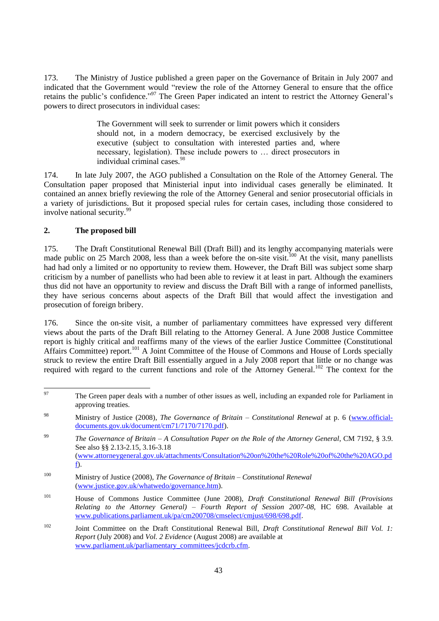173. The Ministry of Justice published a green paper on the Governance of Britain in July 2007 and indicated that the Government would "review the role of the Attorney General to ensure that the office retains the public's confidence."<sup>97</sup> The Green Paper indicated an intent to restrict the Attorney General's powers to direct prosecutors in individual cases:

> The Government will seek to surrender or limit powers which it considers should not, in a modern democracy, be exercised exclusively by the executive (subject to consultation with interested parties and, where necessary, legislation). These include powers to … direct prosecutors in individual criminal cases.<sup>98</sup>

174. In late July 2007, the AGO published a Consultation on the Role of the Attorney General*.* The Consultation paper proposed that Ministerial input into individual cases generally be eliminated. It contained an annex briefly reviewing the role of the Attorney General and senior prosecutorial officials in a variety of jurisdictions. But it proposed special rules for certain cases, including those considered to involve national security.<sup>99</sup>

## **2. The proposed bill**

175. The Draft Constitutional Renewal Bill (Draft Bill) and its lengthy accompanying materials were made public on 25 March 2008, less than a week before the on-site visit.<sup>100</sup> At the visit, many panellists had had only a limited or no opportunity to review them. However, the Draft Bill was subject some sharp criticism by a number of panellists who had been able to review it at least in part. Although the examiners thus did not have an opportunity to review and discuss the Draft Bill with a range of informed panellists, they have serious concerns about aspects of the Draft Bill that would affect the investigation and prosecution of foreign bribery.

176. Since the on-site visit, a number of parliamentary committees have expressed very different views about the parts of the Draft Bill relating to the Attorney General. A June 2008 Justice Committee report is highly critical and reaffirms many of the views of the earlier Justice Committee (Constitutional Affairs Committee) report.<sup>101</sup> A Joint Committee of the House of Commons and House of Lords specially struck to review the entire Draft Bill essentially argued in a July 2008 report that little or no change was required with regard to the current functions and role of the Attorney General.<sup>102</sup> The context for the

<sup>97</sup> The Green paper deals with a number of other issues as well, including an expanded role for Parliament in approving treaties.

<sup>98</sup> Ministry of Justice (2008), *The Governance of Britain – Constitutional Renewal* at p. 6 [\(www.official](http://www.official-documents.gov.uk/document/cm71/7170/7170.pdf)[documents.gov.uk/document/cm71/7170/7170.pdf\)](http://www.official-documents.gov.uk/document/cm71/7170/7170.pdf).

<sup>99</sup> *The Governance of Britain – A Consultation Paper on the Role of the Attorney General*, CM 7192, § 3.9. See also §§ 2.13-2.15, 3.16-3.18 [\(www.attorneygeneral.gov.uk/attachments/Consultation%20on%20the%20Role%20of%20the%20AGO.pd](http://www.attorneygeneral.gov.uk/attachments/Consultation%20on%20the%20Role%20of%20the%20AGO.pdf) [f\)](http://www.attorneygeneral.gov.uk/attachments/Consultation%20on%20the%20Role%20of%20the%20AGO.pdf).

<sup>100</sup> Ministry of Justice (2008), *The Governance of Britain – Constitutional Renewal* [\(www.justice.gov.uk/whatwedo/governance.htm\)](http://www.justice.gov.uk/whatwedo/governance.htm).

<sup>101</sup> House of Commons Justice Committee (June 2008), *Draft Constitutional Renewal Bill (Provisions Relating to the Attorney General) – Fourth Report of Session 2007-08*, HC 698. Available at [www.publications.parliament.uk/pa/cm200708/cmselect/cmjust/698/698.pdf.](http://www.publications.parliament.uk/pa/cm200708/cmselect/cmjust/698/698.pdf)

<sup>102</sup> Joint Committee on the Draft Constitutional Renewal Bill, *Draft Constitutional Renewal Bill Vol. 1: Report* (July 2008) and *Vol. 2 Evidence* (August 2008) are available at [www.parliament.uk/parliamentary\\_committees/jcdcrb.cfm.](http://www.parliament.uk/parliamentary_committees/jcdcrb.cfm)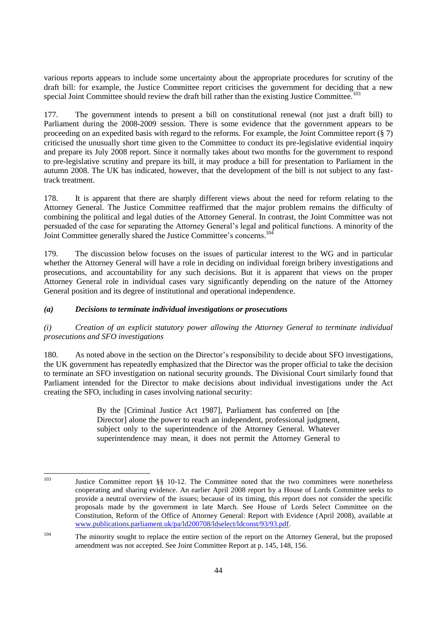various reports appears to include some uncertainty about the appropriate procedures for scrutiny of the draft bill: for example, the Justice Committee report criticises the government for deciding that a new special Joint Committee should review the draft bill rather than the existing Justice Committee.<sup>103</sup>

177. The government intends to present a bill on constitutional renewal (not just a draft bill) to Parliament during the 2008-2009 session. There is some evidence that the government appears to be proceeding on an expedited basis with regard to the reforms. For example, the Joint Committee report (§ 7) criticised the unusually short time given to the Committee to conduct its pre-legislative evidential inquiry and prepare its July 2008 report. Since it normally takes about two months for the government to respond to pre-legislative scrutiny and prepare its bill, it may produce a bill for presentation to Parliament in the autumn 2008. The UK has indicated, however, that the development of the bill is not subject to any fasttrack treatment.

178. It is apparent that there are sharply different views about the need for reform relating to the Attorney General. The Justice Committee reaffirmed that the major problem remains the difficulty of combining the political and legal duties of the Attorney General. In contrast, the Joint Committee was not persuaded of the case for separating the Attorney General's legal and political functions. A minority of the Joint Committee generally shared the Justice Committee's concerns.<sup>104</sup>

179. The discussion below focuses on the issues of particular interest to the WG and in particular whether the Attorney General will have a role in deciding on individual foreign bribery investigations and prosecutions, and accountability for any such decisions. But it is apparent that views on the proper Attorney General role in individual cases vary significantly depending on the nature of the Attorney General position and its degree of institutional and operational independence.

### *(a) Decisions to terminate individual investigations or prosecutions*

## *(i) Creation of an explicit statutory power allowing the Attorney General to terminate individual prosecutions and SFO investigations*

180. As noted above in the section on the Director's responsibility to decide about SFO investigations, the UK government has repeatedly emphasized that the Director was the proper official to take the decision to terminate an SFO investigation on national security grounds. The Divisional Court similarly found that Parliament intended for the Director to make decisions about individual investigations under the Act creating the SFO, including in cases involving national security:

> By the [Criminal Justice Act 1987], Parliament has conferred on [the Director] alone the power to reach an independent, professional judgment, subject only to the superintendence of the Attorney General. Whatever superintendence may mean, it does not permit the Attorney General to

 $103$ <sup>103</sup> Justice Committee report §§ 10-12. The Committee noted that the two committees were nonetheless cooperating and sharing evidence. An earlier April 2008 report by a House of Lords Committee seeks to provide a neutral overview of the issues; because of its timing, this report does not consider the specific proposals made by the government in late March. See House of Lords Select Committee on the Constitution, Reform of the Office of Attorney General: Report with Evidence (April 2008), available at [www.publications.parliament.uk/pa/ld200708/ldselect/ldconst/93/93.pdf.](http://www.publications.parliament.uk/pa/ld200708/ldselect/ldconst/93/93.pdf)

<sup>&</sup>lt;sup>104</sup> The minority sought to replace the entire section of the report on the Attorney General, but the proposed amendment was not accepted. See Joint Committee Report at p. 145, 148, 156.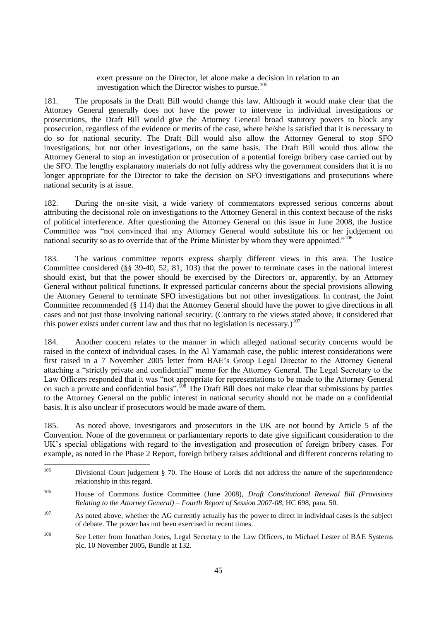exert pressure on the Director, let alone make a decision in relation to an investigation which the Director wishes to pursue.<sup>105</sup>

181. The proposals in the Draft Bill would change this law. Although it would make clear that the Attorney General generally does not have the power to intervene in individual investigations or prosecutions, the Draft Bill would give the Attorney General broad statutory powers to block any prosecution, regardless of the evidence or merits of the case, where he/she is satisfied that it is necessary to do so for national security. The Draft Bill would also allow the Attorney General to stop SFO investigations, but not other investigations, on the same basis. The Draft Bill would thus allow the Attorney General to stop an investigation or prosecution of a potential foreign bribery case carried out by the SFO. The lengthy explanatory materials do not fully address why the government considers that it is no longer appropriate for the Director to take the decision on SFO investigations and prosecutions where national security is at issue.

182. During the on-site visit, a wide variety of commentators expressed serious concerns about attributing the decisional role on investigations to the Attorney General in this context because of the risks of political interference. After questioning the Attorney General on this issue in June 2008, the Justice Committee was "not convinced that any Attorney General would substitute his or her judgement on national security so as to override that of the Prime Minister by whom they were appointed."<sup>106</sup>

183. The various committee reports express sharply different views in this area. The Justice Committee considered (§§ 39-40, 52, 81, 103) that the power to terminate cases in the national interest should exist, but that the power should be exercised by the Directors or, apparently, by an Attorney General without political functions. It expressed particular concerns about the special provisions allowing the Attorney General to terminate SFO investigations but not other investigations. In contrast, the Joint Committee recommended (§ 114) that the Attorney General should have the power to give directions in all cases and not just those involving national security. (Contrary to the views stated above, it considered that this power exists under current law and thus that no legislation is necessary.)<sup>107</sup>

184. Another concern relates to the manner in which alleged national security concerns would be raised in the context of individual cases. In the Al Yamamah case, the public interest considerations were first raised in a 7 November 2005 letter from BAE's Group Legal Director to the Attorney General attaching a "strictly private and confidential" memo for the Attorney General. The Legal Secretary to the Law Officers responded that it was "not appropriate for representations to be made to the Attorney General on such a private and confidential basis".<sup>108</sup> The Draft Bill does not make clear that submissions by parties to the Attorney General on the public interest in national security should not be made on a confidential basis. It is also unclear if prosecutors would be made aware of them.

185. As noted above, investigators and prosecutors in the UK are not bound by Article 5 of the Convention. None of the government or parliamentary reports to date give significant consideration to the UK's special obligations with regard to the investigation and prosecution of foreign bribery cases. For example, as noted in the Phase 2 Report, foreign bribery raises additional and different concerns relating to

<sup>105</sup> <sup>105</sup> Divisional Court judgement § 70. The House of Lords did not address the nature of the superintendence relationship in this regard.

<sup>106</sup> House of Commons Justice Committee (June 2008), *Draft Constitutional Renewal Bill (Provisions Relating to the Attorney General) – Fourth Report of Session 2007-08*, HC 698, para. 50.

<sup>&</sup>lt;sup>107</sup> As noted above, whether the AG currently actually has the power to direct in individual cases is the subject of debate. The power has not been exercised in recent times.

<sup>108</sup> See Letter from Jonathan Jones, Legal Secretary to the Law Officers, to Michael Lester of BAE Systems plc, 10 November 2005, Bundle at 132.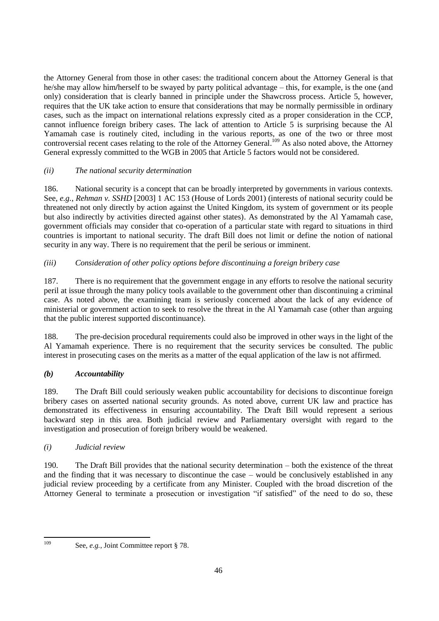the Attorney General from those in other cases: the traditional concern about the Attorney General is that he/she may allow him**/**herself to be swayed by party political advantage – this, for example, is the one (and only) consideration that is clearly banned in principle under the Shawcross process. Article 5, however, requires that the UK take action to ensure that considerations that may be normally permissible in ordinary cases, such as the impact on international relations expressly cited as a proper consideration in the CCP, cannot influence foreign bribery cases. The lack of attention to Article 5 is surprising because the Al Yamamah case is routinely cited, including in the various reports, as one of the two or three most controversial recent cases relating to the role of the Attorney General.<sup>109</sup> As also noted above, the Attorney General expressly committed to the WGB in 2005 that Article 5 factors would not be considered.

# *(ii) The national security determination*

186. National security is a concept that can be broadly interpreted by governments in various contexts. See, *e.g.*, *Rehman v. SSHD* [2003] 1 AC 153 (House of Lords 2001) (interests of national security could be threatened not only directly by action against the United Kingdom, its system of government or its people but also indirectly by activities directed against other states). As demonstrated by the Al Yamamah case, government officials may consider that co-operation of a particular state with regard to situations in third countries is important to national security. The draft Bill does not limit or define the notion of national security in any way. There is no requirement that the peril be serious or imminent.

# *(iii) Consideration of other policy options before discontinuing a foreign bribery case*

187. There is no requirement that the government engage in any efforts to resolve the national security peril at issue through the many policy tools available to the government other than discontinuing a criminal case. As noted above, the examining team is seriously concerned about the lack of any evidence of ministerial or government action to seek to resolve the threat in the Al Yamamah case (other than arguing that the public interest supported discontinuance).

188. The pre-decision procedural requirements could also be improved in other ways in the light of the Al Yamamah experience. There is no requirement that the security services be consulted. The public interest in prosecuting cases on the merits as a matter of the equal application of the law is not affirmed.

# *(b) Accountability*

189. The Draft Bill could seriously weaken public accountability for decisions to discontinue foreign bribery cases on asserted national security grounds. As noted above, current UK law and practice has demonstrated its effectiveness in ensuring accountability. The Draft Bill would represent a serious backward step in this area. Both judicial review and Parliamentary oversight with regard to the investigation and prosecution of foreign bribery would be weakened.

## *(i) Judicial review*

190. The Draft Bill provides that the national security determination – both the existence of the threat and the finding that it was necessary to discontinue the case – would be conclusively established in any judicial review proceeding by a certificate from any Minister. Coupled with the broad discretion of the Attorney General to terminate a prosecution or investigation "if satisfied" of the need to do so, these

109

See, *e.g.*, Joint Committee report § 78.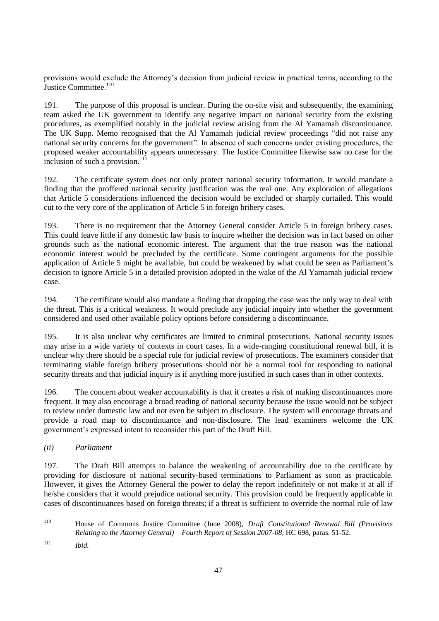provisions would exclude the Attorney's decision from judicial review in practical terms, according to the Justice Committee.<sup>110</sup>

191. The purpose of this proposal is unclear. During the on-site visit and subsequently, the examining team asked the UK government to identify any negative impact on national security from the existing procedures, as exemplified notably in the judicial review arising from the Al Yamamah discontinuance. The UK Supp. Memo recognised that the Al Yamamah judicial review proceedings "did not raise any national security concerns for the government". In absence of such concerns under existing procedures, the proposed weaker accountability appears unnecessary. The Justice Committee likewise saw no case for the inclusion of such a provision. $111$ 

192. The certificate system does not only protect national security information. It would mandate a finding that the proffered national security justification was the real one. Any exploration of allegations that Article 5 considerations influenced the decision would be excluded or sharply curtailed. This would cut to the very core of the application of Article 5 in foreign bribery cases.

193. There is no requirement that the Attorney General consider Article 5 in foreign bribery cases. This could leave little if any domestic law basis to inquire whether the decision was in fact based on other grounds such as the national economic interest. The argument that the true reason was the national economic interest would be precluded by the certificate. Some contingent arguments for the possible application of Article 5 might be available, but could be weakened by what could be seen as Parliament's decision to ignore Article 5 in a detailed provision adopted in the wake of the Al Yamamah judicial review case.

194. The certificate would also mandate a finding that dropping the case was the only way to deal with the threat. This is a critical weakness. It would preclude any judicial inquiry into whether the government considered and used other available policy options before considering a discontinuance.

195. It is also unclear why certificates are limited to criminal prosecutions. National security issues may arise in a wide variety of contexts in court cases. In a wide-ranging constitutional renewal bill, it is unclear why there should be a special rule for judicial review of prosecutions. The examiners consider that terminating viable foreign bribery prosecutions should not be a normal tool for responding to national security threats and that judicial inquiry is if anything more justified in such cases than in other contexts.

196. The concern about weaker accountability is that it creates a risk of making discontinuances more frequent. It may also encourage a broad reading of national security because the issue would not be subject to review under domestic law and not even be subject to disclosure. The system will encourage threats and provide a road map to discontinuance and non-disclosure. The lead examiners welcome the UK government's expressed intent to reconsider this part of the Draft Bill.

# *(ii) Parliament*

197. The Draft Bill attempts to balance the weakening of accountability due to the certificate by providing for disclosure of national security-based terminations to Parliament as soon as practicable. However, it gives the Attorney General the power to delay the report indefinitely or not make it at all if he/she considers that it would prejudice national security. This provision could be frequently applicable in cases of discontinuances based on foreign threats; if a threat is sufficient to override the normal rule of law

<sup>110</sup> <sup>110</sup> House of Commons Justice Committee (June 2008), *Draft Constitutional Renewal Bill (Provisions Relating to the Attorney General) – Fourth Report of Session 2007-08*, HC 698, paras. 51-52.

<sup>111</sup> *Ibid.*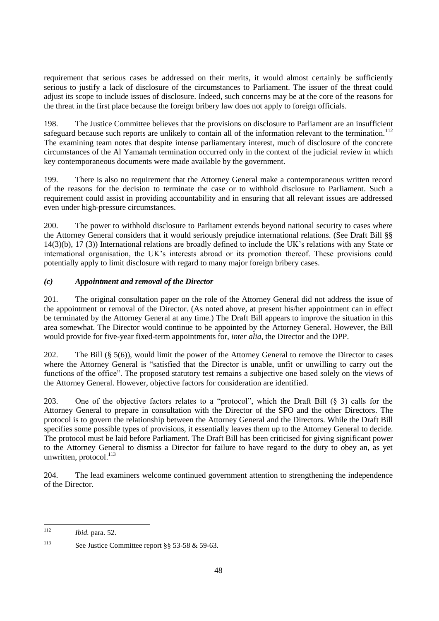requirement that serious cases be addressed on their merits, it would almost certainly be sufficiently serious to justify a lack of disclosure of the circumstances to Parliament. The issuer of the threat could adjust its scope to include issues of disclosure. Indeed, such concerns may be at the core of the reasons for the threat in the first place because the foreign bribery law does not apply to foreign officials.

198. The Justice Committee believes that the provisions on disclosure to Parliament are an insufficient safeguard because such reports are unlikely to contain all of the information relevant to the termination.<sup>112</sup> The examining team notes that despite intense parliamentary interest, much of disclosure of the concrete circumstances of the Al Yamamah termination occurred only in the context of the judicial review in which key contemporaneous documents were made available by the government.

199. There is also no requirement that the Attorney General make a contemporaneous written record of the reasons for the decision to terminate the case or to withhold disclosure to Parliament. Such a requirement could assist in providing accountability and in ensuring that all relevant issues are addressed even under high-pressure circumstances.

200. The power to withhold disclosure to Parliament extends beyond national security to cases where the Attorney General considers that it would seriously prejudice international relations. (See Draft Bill §§ 14(3)(b), 17 (3)) International relations are broadly defined to include the UK's relations with any State or international organisation, the UK's interests abroad or its promotion thereof. These provisions could potentially apply to limit disclosure with regard to many major foreign bribery cases.

# *(c) Appointment and removal of the Director*

201. The original consultation paper on the role of the Attorney General did not address the issue of the appointment or removal of the Director. (As noted above, at present his/her appointment can in effect be terminated by the Attorney General at any time.) The Draft Bill appears to improve the situation in this area somewhat. The Director would continue to be appointed by the Attorney General. However, the Bill would provide for five-year fixed-term appointments for, *inter alia*, the Director and the DPP.

202. The Bill (§ 5(6)), would limit the power of the Attorney General to remove the Director to cases where the Attorney General is "satisfied that the Director is unable, unfit or unwilling to carry out the functions of the office". The proposed statutory test remains a subjective one based solely on the views of the Attorney General. However, objective factors for consideration are identified.

203. One of the objective factors relates to a "protocol", which the Draft Bill  $(\S 3)$  calls for the Attorney General to prepare in consultation with the Director of the SFO and the other Directors. The protocol is to govern the relationship between the Attorney General and the Directors. While the Draft Bill specifies some possible types of provisions, it essentially leaves them up to the Attorney General to decide. The protocol must be laid before Parliament. The Draft Bill has been criticised for giving significant power to the Attorney General to dismiss a Director for failure to have regard to the duty to obey an, as yet unwritten, protocol.<sup>113</sup>

204. The lead examiners welcome continued government attention to strengthening the independence of the Director.

 $112$ *Ibid.* para. 52.

<sup>113</sup> See Justice Committee report §§ 53-58 & 59-63.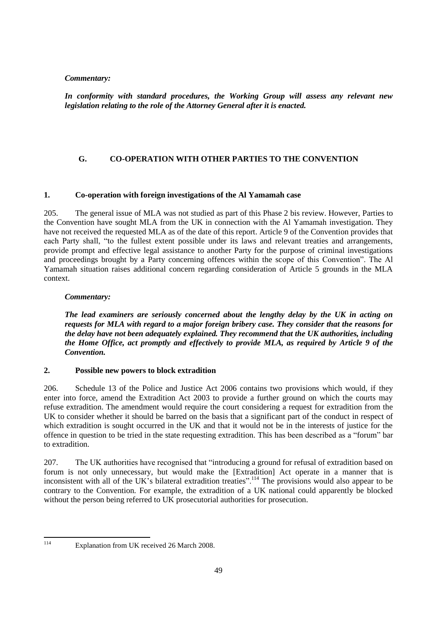*In conformity with standard procedures, the Working Group will assess any relevant new legislation relating to the role of the Attorney General after it is enacted.*

# **G. CO-OPERATION WITH OTHER PARTIES TO THE CONVENTION**

# **1. Co-operation with foreign investigations of the Al Yamamah case**

205. The general issue of MLA was not studied as part of this Phase 2 bis review. However, Parties to the Convention have sought MLA from the UK in connection with the Al Yamamah investigation. They have not received the requested MLA as of the date of this report. Article 9 of the Convention provides that each Party shall, "to the fullest extent possible under its laws and relevant treaties and arrangements, provide prompt and effective legal assistance to another Party for the purpose of criminal investigations and proceedings brought by a Party concerning offences within the scope of this Convention". The Al Yamamah situation raises additional concern regarding consideration of Article 5 grounds in the MLA context.

## *Commentary:*

*The lead examiners are seriously concerned about the lengthy delay by the UK in acting on requests for MLA with regard to a major foreign bribery case. They consider that the reasons for the delay have not been adequately explained. They recommend that the UK authorities, including the Home Office, act promptly and effectively to provide MLA, as required by Article 9 of the Convention.*

## **2. Possible new powers to block extradition**

206. Schedule 13 of the Police and Justice Act 2006 contains two provisions which would, if they enter into force, amend the Extradition Act 2003 to provide a further ground on which the courts may refuse extradition. The amendment would require the court considering a request for extradition from the UK to consider whether it should be barred on the basis that a significant part of the conduct in respect of which extradition is sought occurred in the UK and that it would not be in the interests of justice for the offence in question to be tried in the state requesting extradition. This has been described as a "forum" bar to extradition.

207. The UK authorities have recognised that "introducing a ground for refusal of extradition based on forum is not only unnecessary, but would make the [Extradition] Act operate in a manner that is inconsistent with all of the UK's bilateral extradition treaties".<sup>114</sup> The provisions would also appear to be contrary to the Convention. For example, the extradition of a UK national could apparently be blocked without the person being referred to UK prosecutorial authorities for prosecution.

114

Explanation from UK received 26 March 2008.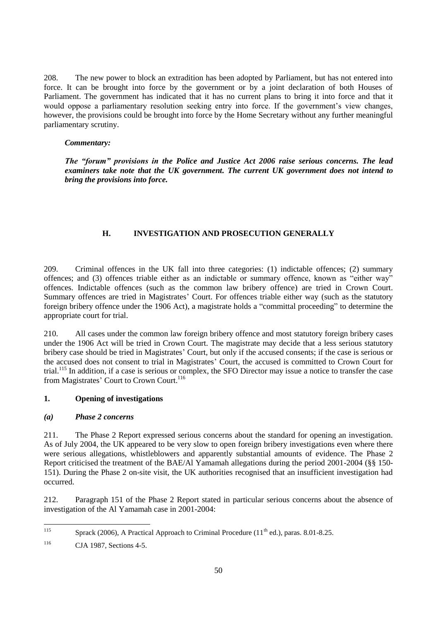208. The new power to block an extradition has been adopted by Parliament, but has not entered into force. It can be brought into force by the government or by a joint declaration of both Houses of Parliament. The government has indicated that it has no current plans to bring it into force and that it would oppose a parliamentary resolution seeking entry into force. If the government's view changes, however, the provisions could be brought into force by the Home Secretary without any further meaningful parliamentary scrutiny.

### *Commentary:*

*The "forum" provisions in the Police and Justice Act 2006 raise serious concerns. The lead examiners take note that the UK government. The current UK government does not intend to bring the provisions into force.*

## **H. INVESTIGATION AND PROSECUTION GENERALLY**

209. Criminal offences in the UK fall into three categories: (1) indictable offences; (2) summary offences; and (3) offences triable either as an indictable or summary offence, known as "either way" offences. Indictable offences (such as the common law bribery offence) are tried in Crown Court. Summary offences are tried in Magistrates' Court. For offences triable either way (such as the statutory foreign bribery offence under the 1906 Act), a magistrate holds a "committal proceeding" to determine the appropriate court for trial.

210. All cases under the common law foreign bribery offence and most statutory foreign bribery cases under the 1906 Act will be tried in Crown Court. The magistrate may decide that a less serious statutory bribery case should be tried in Magistrates' Court, but only if the accused consents; if the case is serious or the accused does not consent to trial in Magistrates' Court, the accused is committed to Crown Court for trial.<sup>115</sup> In addition, if a case is serious or complex, the SFO Director may issue a notice to transfer the case from Magistrates' Court to Crown Court.<sup>116</sup>

## **1. Opening of investigations**

## *(a) Phase 2 concerns*

211. The Phase 2 Report expressed serious concerns about the standard for opening an investigation. As of July 2004, the UK appeared to be very slow to open foreign bribery investigations even where there were serious allegations, whistleblowers and apparently substantial amounts of evidence. The Phase 2 Report criticised the treatment of the BAE/Al Yamamah allegations during the period 2001-2004 (§§ 150- 151). During the Phase 2 on-site visit, the UK authorities recognised that an insufficient investigation had occurred.

212. Paragraph 151 of the Phase 2 Report stated in particular serious concerns about the absence of investigation of the Al Yamamah case in 2001-2004:

 $115$ Sprack (2006), A Practical Approach to Criminal Procedure ( $11<sup>th</sup>$  ed.), paras. 8.01-8.25.

<sup>116</sup> CJA 1987, Sections 4-5.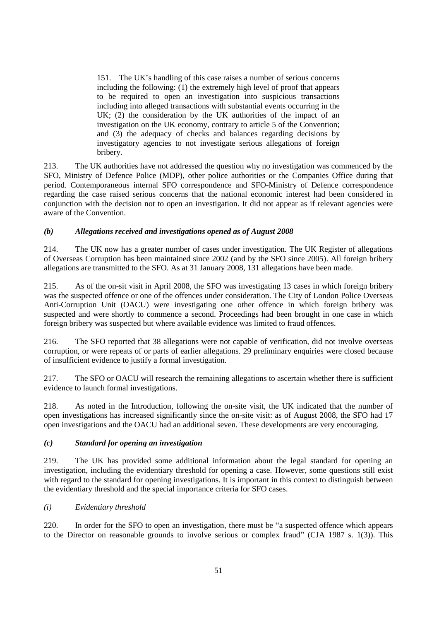151. The UK's handling of this case raises a number of serious concerns including the following: (1) the extremely high level of proof that appears to be required to open an investigation into suspicious transactions including into alleged transactions with substantial events occurring in the UK; (2) the consideration by the UK authorities of the impact of an investigation on the UK economy, contrary to article 5 of the Convention; and (3) the adequacy of checks and balances regarding decisions by investigatory agencies to not investigate serious allegations of foreign bribery.

213. The UK authorities have not addressed the question why no investigation was commenced by the SFO, Ministry of Defence Police (MDP), other police authorities or the Companies Office during that period. Contemporaneous internal SFO correspondence and SFO-Ministry of Defence correspondence regarding the case raised serious concerns that the national economic interest had been considered in conjunction with the decision not to open an investigation. It did not appear as if relevant agencies were aware of the Convention.

# *(b) Allegations received and investigations opened as of August 2008*

214. The UK now has a greater number of cases under investigation. The UK Register of allegations of Overseas Corruption has been maintained since 2002 (and by the SFO since 2005). All foreign bribery allegations are transmitted to the SFO. As at 31 January 2008, 131 allegations have been made.

215. As of the on-sit visit in April 2008, the SFO was investigating 13 cases in which foreign bribery was the suspected offence or one of the offences under consideration. The City of London Police Overseas Anti-Corruption Unit (OACU) were investigating one other offence in which foreign bribery was suspected and were shortly to commence a second. Proceedings had been brought in one case in which foreign bribery was suspected but where available evidence was limited to fraud offences.

216. The SFO reported that 38 allegations were not capable of verification, did not involve overseas corruption, or were repeats of or parts of earlier allegations. 29 preliminary enquiries were closed because of insufficient evidence to justify a formal investigation.

217. The SFO or OACU will research the remaining allegations to ascertain whether there is sufficient evidence to launch formal investigations.

218. As noted in the Introduction, following the on-site visit, the UK indicated that the number of open investigations has increased significantly since the on-site visit: as of August 2008, the SFO had 17 open investigations and the OACU had an additional seven. These developments are very encouraging.

## *(c) Standard for opening an investigation*

219. The UK has provided some additional information about the legal standard for opening an investigation, including the evidentiary threshold for opening a case. However, some questions still exist with regard to the standard for opening investigations. It is important in this context to distinguish between the evidentiary threshold and the special importance criteria for SFO cases.

## *(i) Evidentiary threshold*

220. In order for the SFO to open an investigation, there must be "a suspected offence which appears to the Director on reasonable grounds to involve serious or complex fraud" (CJA 1987 s. 1(3)). This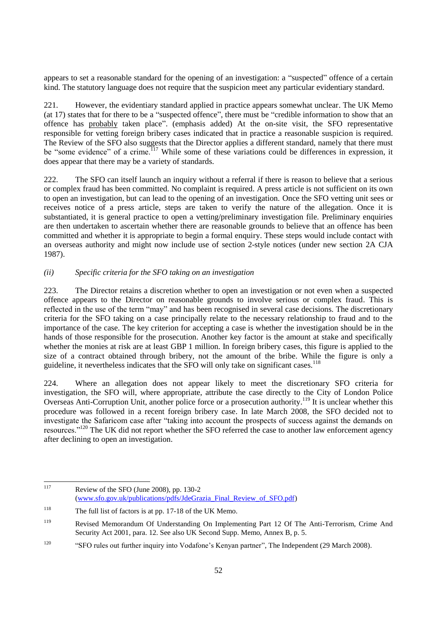appears to set a reasonable standard for the opening of an investigation: a "suspected" offence of a certain kind. The statutory language does not require that the suspicion meet any particular evidentiary standard.

221. However, the evidentiary standard applied in practice appears somewhat unclear. The UK Memo (at 17) states that for there to be a "suspected offence", there must be "credible information to show that an offence has probably taken place". (emphasis added) At the on-site visit, the SFO representative responsible for vetting foreign bribery cases indicated that in practice a reasonable suspicion is required. The Review of the SFO also suggests that the Director applies a different standard, namely that there must be "some evidence" of a crime.<sup>117</sup> While some of these variations could be differences in expression, it does appear that there may be a variety of standards.

222. The SFO can itself launch an inquiry without a referral if there is reason to believe that a serious or complex fraud has been committed. No complaint is required. A press article is not sufficient on its own to open an investigation, but can lead to the opening of an investigation. Once the SFO vetting unit sees or receives notice of a press article, steps are taken to verify the nature of the allegation. Once it is substantiated, it is general practice to open a vetting/preliminary investigation file. Preliminary enquiries are then undertaken to ascertain whether there are reasonable grounds to believe that an offence has been committed and whether it is appropriate to begin a formal enquiry. These steps would include contact with an overseas authority and might now include use of section 2-style notices (under new section 2A CJA 1987).

# *(ii) Specific criteria for the SFO taking on an investigation*

223. The Director retains a discretion whether to open an investigation or not even when a suspected offence appears to the Director on reasonable grounds to involve serious or complex fraud. This is reflected in the use of the term "may" and has been recognised in several case decisions. The discretionary criteria for the SFO taking on a case principally relate to the necessary relationship to fraud and to the importance of the case. The key criterion for accepting a case is whether the investigation should be in the hands of those responsible for the prosecution. Another key factor is the amount at stake and specifically whether the monies at risk are at least GBP 1 million. In foreign bribery cases, this figure is applied to the size of a contract obtained through bribery, not the amount of the bribe. While the figure is only a guideline, it nevertheless indicates that the SFO will only take on significant cases.<sup>118</sup>

224. Where an allegation does not appear likely to meet the discretionary SFO criteria for investigation, the SFO will, where appropriate, attribute the case directly to the City of London Police Overseas Anti-Corruption Unit, another police force or a prosecution authority.<sup>119</sup> It is unclear whether this procedure was followed in a recent foreign bribery case. In late March 2008, the SFO decided not to investigate the Safaricom case after "taking into account the prospects of success against the demands on resources."<sup>120</sup> The UK did not report whether the SFO referred the case to another law enforcement agency after declining to open an investigation.

<sup>117</sup> Review of the SFO (June 2008), pp. 130-2 [\(www.sfo.gov.uk/publications/pdfs/JdeGrazia\\_Final\\_Review\\_of\\_SFO.pdf\)](http://www.sfo.gov.uk/publications/pdfs/JdeGrazia_Final_Review_of_SFO.pdf)

<sup>&</sup>lt;sup>118</sup> The full list of factors is at pp. 17-18 of the UK Memo.

<sup>119</sup> Revised Memorandum Of Understanding On Implementing Part 12 Of The Anti-Terrorism, Crime And Security Act 2001, para. 12. See also UK Second Supp. Memo, Annex B, p. 5.

<sup>&</sup>lt;sup>120</sup> "SFO rules out further inquiry into Vodafone's Kenyan partner", The Independent (29 March 2008).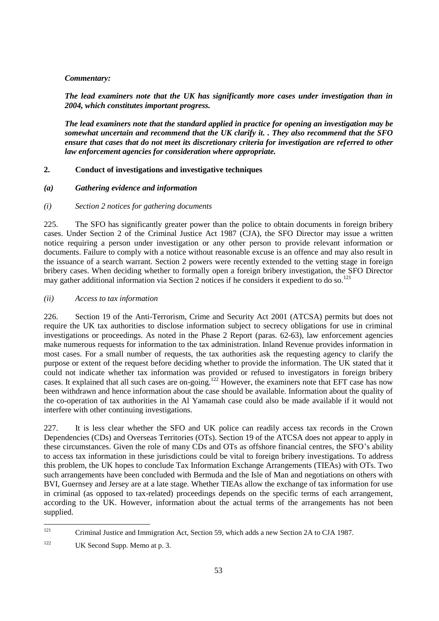*The lead examiners note that the UK has significantly more cases under investigation than in 2004, which constitutes important progress.* 

*The lead examiners note that the standard applied in practice for opening an investigation may be somewhat uncertain and recommend that the UK clarify it. . They also recommend that the SFO ensure that cases that do not meet its discretionary criteria for investigation are referred to other law enforcement agencies for consideration where appropriate.*

# **2. Conduct of investigations and investigative techniques**

# *(a) Gathering evidence and information*

# *(i) Section 2 notices for gathering documents*

225. The SFO has significantly greater power than the police to obtain documents in foreign bribery cases. Under Section 2 of the Criminal Justice Act 1987 (CJA), the SFO Director may issue a written notice requiring a person under investigation or any other person to provide relevant information or documents. Failure to comply with a notice without reasonable excuse is an offence and may also result in the issuance of a search warrant. Section 2 powers were recently extended to the vetting stage in foreign bribery cases. When deciding whether to formally open a foreign bribery investigation, the SFO Director may gather additional information via Section 2 notices if he considers it expedient to do so.<sup>121</sup>

# *(ii) Access to tax information*

226. Section 19 of the Anti-Terrorism, Crime and Security Act 2001 (ATCSA) permits but does not require the UK tax authorities to disclose information subject to secrecy obligations for use in criminal investigations or proceedings. As noted in the Phase 2 Report (paras. 62-63), law enforcement agencies make numerous requests for information to the tax administration. Inland Revenue provides information in most cases. For a small number of requests, the tax authorities ask the requesting agency to clarify the purpose or extent of the request before deciding whether to provide the information. The UK stated that it could not indicate whether tax information was provided or refused to investigators in foreign bribery cases. It explained that all such cases are on-going.<sup>122</sup> However, the examiners note that EFT case has now been withdrawn and hence information about the case should be available. Information about the quality of the co-operation of tax authorities in the Al Yamamah case could also be made available if it would not interfere with other continuing investigations.

227. It is less clear whether the SFO and UK police can readily access tax records in the Crown Dependencies (CDs) and Overseas Territories (OTs). Section 19 of the ATCSA does not appear to apply in these circumstances. Given the role of many CDs and OTs as offshore financial centres, the SFO's ability to access tax information in these jurisdictions could be vital to foreign bribery investigations. To address this problem, the UK hopes to conclude Tax Information Exchange Arrangements (TIEAs) with OTs. Two such arrangements have been concluded with Bermuda and the Isle of Man and negotiations on others with BVI, Guernsey and Jersey are at a late stage. Whether TIEAs allow the exchange of tax information for use in criminal (as opposed to tax-related) proceedings depends on the specific terms of each arrangement, according to the UK. However, information about the actual terms of the arrangements has not been supplied.

 $121$ <sup>121</sup> Criminal Justice and Immigration Act, Section 59, which adds a new Section 2A to CJA 1987.

<sup>&</sup>lt;sup>122</sup> UK Second Supp. Memo at p. 3.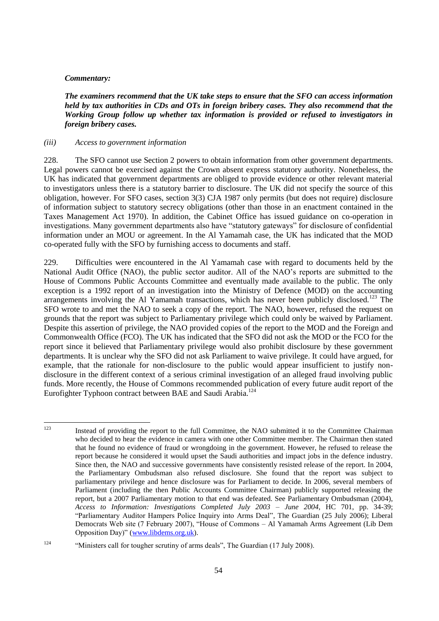*The examiners recommend that the UK take steps to ensure that the SFO can access information held by tax authorities in CDs and OTs in foreign bribery cases. They also recommend that the Working Group follow up whether tax information is provided or refused to investigators in foreign bribery cases.*

#### *(iii) Access to government information*

228. The SFO cannot use Section 2 powers to obtain information from other government departments. Legal powers cannot be exercised against the Crown absent express statutory authority. Nonetheless, the UK has indicated that government departments are obliged to provide evidence or other relevant material to investigators unless there is a statutory barrier to disclosure. The UK did not specify the source of this obligation, however. For SFO cases, section 3(3) CJA 1987 only permits (but does not require) disclosure of information subject to statutory secrecy obligations (other than those in an enactment contained in the Taxes Management Act 1970). In addition, the Cabinet Office has issued guidance on co-operation in investigations. Many government departments also have "statutory gateways" for disclosure of confidential information under an MOU or agreement. In the Al Yamamah case, the UK has indicated that the MOD co-operated fully with the SFO by furnishing access to documents and staff.

229. Difficulties were encountered in the Al Yamamah case with regard to documents held by the National Audit Office (NAO), the public sector auditor. All of the NAO's reports are submitted to the House of Commons Public Accounts Committee and eventually made available to the public. The only exception is a 1992 report of an investigation into the Ministry of Defence (MOD) on the accounting arrangements involving the Al Yamamah transactions, which has never been publicly disclosed.<sup>123</sup> The SFO wrote to and met the NAO to seek a copy of the report. The NAO, however, refused the request on grounds that the report was subject to Parliamentary privilege which could only be waived by Parliament. Despite this assertion of privilege, the NAO provided copies of the report to the MOD and the Foreign and Commonwealth Office (FCO). The UK has indicated that the SFO did not ask the MOD or the FCO for the report since it believed that Parliamentary privilege would also prohibit disclosure by these government departments. It is unclear why the SFO did not ask Parliament to waive privilege. It could have argued, for example, that the rationale for non-disclosure to the public would appear insufficient to justify nondisclosure in the different context of a serious criminal investigation of an alleged fraud involving public funds. More recently, the House of Commons recommended publication of every future audit report of the Eurofighter Typhoon contract between BAE and Saudi Arabia.<sup>124</sup>

 $123$ <sup>123</sup> Instead of providing the report to the full Committee, the NAO submitted it to the Committee Chairman who decided to hear the evidence in camera with one other Committee member. The Chairman then stated that he found no evidence of fraud or wrongdoing in the government. However, he refused to release the report because he considered it would upset the Saudi authorities and impact jobs in the defence industry. Since then, the NAO and successive governments have consistently resisted release of the report. In 2004, the Parliamentary Ombudsman also refused disclosure. She found that the report was subject to parliamentary privilege and hence disclosure was for Parliament to decide. In 2006, several members of Parliament (including the then Public Accounts Committee Chairman) publicly supported releasing the report, but a 2007 Parliamentary motion to that end was defeated. See Parliamentary Ombudsman (2004), *Access to Information: Investigations Completed July 2003 – June 2004*, HC 701, pp. 34-39; ―Parliamentary Auditor Hampers Police Inquiry into Arms Deal‖, The Guardian (25 July 2006); Liberal Democrats Web site (7 February 2007), "House of Commons – Al Yamamah Arms Agreement (Lib Dem Opposition Day)" [\(www.libdems.org.uk\)](http://www.libdems.org.uk/).

<sup>&</sup>lt;sup>124</sup> •• "Ministers call for tougher scrutiny of arms deals", The Guardian (17 July 2008).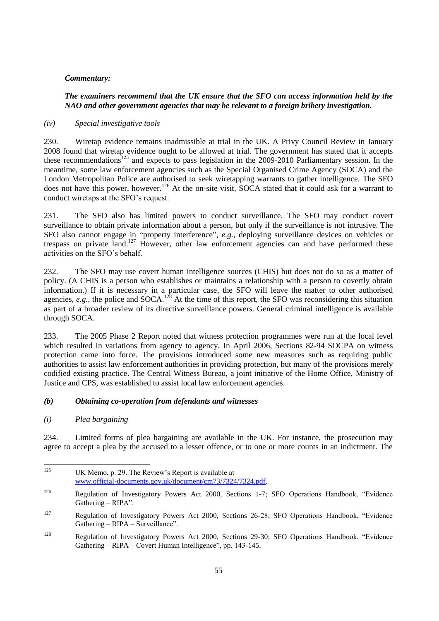## *The examiners recommend that the UK ensure that the SFO can access information held by the NAO and other government agencies that may be relevant to a foreign bribery investigation.*

### *(iv) Special investigative tools*

230. Wiretap evidence remains inadmissible at trial in the UK. A Privy Council Review in January 2008 found that wiretap evidence ought to be allowed at trial. The government has stated that it accepts these recommendations<sup>125</sup> and expects to pass legislation in the 2009-2010 Parliamentary session. In the meantime, some law enforcement agencies such as the Special Organised Crime Agency (SOCA) and the London Metropolitan Police are authorised to seek wiretapping warrants to gather intelligence. The SFO does not have this power, however.<sup>126</sup> At the on-site visit, SOCA stated that it could ask for a warrant to conduct wiretaps at the SFO's request.

231. The SFO also has limited powers to conduct surveillance. The SFO may conduct covert surveillance to obtain private information about a person, but only if the surveillance is not intrusive. The SFO also cannot engage in "property interference", *e.g.*, deploying surveillance devices on vehicles or trespass on private land.<sup>127</sup> However, other law enforcement agencies can and have performed these activities on the SFO's behalf.

232. The SFO may use covert human intelligence sources (CHIS) but does not do so as a matter of policy. (A CHIS is a person who establishes or maintains a relationship with a person to covertly obtain information.) If it is necessary in a particular case, the SFO will leave the matter to other authorised agencies,  $e.g.,$  the police and SOCA.<sup>128</sup> At the time of this report, the SFO was reconsidering this situation as part of a broader review of its directive surveillance powers. General criminal intelligence is available through SOCA.

233. The 2005 Phase 2 Report noted that witness protection programmes were run at the local level which resulted in variations from agency to agency. In April 2006, Sections 82-94 SOCPA on witness protection came into force. The provisions introduced some new measures such as requiring public authorities to assist law enforcement authorities in providing protection, but many of the provisions merely codified existing practice. The Central Witness Bureau, a joint initiative of the Home Office, Ministry of Justice and CPS, was established to assist local law enforcement agencies.

## *(b) Obtaining co-operation from defendants and witnesses*

*(i) Plea bargaining*

234. Limited forms of plea bargaining are available in the UK. For instance, the prosecution may agree to accept a plea by the accused to a lesser offence, or to one or more counts in an indictment. The

<sup>125</sup> UK Memo, p. 29. The Review's Report is available at [www.official-documents.gov.uk/document/cm73/7324/7324.pdf.](http://www.official-documents.gov.uk/document/cm73/7324/7324.pdf)

<sup>&</sup>lt;sup>126</sup> Regulation of Investigatory Powers Act 2000, Sections 1-7; SFO Operations Handbook, "Evidence Gathering  $-$  RIPA".

 $127$  Regulation of Investigatory Powers Act 2000, Sections 26-28; SFO Operations Handbook, "Evidence"  $Gathering - RIPA - Surveyi$ llance".

<sup>&</sup>lt;sup>128</sup> Regulation of Investigatory Powers Act 2000, Sections 29-30; SFO Operations Handbook, "Evidence Gathering – RIPA – Covert Human Intelligence", pp. 143-145.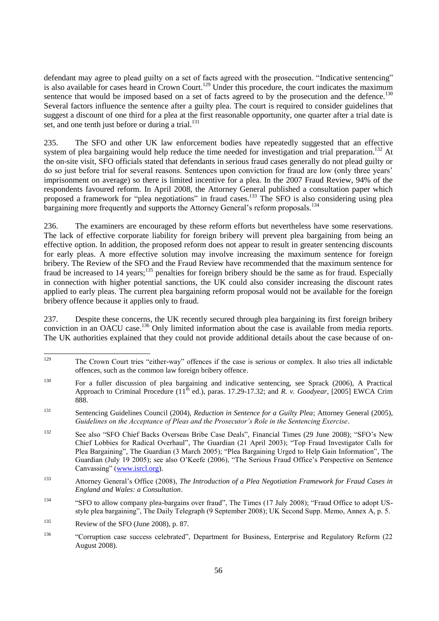defendant may agree to plead guilty on a set of facts agreed with the prosecution. "Indicative sentencing" is also available for cases heard in Crown Court.<sup>129</sup> Under this procedure, the court indicates the maximum sentence that would be imposed based on a set of facts agreed to by the prosecution and the defence.<sup>130</sup> Several factors influence the sentence after a guilty plea. The court is required to consider guidelines that suggest a discount of one third for a plea at the first reasonable opportunity, one quarter after a trial date is set, and one tenth just before or during a trial.<sup>131</sup>

235. The SFO and other UK law enforcement bodies have repeatedly suggested that an effective system of plea bargaining would help reduce the time needed for investigation and trial preparation.<sup>132</sup> At the on-site visit, SFO officials stated that defendants in serious fraud cases generally do not plead guilty or do so just before trial for several reasons. Sentences upon conviction for fraud are low (only three years' imprisonment on average) so there is limited incentive for a plea. In the 2007 Fraud Review, 94% of the respondents favoured reform. In April 2008, the Attorney General published a consultation paper which proposed a framework for "plea negotiations" in fraud cases.<sup>133</sup> The SFO is also considering using plea bargaining more frequently and supports the Attorney General's reform proposals.<sup>134</sup>

236. The examiners are encouraged by these reform efforts but nevertheless have some reservations. The lack of effective corporate liability for foreign bribery will prevent plea bargaining from being an effective option. In addition, the proposed reform does not appear to result in greater sentencing discounts for early pleas. A more effective solution may involve increasing the maximum sentence for foreign bribery. The Review of the SFO and the Fraud Review have recommended that the maximum sentence for fraud be increased to 14 years;<sup>135</sup> penalties for foreign bribery should be the same as for fraud. Especially in connection with higher potential sanctions, the UK could also consider increasing the discount rates applied to early pleas. The current plea bargaining reform proposal would not be available for the foreign bribery offence because it applies only to fraud.

237. Despite these concerns, the UK recently secured through plea bargaining its first foreign bribery conviction in an OACU case.<sup>136</sup> Only limited information about the case is available from media reports. The UK authorities explained that they could not provide additional details about the case because of on-

<sup>129</sup> The Crown Court tries "either-way" offences if the case is serious or complex. It also tries all indictable offences, such as the common law foreign bribery offence.

<sup>130</sup> For a fuller discussion of plea bargaining and indicative sentencing, see Sprack (2006), A Practical Approach to Criminal Procedure  $(11^{\text{th}}$  ed.), paras. 17.29-17.32; and *R. v. Goodyear*, [2005] EWCA Crim 888.

<sup>131</sup> Sentencing Guidelines Council (2004), *Reduction in Sentence for a Guilty Plea*; Attorney General (2005), *Guidelines on the Acceptance of Pleas and the Prosecutor's Role in the Sentencing Exercise*.

<sup>132</sup> See also "SFO Chief Backs Overseas Bribe Case Deals", Financial Times (29 June 2008); "SFO's New Chief Lobbies for Radical Overhaul", The Guardian (21 April 2003); "Top Fraud Investigator Calls for Plea Bargaining", The Guardian (3 March 2005); "Plea Bargaining Urged to Help Gain Information", The Guardian (July 19 2005); see also O'Keefe (2006), "The Serious Fraud Office's Perspective on Sentence Canvassing" [\(www.isrcl.org\)](http://www.isrcl.org/).

<sup>133</sup> Attorney General's Office (2008), *The Introduction of a Plea Negotiation Framework for Fraud Cases in England and Wales: a Consultation*.

<sup>&</sup>lt;sup>134</sup> "SFO to allow company plea-bargains over fraud", The Times (17 July 2008); "Fraud Office to adopt USstyle plea bargaining", The Daily Telegraph (9 September 2008); UK Second Supp. Memo, Annex A, p. 5.

<sup>&</sup>lt;sup>135</sup> Review of the SFO (June 2008), p. 87.

<sup>136</sup> ―Corruption case success celebrated‖, Department for Business, Enterprise and Regulatory Reform (22 August 2008).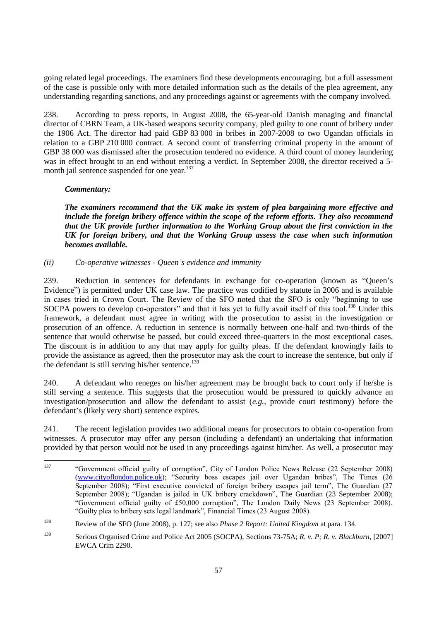going related legal proceedings. The examiners find these developments encouraging, but a full assessment of the case is possible only with more detailed information such as the details of the plea agreement, any understanding regarding sanctions, and any proceedings against or agreements with the company involved.

238. According to press reports, in August 2008, the 65-year-old Danish managing and financial director of CBRN Team, a UK-based weapons security company, pled guilty to one count of bribery under the 1906 Act. The director had paid GBP 83 000 in bribes in 2007-2008 to two Ugandan officials in relation to a GBP 210 000 contract. A second count of transferring criminal property in the amount of GBP 38 000 was dismissed after the prosecution tendered no evidence. A third count of money laundering was in effect brought to an end without entering a verdict. In September 2008, the director received a 5 month jail sentence suspended for one year.<sup>137</sup>

### *Commentary:*

*The examiners recommend that the UK make its system of plea bargaining more effective and include the foreign bribery offence within the scope of the reform efforts. They also recommend that the UK provide further information to the Working Group about the first conviction in the UK for foreign bribery, and that the Working Group assess the case when such information becomes available.*

### *(ii) Co-operative witnesses - Queen's evidence and immunity*

239. Reduction in sentences for defendants in exchange for co-operation (known as "Queen's Evidence") is permitted under UK case law. The practice was codified by statute in 2006 and is available in cases tried in Crown Court. The Review of the SFO noted that the SFO is only "beginning to use SOCPA powers to develop co-operators" and that it has yet to fully avail itself of this tool.<sup>138</sup> Under this framework, a defendant must agree in writing with the prosecution to assist in the investigation or prosecution of an offence. A reduction in sentence is normally between one-half and two-thirds of the sentence that would otherwise be passed, but could exceed three-quarters in the most exceptional cases. The discount is in addition to any that may apply for guilty pleas. If the defendant knowingly fails to provide the assistance as agreed, then the prosecutor may ask the court to increase the sentence, but only if the defendant is still serving his/her sentence.<sup>139</sup>

240. A defendant who reneges on his/her agreement may be brought back to court only if he/she is still serving a sentence. This suggests that the prosecution would be pressured to quickly advance an investigation/prosecution and allow the defendant to assist (*e.g.*, provide court testimony) before the defendant's (likely very short) sentence expires.

241. The recent legislation provides two additional means for prosecutors to obtain co-operation from witnesses. A prosecutor may offer any person (including a defendant) an undertaking that information provided by that person would not be used in any proceedings against him/her. As well, a prosecutor may

<sup>137</sup> <sup>137</sup> ―Government official guilty of corruption‖, City of London Police News Release (22 September 2008) [\(www.cityoflondon.police.uk\)](http://www.cityoflondon.police.uk/); "Security boss escapes jail over Ugandan bribes", The Times (26 September 2008); "First executive convicted of foreign bribery escapes jail term", The Guardian (27 September 2008); "Ugandan is jailed in UK bribery crackdown", The Guardian (23 September 2008); ―Government official guilty of £50,000 corruption‖, The London Daily News (23 September 2008). ―Guilty plea to bribery sets legal landmark‖, Financial Times (23 August 2008).

<sup>138</sup> Review of the SFO (June 2008), p. 127; see also *Phase 2 Report: United Kingdom* at para. 134.

<sup>139</sup> Serious Organised Crime and Police Act 2005 (SOCPA), Sections 73-75A; *R. v. P; R. v. Blackburn*, [2007] EWCA Crim 2290.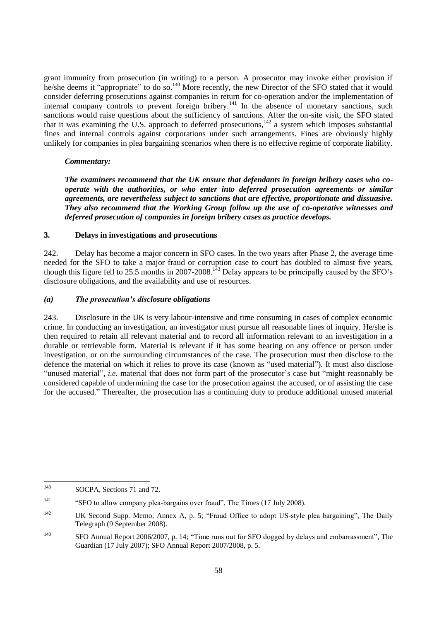grant immunity from prosecution (in writing) to a person. A prosecutor may invoke either provision if he/she deems it "appropriate" to do so.<sup>140</sup> More recently, the new Director of the SFO stated that it would consider deferring prosecutions against companies in return for co-operation and/or the implementation of internal company controls to prevent foreign bribery.<sup>141</sup> In the absence of monetary sanctions, such sanctions would raise questions about the sufficiency of sanctions. After the on-site visit, the SFO stated that it was examining the U.S. approach to deferred prosecutions, $142$  a system which imposes substantial fines and internal controls against corporations under such arrangements. Fines are obviously highly unlikely for companies in plea bargaining scenarios when there is no effective regime of corporate liability.

### *Commentary:*

*The examiners recommend that the UK ensure that defendants in foreign bribery cases who cooperate with the authorities, or who enter into deferred prosecution agreements or similar agreements, are nevertheless subject to sanctions that are effective, proportionate and dissuasive. They also recommend that the Working Group follow up the use of co-operative witnesses and deferred prosecution of companies in foreign bribery cases as practice develops.*

### **3. Delays in investigations and prosecutions**

242. Delay has become a major concern in SFO cases. In the two years after Phase 2, the average time needed for the SFO to take a major fraud or corruption case to court has doubled to almost five years, though this figure fell to 25.5 months in 2007-2008.<sup>143</sup> Delay appears to be principally caused by the SFO's disclosure obligations, and the availability and use of resources.

### *(a) The prosecution's disclosure obligations*

243. Disclosure in the UK is very labour-intensive and time consuming in cases of complex economic crime. In conducting an investigation, an investigator must pursue all reasonable lines of inquiry. He/she is then required to retain all relevant material and to record all information relevant to an investigation in a durable or retrievable form. Material is relevant if it has some bearing on any offence or person under investigation, or on the surrounding circumstances of the case. The prosecution must then disclose to the defence the material on which it relies to prove its case (known as "used material"). It must also disclose ―unused material‖, *i.e.* material that does not form part of the prosecutor's case but ―might reasonably be considered capable of undermining the case for the prosecution against the accused, or of assisting the case for the accused." Thereafter, the prosecution has a continuing duty to produce additional unused material

<sup>140</sup> SOCPA, Sections 71 and 72.

<sup>&</sup>lt;sup>141</sup> "SFO to allow company plea-bargains over fraud", The Times (17 July 2008).

<sup>&</sup>lt;sup>142</sup> UK Second Supp. Memo, Annex A, p. 5; "Fraud Office to adopt US-style plea bargaining", The Daily Telegraph (9 September 2008).

<sup>&</sup>lt;sup>143</sup> SFO Annual Report 2006/2007, p. 14; "Time runs out for SFO dogged by delays and embarrassment", The Guardian (17 July 2007); SFO Annual Report 2007/2008, p. 5.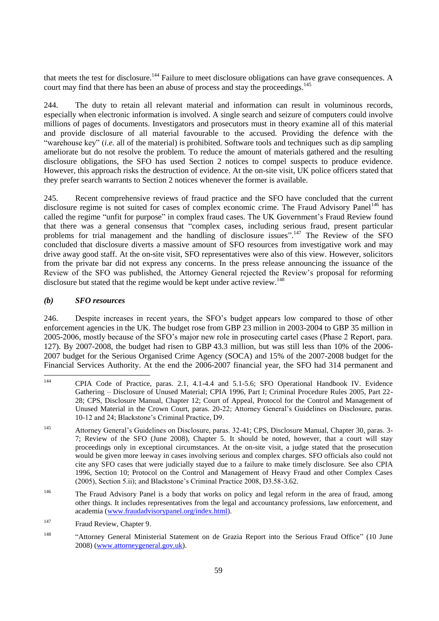that meets the test for disclosure.<sup>144</sup> Failure to meet disclosure obligations can have grave consequences. A court may find that there has been an abuse of process and stay the proceedings.<sup>145</sup>

244. The duty to retain all relevant material and information can result in voluminous records, especially when electronic information is involved. A single search and seizure of computers could involve millions of pages of documents. Investigators and prosecutors must in theory examine all of this material and provide disclosure of all material favourable to the accused. Providing the defence with the "warehouse key" *(i.e.* all of the material) is prohibited. Software tools and techniques such as dip sampling ameliorate but do not resolve the problem. To reduce the amount of materials gathered and the resulting disclosure obligations, the SFO has used Section 2 notices to compel suspects to produce evidence. However, this approach risks the destruction of evidence. At the on-site visit, UK police officers stated that they prefer search warrants to Section 2 notices whenever the former is available.

245. Recent comprehensive reviews of fraud practice and the SFO have concluded that the current disclosure regime is not suited for cases of complex economic crime. The Fraud Advisory Panel<sup>146</sup> has called the regime "unfit for purpose" in complex fraud cases. The UK Government's Fraud Review found that there was a general consensus that "complex cases, including serious fraud, present particular problems for trial management and the handling of disclosure issues".<sup>147</sup> The Review of the SFO concluded that disclosure diverts a massive amount of SFO resources from investigative work and may drive away good staff. At the on-site visit, SFO representatives were also of this view. However, solicitors from the private bar did not express any concerns. In the press release announcing the issuance of the Review of the SFO was published, the Attorney General rejected the Review's proposal for reforming disclosure but stated that the regime would be kept under active review.<sup>148</sup>

## *(b) SFO resources*

246. Despite increases in recent years, the SFO's budget appears low compared to those of other enforcement agencies in the UK. The budget rose from GBP 23 million in 2003-2004 to GBP 35 million in 2005-2006, mostly because of the SFO's major new role in prosecuting cartel cases (Phase 2 Report, para. 127). By 2007-2008, the budget had risen to GBP 43.3 million, but was still less than 10% of the 2006- 2007 budget for the Serious Organised Crime Agency (SOCA) and 15% of the 2007-2008 budget for the Financial Services Authority. At the end the 2006-2007 financial year, the SFO had 314 permanent and

<sup>144</sup> <sup>144</sup> CPIA Code of Practice, paras. 2.1, 4.1-4.4 and 5.1-5.6; SFO Operational Handbook IV. Evidence Gathering – Disclosure of Unused Material; CPIA 1996, Part I; Criminal Procedure Rules 2005, Part 22- 28; CPS, Disclosure Manual, Chapter 12; Court of Appeal, Protocol for the Control and Management of Unused Material in the Crown Court, paras. 20-22; Attorney General's Guidelines on Disclosure, paras. 10-12 and 24; Blackstone's Criminal Practice, D9.

<sup>145</sup> Attorney General's Guidelines on Disclosure, paras. 32-41; CPS, Disclosure Manual, Chapter 30, paras. 3- 7; Review of the SFO (June 2008), Chapter 5. It should be noted, however, that a court will stay proceedings only in exceptional circumstances. At the on-site visit, a judge stated that the prosecution would be given more leeway in cases involving serious and complex charges. SFO officials also could not cite any SFO cases that were judicially stayed due to a failure to make timely disclosure. See also CPIA 1996, Section 10; Protocol on the Control and Management of Heavy Fraud and other Complex Cases (2005), Section 5.ii); and Blackstone's Criminal Practice 2008, D3.58-3.62.

<sup>&</sup>lt;sup>146</sup> The Fraud Advisory Panel is a body that works on policy and legal reform in the area of fraud, among other things. It includes representatives from the legal and accountancy professions, law enforcement, and academia [\(www.fraudadvisorypanel.org/index.html\)](http://www.fraudadvisorypanel.org/index.html).

<sup>&</sup>lt;sup>147</sup> Fraud Review, Chapter 9.

<sup>&</sup>lt;sup>148</sup> "Attorney General Ministerial Statement on de Grazia Report into the Serious Fraud Office" (10 June 2008) [\(www.attorneygeneral.gov.uk\)](http://www.attorneygeneral.gov.uk/).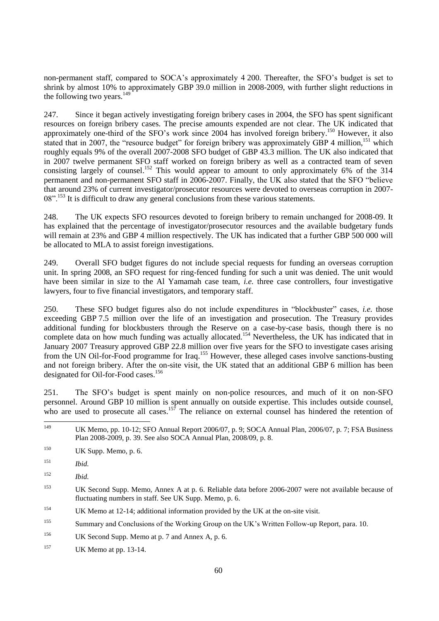non-permanent staff, compared to SOCA's approximately 4 200. Thereafter, the SFO's budget is set to shrink by almost 10% to approximately GBP 39.0 million in 2008-2009, with further slight reductions in the following two years. $^{149}$ 

247. Since it began actively investigating foreign bribery cases in 2004, the SFO has spent significant resources on foreign bribery cases. The precise amounts expended are not clear. The UK indicated that approximately one-third of the SFO's work since 2004 has involved foreign bribery.<sup>150</sup> However, it also stated that in 2007, the "resource budget" for foreign bribery was approximately GBP 4 million.<sup>151</sup> which roughly equals 9% of the overall 2007-2008 SFO budget of GBP 43.3 million. The UK also indicated that in 2007 twelve permanent SFO staff worked on foreign bribery as well as a contracted team of seven consisting largely of counsel.<sup>152</sup> This would appear to amount to only approximately 6% of the 314 permanent and non-permanent SFO staff in 2006-2007. Finally, the UK also stated that the SFO "believe that around 23% of current investigator/prosecutor resources were devoted to overseas corruption in 2007- 08".<sup>153</sup> It is difficult to draw any general conclusions from these various statements.

248. The UK expects SFO resources devoted to foreign bribery to remain unchanged for 2008-09. It has explained that the percentage of investigator/prosecutor resources and the available budgetary funds will remain at 23% and GBP 4 million respectively. The UK has indicated that a further GBP 500 000 will be allocated to MLA to assist foreign investigations.

249. Overall SFO budget figures do not include special requests for funding an overseas corruption unit. In spring 2008, an SFO request for ring-fenced funding for such a unit was denied. The unit would have been similar in size to the Al Yamamah case team, *i.e.* three case controllers, four investigative lawyers, four to five financial investigators, and temporary staff.

250. These SFO budget figures also do not include expenditures in "blockbuster" cases, *i.e.* those exceeding GBP 7.5 million over the life of an investigation and prosecution. The Treasury provides additional funding for blockbusters through the Reserve on a case-by-case basis, though there is no complete data on how much funding was actually allocated.<sup>154</sup> Nevertheless, the UK has indicated that in January 2007 Treasury approved GBP 22.8 million over five years for the SFO to investigate cases arising from the UN Oil-for-Food programme for Iraq.<sup>155</sup> However, these alleged cases involve sanctions-busting and not foreign bribery. After the on-site visit, the UK stated that an additional GBP 6 million has been designated for Oil-for-Food cases.<sup>156</sup>

251. The SFO's budget is spent mainly on non-police resources, and much of it on non-SFO personnel. Around GBP 10 million is spent annually on outside expertise. This includes outside counsel, who are used to prosecute all cases.<sup>157</sup> The reliance on external counsel has hindered the retention of

<sup>152</sup> *Ibid.*

- <sup>154</sup> UK Memo at 12-14; additional information provided by the UK at the on-site visit.
- <sup>155</sup> Summary and Conclusions of the Working Group on the UK's Written Follow-up Report, para. 10.
- <sup>156</sup> UK Second Supp. Memo at p. 7 and Annex A, p. 6.
- <sup>157</sup> UK Memo at pp. 13-14.

 $149$ UK Memo, pp. 10-12; SFO Annual Report 2006/07, p. 9; SOCA Annual Plan, 2006/07, p. 7; FSA Business Plan 2008-2009, p. 39. See also SOCA Annual Plan, 2008/09, p. 8.

 $150$  UK Supp. Memo, p. 6.

<sup>151</sup> *Ibid.*

<sup>153</sup> UK Second Supp. Memo, Annex A at p. 6. Reliable data before 2006-2007 were not available because of fluctuating numbers in staff. See UK Supp. Memo, p. 6.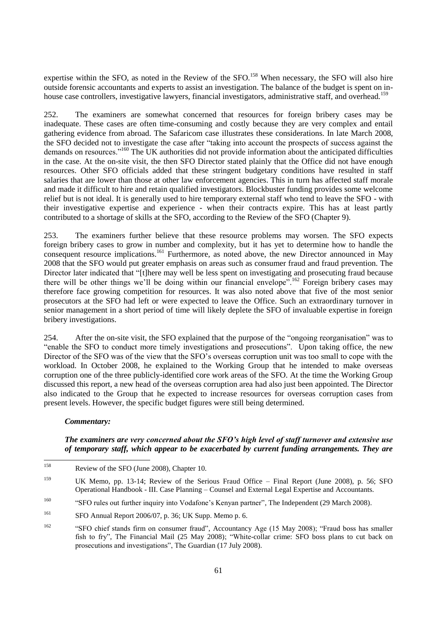expertise within the SFO, as noted in the Review of the SFO.<sup>158</sup> When necessary, the SFO will also hire outside forensic accountants and experts to assist an investigation. The balance of the budget is spent on inhouse case controllers, investigative lawyers, financial investigators, administrative staff, and overhead.<sup>159</sup>

252. The examiners are somewhat concerned that resources for foreign bribery cases may be inadequate. These cases are often time-consuming and costly because they are very complex and entail gathering evidence from abroad. The Safaricom case illustrates these considerations. In late March 2008, the SFO decided not to investigate the case after "taking into account the prospects of success against the demands on resources."<sup>160</sup> The UK authorities did not provide information about the anticipated difficulties in the case. At the on-site visit, the then SFO Director stated plainly that the Office did not have enough resources. Other SFO officials added that these stringent budgetary conditions have resulted in staff salaries that are lower than those at other law enforcement agencies. This in turn has affected staff morale and made it difficult to hire and retain qualified investigators. Blockbuster funding provides some welcome relief but is not ideal. It is generally used to hire temporary external staff who tend to leave the SFO - with their investigative expertise and experience - when their contracts expire. This has at least partly contributed to a shortage of skills at the SFO, according to the Review of the SFO (Chapter 9).

253. The examiners further believe that these resource problems may worsen. The SFO expects foreign bribery cases to grow in number and complexity, but it has yet to determine how to handle the consequent resource implications.<sup>161</sup> Furthermore, as noted above, the new Director announced in May 2008 that the SFO would put greater emphasis on areas such as consumer fraud and fraud prevention. The Director later indicated that "[t]here may well be less spent on investigating and prosecuting fraud because there will be other things we'll be doing within our financial envelope".<sup>162</sup> Foreign bribery cases may therefore face growing competition for resources. It was also noted above that five of the most senior prosecutors at the SFO had left or were expected to leave the Office. Such an extraordinary turnover in senior management in a short period of time will likely deplete the SFO of invaluable expertise in foreign bribery investigations.

254. After the on-site visit, the SFO explained that the purpose of the "ongoing reorganisation" was to "enable the SFO to conduct more timely investigations and prosecutions". Upon taking office, the new Director of the SFO was of the view that the SFO's overseas corruption unit was too small to cope with the workload. In October 2008, he explained to the Working Group that he intended to make overseas corruption one of the three publicly-identified core work areas of the SFO. At the time the Working Group discussed this report, a new head of the overseas corruption area had also just been appointed. The Director also indicated to the Group that he expected to increase resources for overseas corruption cases from present levels. However, the specific budget figures were still being determined.

#### *Commentary:*

# *The examiners are very concerned about the SFO's high level of staff turnover and extensive use of temporary staff, which appear to be exacerbated by current funding arrangements. They are*

<sup>158</sup> Review of the SFO (June 2008), Chapter 10.

<sup>159</sup> UK Memo, pp. 13-14; Review of the Serious Fraud Office – Final Report (June 2008), p. 56; SFO Operational Handbook - III. Case Planning – Counsel and External Legal Expertise and Accountants.

<sup>&</sup>lt;sup>160</sup> "SFO rules out further inquiry into Vodafone's Kenyan partner", The Independent (29 March 2008).

<sup>161</sup> SFO Annual Report 2006/07, p. 36; UK Supp. Memo p. 6.

<sup>&</sup>lt;sup>162</sup> "SFO chief stands firm on consumer fraud", Accountancy Age (15 May 2008); "Fraud boss has smaller fish to fry", The Financial Mail (25 May 2008); "White-collar crime: SFO boss plans to cut back on prosecutions and investigations", The Guardian (17 July 2008).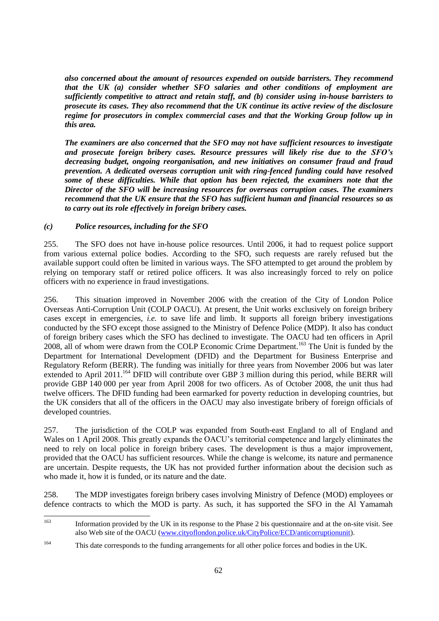*also concerned about the amount of resources expended on outside barristers. They recommend that the UK (a) consider whether SFO salaries and other conditions of employment are sufficiently competitive to attract and retain staff, and (b) consider using in-house barristers to prosecute its cases. They also recommend that the UK continue its active review of the disclosure regime for prosecutors in complex commercial cases and that the Working Group follow up in this area.*

*The examiners are also concerned that the SFO may not have sufficient resources to investigate and prosecute foreign bribery cases. Resource pressures will likely rise due to the SFO's decreasing budget, ongoing reorganisation, and new initiatives on consumer fraud and fraud prevention. A dedicated overseas corruption unit with ring-fenced funding could have resolved some of these difficulties. While that option has been rejected, the examiners note that the Director of the SFO will be increasing resources for overseas corruption cases. The examiners recommend that the UK ensure that the SFO has sufficient human and financial resources so as to carry out its role effectively in foreign bribery cases.*

## *(c) Police resources, including for the SFO*

255. The SFO does not have in-house police resources. Until 2006, it had to request police support from various external police bodies. According to the SFO, such requests are rarely refused but the available support could often be limited in various ways. The SFO attempted to get around the problem by relying on temporary staff or retired police officers. It was also increasingly forced to rely on police officers with no experience in fraud investigations.

256. This situation improved in November 2006 with the creation of the City of London Police Overseas Anti-Corruption Unit (COLP OACU). At present, the Unit works exclusively on foreign bribery cases except in emergencies, *i.e.* to save life and limb. It supports all foreign bribery investigations conducted by the SFO except those assigned to the Ministry of Defence Police (MDP). It also has conduct of foreign bribery cases which the SFO has declined to investigate. The OACU had ten officers in April 2008, all of whom were drawn from the COLP Economic Crime Department.<sup>163</sup> The Unit is funded by the Department for International Development (DFID) and the Department for Business Enterprise and Regulatory Reform (BERR). The funding was initially for three years from November 2006 but was later extended to April 2011.<sup>164</sup> DFID will contribute over GBP 3 million during this period, while BERR will provide GBP 140 000 per year from April 2008 for two officers. As of October 2008, the unit thus had twelve officers. The DFID funding had been earmarked for poverty reduction in developing countries, but the UK considers that all of the officers in the OACU may also investigate bribery of foreign officials of developed countries.

257. The jurisdiction of the COLP was expanded from South-east England to all of England and Wales on 1 April 2008. This greatly expands the OACU's territorial competence and largely eliminates the need to rely on local police in foreign bribery cases. The development is thus a major improvement, provided that the OACU has sufficient resources. While the change is welcome, its nature and permanence are uncertain. Despite requests, the UK has not provided further information about the decision such as who made it, how it is funded, or its nature and the date.

258. The MDP investigates foreign bribery cases involving Ministry of Defence (MOD) employees or defence contracts to which the MOD is party. As such, it has supported the SFO in the Al Yamamah

<sup>163</sup> Information provided by the UK in its response to the Phase 2 bis questionnaire and at the on-site visit. See also Web site of the OACU [\(www.cityoflondon.police.uk/CityPolice/ECD/anticorruptionunit\)](http://www.cityoflondon.police.uk/CityPolice/ECD/anticorruptionunit).

<sup>164</sup> This date corresponds to the funding arrangements for all other police forces and bodies in the UK.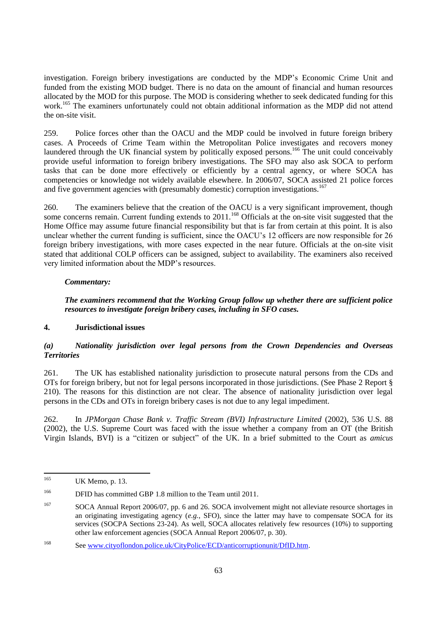investigation. Foreign bribery investigations are conducted by the MDP's Economic Crime Unit and funded from the existing MOD budget. There is no data on the amount of financial and human resources allocated by the MOD for this purpose. The MOD is considering whether to seek dedicated funding for this work.<sup>165</sup> The examiners unfortunately could not obtain additional information as the MDP did not attend the on-site visit.

259. Police forces other than the OACU and the MDP could be involved in future foreign bribery cases. A Proceeds of Crime Team within the Metropolitan Police investigates and recovers money laundered through the UK financial system by politically exposed persons.<sup>166</sup> The unit could conceivably provide useful information to foreign bribery investigations. The SFO may also ask SOCA to perform tasks that can be done more effectively or efficiently by a central agency, or where SOCA has competencies or knowledge not widely available elsewhere. In 2006/07, SOCA assisted 21 police forces and five government agencies with (presumably domestic) corruption investigations.<sup>167</sup>

260. The examiners believe that the creation of the OACU is a very significant improvement, though some concerns remain. Current funding extends to  $2011$ .<sup>168</sup> Officials at the on-site visit suggested that the Home Office may assume future financial responsibility but that is far from certain at this point. It is also unclear whether the current funding is sufficient, since the OACU's 12 officers are now responsible for 26 foreign bribery investigations, with more cases expected in the near future. Officials at the on-site visit stated that additional COLP officers can be assigned, subject to availability. The examiners also received very limited information about the MDP's resources.

# *Commentary:*

# *The examiners recommend that the Working Group follow up whether there are sufficient police resources to investigate foreign bribery cases, including in SFO cases.*

## **4. Jurisdictional issues**

# *(a) Nationality jurisdiction over legal persons from the Crown Dependencies and Overseas Territories*

261. The UK has established nationality jurisdiction to prosecute natural persons from the CDs and OTs for foreign bribery, but not for legal persons incorporated in those jurisdictions. (See Phase 2 Report § 210). The reasons for this distinction are not clear. The absence of nationality jurisdiction over legal persons in the CDs and OTs in foreign bribery cases is not due to any legal impediment.

262. In *JPMorgan Chase Bank v. Traffic Stream (BVI) Infrastructure Limited* (2002), 536 U.S. 88 (2002), the U.S. Supreme Court was faced with the issue whether a company from an OT (the British Virgin Islands, BVI) is a "citizen or subject" of the UK. In a brief submitted to the Court as *amicus* 

<sup>165</sup> UK Memo, p. 13.

<sup>&</sup>lt;sup>166</sup> DFID has committed GBP 1.8 million to the Team until 2011.

<sup>&</sup>lt;sup>167</sup> SOCA Annual Report 2006/07, pp. 6 and 26. SOCA involvement might not alleviate resource shortages in an originating investigating agency (*e.g.*, SFO), since the latter may have to compensate SOCA for its services (SOCPA Sections 23-24). As well, SOCA allocates relatively few resources (10%) to supporting other law enforcement agencies (SOCA Annual Report 2006/07, p. 30).

<sup>168</sup> See [www.cityoflondon.police.uk/CityPolice/ECD/anticorruptionunit/DfID.htm.](http://www.cityoflondon.police.uk/CityPolice/ECD/anticorruptionunit/DfID.htm)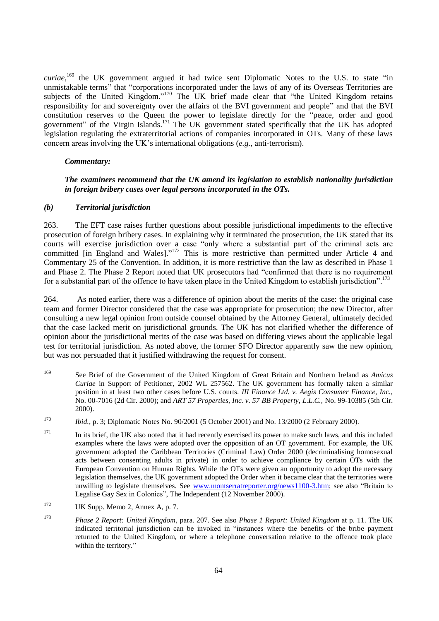*curiae*,<sup>169</sup> the UK government argued it had twice sent Diplomatic Notes to the U.S. to state "in unmistakable terms" that "corporations incorporated under the laws of any of its Overseas Territories are subjects of the United Kingdom."<sup>170</sup> The UK brief made clear that "the United Kingdom retains responsibility for and sovereignty over the affairs of the BVI government and people" and that the BVI constitution reserves to the Queen the power to legislate directly for the "peace, order and good government" of the Virgin Islands.<sup>171</sup> The UK government stated specifically that the UK has adopted legislation regulating the extraterritorial actions of companies incorporated in OTs. Many of these laws concern areas involving the UK's international obligations (*e.g.*, anti-terrorism).

## *Commentary:*

## *The examiners recommend that the UK amend its legislation to establish nationality jurisdiction in foreign bribery cases over legal persons incorporated in the OTs.*

### *(b) Territorial jurisdiction*

263. The EFT case raises further questions about possible jurisdictional impediments to the effective prosecution of foreign bribery cases. In explaining why it terminated the prosecution, the UK stated that its courts will exercise jurisdiction over a case "only where a substantial part of the criminal acts are committed [in England and Wales]."<sup>172</sup> This is more restrictive than permitted under Article 4 and Commentary 25 of the Convention. In addition, it is more restrictive than the law as described in Phase 1 and Phase 2. The Phase 2 Report noted that UK prosecutors had "confirmed that there is no requirement for a substantial part of the offence to have taken place in the United Kingdom to establish jurisdiction".<sup>173</sup>

264. As noted earlier, there was a difference of opinion about the merits of the case: the original case team and former Director considered that the case was appropriate for prosecution; the new Director, after consulting a new legal opinion from outside counsel obtained by the Attorney General, ultimately decided that the case lacked merit on jurisdictional grounds. The UK has not clarified whether the difference of opinion about the jurisdictional merits of the case was based on differing views about the applicable legal test for territorial jurisdiction. As noted above, the former SFO Director apparently saw the new opinion, but was not persuaded that it justified withdrawing the request for consent.

<sup>169</sup> <sup>169</sup> See Brief of the Government of the United Kingdom of Great Britain and Northern Ireland as *Amicus Curiae* in Support of Petitioner, 2002 WL 257562. The UK government has formally taken a similar position in at least two other cases before U.S. courts. *III Finance Ltd. v. Aegis Consumer Finance, Inc.,* No. 00-7016 (2d Cir. 2000); and *ART 57 Properties, Inc. v. 57 BB Property, L.L.C.,* No. 99-10385 (5th Cir. 2000).

<sup>170</sup> *Ibid.*, p. 3; Diplomatic Notes No. 90/2001 (5 October 2001) and No. 13/2000 (2 February 2000).

<sup>&</sup>lt;sup>171</sup> In its brief, the UK also noted that it had recently exercised its power to make such laws, and this included examples where the laws were adopted over the opposition of an OT government. For example, the UK government adopted the Caribbean Territories (Criminal Law) Order 2000 (decriminalising homosexual acts between consenting adults in private) in order to achieve compliance by certain OTs with the European Convention on Human Rights. While the OTs were given an opportunity to adopt the necessary legislation themselves, the UK government adopted the Order when it became clear that the territories were unwilling to legislate themselves. See [www.montserratreporter.org/news1100-3.htm;](http://www.montserratreporter.org/news1100-3.htm) see also "Britain to Legalise Gay Sex in Colonies", The Independent (12 November 2000).

 $172$  UK Supp. Memo 2, Annex A, p. 7.

<sup>173</sup> *Phase 2 Report: United Kingdom*, para. 207. See also *Phase 1 Report: United Kingdom* at p. 11. The UK indicated territorial jurisdiction can be invoked in "instances where the benefits of the bribe payment returned to the United Kingdom, or where a telephone conversation relative to the offence took place within the territory."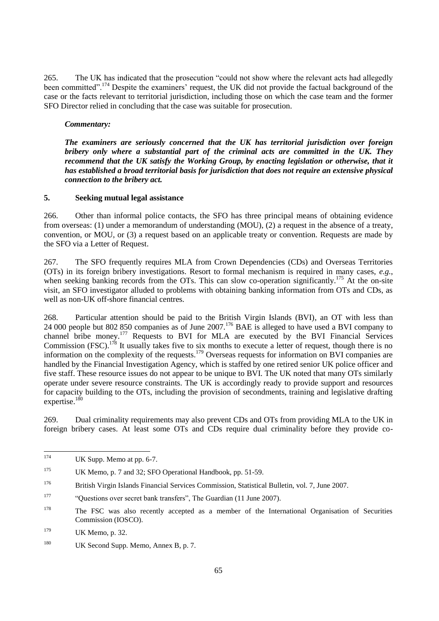265. The UK has indicated that the prosecution "could not show where the relevant acts had allegedly been committed".<sup>174</sup> Despite the examiners' request, the UK did not provide the factual background of the case or the facts relevant to territorial jurisdiction, including those on which the case team and the former SFO Director relied in concluding that the case was suitable for prosecution.

## *Commentary:*

*The examiners are seriously concerned that the UK has territorial jurisdiction over foreign bribery only where a substantial part of the criminal acts are committed in the UK. They recommend that the UK satisfy the Working Group, by enacting legislation or otherwise, that it has established a broad territorial basis for jurisdiction that does not require an extensive physical connection to the bribery act.*

## **5. Seeking mutual legal assistance**

266. Other than informal police contacts, the SFO has three principal means of obtaining evidence from overseas: (1) under a memorandum of understanding (MOU), (2) a request in the absence of a treaty, convention, or MOU, or (3) a request based on an applicable treaty or convention. Requests are made by the SFO via a Letter of Request.

267. The SFO frequently requires MLA from Crown Dependencies (CDs) and Overseas Territories (OTs) in its foreign bribery investigations. Resort to formal mechanism is required in many cases, *e.g.*, when seeking banking records from the OTs. This can slow co-operation significantly.<sup>175</sup> At the on-site visit, an SFO investigator alluded to problems with obtaining banking information from OTs and CDs, as well as non-UK off-shore financial centres.

268. Particular attention should be paid to the British Virgin Islands (BVI), an OT with less than 24 000 people but 802 850 companies as of June 2007.<sup>176</sup> BAE is alleged to have used a BVI company to channel bribe money.<sup>177</sup> Requests to BVI for MLA are executed by the BVI Financial Services Commission (FSC).<sup>178</sup> It usually takes five to six months to execute a letter of request, though there is no information on the complexity of the requests.<sup>179</sup> Overseas requests for information on BVI companies are handled by the Financial Investigation Agency, which is staffed by one retired senior UK police officer and five staff. These resource issues do not appear to be unique to BVI. The UK noted that many OTs similarly operate under severe resource constraints. The UK is accordingly ready to provide support and resources for capacity building to the OTs, including the provision of secondments, training and legislative drafting expertise.<sup>180</sup>

269. Dual criminality requirements may also prevent CDs and OTs from providing MLA to the UK in foreign bribery cases. At least some OTs and CDs require dual criminality before they provide co-

<sup>174</sup> UK Supp. Memo at pp. 6-7.

<sup>175</sup> UK Memo, p. 7 and 32; SFO Operational Handbook, pp. 51-59.

<sup>176</sup> British Virgin Islands Financial Services Commission, Statistical Bulletin, vol. 7, June 2007.

<sup>177</sup> ―Questions over secret bank transfers‖, The Guardian (11 June 2007).

<sup>&</sup>lt;sup>178</sup> The FSC was also recently accepted as a member of the International Organisation of Securities Commission (IOSCO).

<sup>179</sup> UK Memo, p. 32.

<sup>&</sup>lt;sup>180</sup> UK Second Supp. Memo, Annex B, p. 7.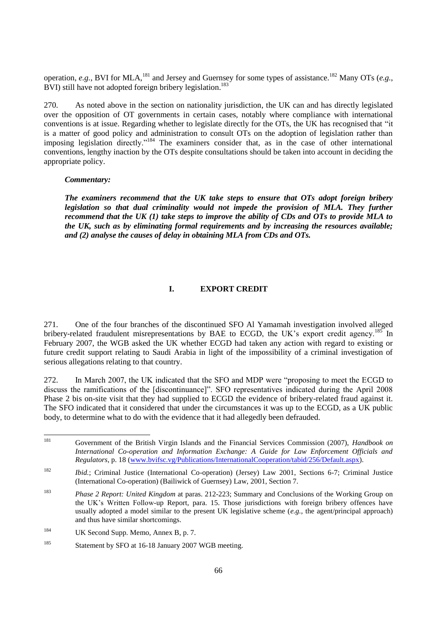operation, *e.g.*, BVI for MLA,<sup>181</sup> and Jersey and Guernsey for some types of assistance.<sup>182</sup> Many OTs (*e.g.*, BVI) still have not adopted foreign bribery legislation.<sup>183</sup>

270. As noted above in the section on nationality jurisdiction, the UK can and has directly legislated over the opposition of OT governments in certain cases, notably where compliance with international conventions is at issue. Regarding whether to legislate directly for the OTs, the UK has recognised that "it is a matter of good policy and administration to consult OTs on the adoption of legislation rather than imposing legislation directly."<sup>184</sup> The examiners consider that, as in the case of other international conventions, lengthy inaction by the OTs despite consultations should be taken into account in deciding the appropriate policy.

#### *Commentary:*

*The examiners recommend that the UK take steps to ensure that OTs adopt foreign bribery legislation so that dual criminality would not impede the provision of MLA. They further recommend that the UK (1) take steps to improve the ability of CDs and OTs to provide MLA to the UK, such as by eliminating formal requirements and by increasing the resources available; and (2) analyse the causes of delay in obtaining MLA from CDs and OTs.* 

## **I. EXPORT CREDIT**

271. One of the four branches of the discontinued SFO Al Yamamah investigation involved alleged bribery-related fraudulent misrepresentations by BAE to ECGD, the UK's export credit agency.<sup>185</sup> In February 2007, the WGB asked the UK whether ECGD had taken any action with regard to existing or future credit support relating to Saudi Arabia in light of the impossibility of a criminal investigation of serious allegations relating to that country.

272. In March 2007, the UK indicated that the SFO and MDP were "proposing to meet the ECGD to discuss the ramifications of the [discontinuance]". SFO representatives indicated during the April 2008 Phase 2 bis on-site visit that they had supplied to ECGD the evidence of bribery-related fraud against it. The SFO indicated that it considered that under the circumstances it was up to the ECGD, as a UK public body, to determine what to do with the evidence that it had allegedly been defrauded.

<sup>181</sup> <sup>181</sup> Government of the British Virgin Islands and the Financial Services Commission (2007), *Handbook on International Co-operation and Information Exchange: A Guide for Law Enforcement Officials and Regulators*, p. 18 [\(www.bvifsc.vg/Publications/InternationalCooperation/tabid/256/Default.aspx\)](http://www.bvifsc.vg/Publications/InternationalCooperation/tabid/256/Default.aspx).

<sup>182</sup> *Ibid.*; Criminal Justice (International Co-operation) (Jersey) Law 2001, Sections 6-7; Criminal Justice (International Co-operation) (Bailiwick of Guernsey) Law, 2001, Section 7.

<sup>183</sup> *Phase 2 Report: United Kingdom* at paras. 212-223; Summary and Conclusions of the Working Group on the UK's Written Follow-up Report, para. 15. Those jurisdictions with foreign bribery offences have usually adopted a model similar to the present UK legislative scheme (*e.g.*, the agent/principal approach) and thus have similar shortcomings.

<sup>&</sup>lt;sup>184</sup> UK Second Supp. Memo, Annex B, p. 7.

<sup>&</sup>lt;sup>185</sup> Statement by SFO at 16-18 January 2007 WGB meeting.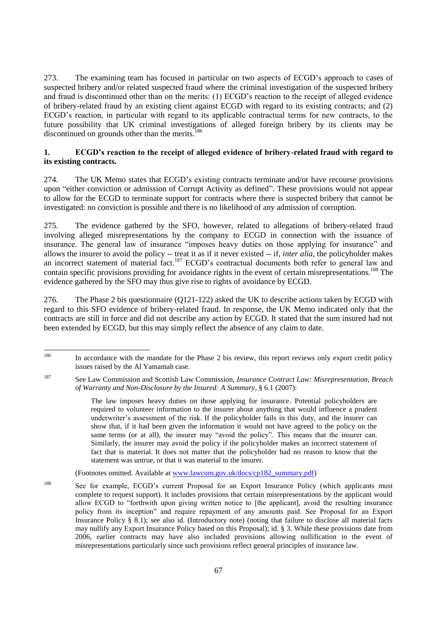273. The examining team has focused in particular on two aspects of ECGD's approach to cases of suspected bribery and/or related suspected fraud where the criminal investigation of the suspected bribery and fraud is discontinued other than on the merits: (1) ECGD's reaction to the receipt of alleged evidence of bribery-related fraud by an existing client against ECGD with regard to its existing contracts; and (2) ECGD's reaction, in particular with regard to its applicable contractual terms for new contracts, to the future possibility that UK criminal investigations of alleged foreign bribery by its clients may be discontinued on grounds other than the merits.<sup>186</sup>

## **1. ECGD's reaction to the receipt of alleged evidence of bribery-related fraud with regard to its existing contracts.**

274. The UK Memo states that ECGD's existing contracts terminate and/or have recourse provisions upon "either conviction or admission of Corrupt Activity as defined". These provisions would not appear to allow for the ECGD to terminate support for contracts where there is suspected bribery that cannot be investigated: no conviction is possible and there is no likelihood of any admission of corruption.

275. The evidence gathered by the SFO, however, related to allegations of bribery-related fraud involving alleged misrepresentations by the company to ECGD in connection with the issuance of insurance. The general law of insurance "imposes heavy duties on those applying for insurance" and allows the insurer to avoid the policy -- treat it as if it never existed -- if, *inter alia*, the policyholder makes an incorrect statement of material fact.<sup>187</sup> ECGD's contractual documents both refer to general law and contain specific provisions providing for avoidance rights in the event of certain misrepresentations.<sup>188</sup> The evidence gathered by the SFO may thus give rise to rights of avoidance by ECGD.

276. The Phase 2 bis questionnaire (Q121-122) asked the UK to describe actions taken by ECGD with regard to this SFO evidence of bribery-related fraud. In response, the UK Memo indicated only that the contracts are still in force and did not describe any action by ECGD. It stated that the sum insured had not been extended by ECGD, but this may simply reflect the absence of any claim to date.

(Footnotes omitted. Available at [www.lawcom.gov.uk/docs/cp182\\_summary.pdf\)](http://www.lawcom.gov.uk/docs/cp182_summary.pdf)

<sup>186</sup> In accordance with the mandate for the Phase 2 bis review, this report reviews only export credit policy issues raised by the Al Yamamah case.

<sup>187</sup> See Law Commission and Scottish Law Commission, *Insurance Contract Law: Misrepresentation, Breach of Warranty and Non-Disclosure by the Insured: A Summary*, § 6.1 (2007):

The law imposes heavy duties on those applying for insurance. Potential policyholders are required to volunteer information to the insurer about anything that would influence a prudent underwriter's assessment of the risk. If the policyholder fails in this duty, and the insurer can show that, if it had been given the information it would not have agreed to the policy on the same terms (or at all), the insurer may "avoid the policy". This means that the insurer can. Similarly, the insurer may avoid the policy if the policyholder makes an incorrect statement of fact that is material. It does not matter that the policyholder had no reason to know that the statement was untrue, or that it was material to the insurer.

<sup>188</sup> See for example, ECGD's current Proposal for an Export Insurance Policy (which applicants must complete to request support). It includes provisions that certain misrepresentations by the applicant would allow ECGD to "forthwith upon giving written notice to [the applicant], avoid the resulting insurance policy from its inception‖ and require repayment of any amounts paid. See Proposal for an Export Insurance Policy § 8.1); see also id. (Introductory note) (noting that failure to disclose all material facts may nullify any Export Insurance Policy based on this Proposal); id. § 3. While these provisions date from 2006, earlier contracts may have also included provisions allowing nullification in the event of misrepresentations particularly since such provisions reflect general principles of insurance law.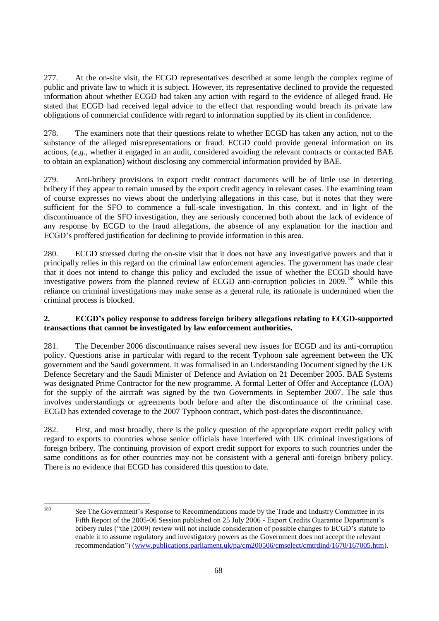277. At the on-site visit, the ECGD representatives described at some length the complex regime of public and private law to which it is subject. However, its representative declined to provide the requested information about whether ECGD had taken any action with regard to the evidence of alleged fraud. He stated that ECGD had received legal advice to the effect that responding would breach its private law obligations of commercial confidence with regard to information supplied by its client in confidence.

278. The examiners note that their questions relate to whether ECGD has taken any action, not to the substance of the alleged misrepresentations or fraud. ECGD could provide general information on its actions, (*e.g.*, whether it engaged in an audit, considered avoiding the relevant contracts or contacted BAE to obtain an explanation) without disclosing any commercial information provided by BAE.

279. Anti-bribery provisions in export credit contract documents will be of little use in deterring bribery if they appear to remain unused by the export credit agency in relevant cases. The examining team of course expresses no views about the underlying allegations in this case, but it notes that they were sufficient for the SFO to commence a full-scale investigation. In this context, and in light of the discontinuance of the SFO investigation, they are seriously concerned both about the lack of evidence of any response by ECGD to the fraud allegations, the absence of any explanation for the inaction and ECGD's proffered justification for declining to provide information in this area.

280. ECGD stressed during the on-site visit that it does not have any investigative powers and that it principally relies in this regard on the criminal law enforcement agencies. The government has made clear that it does not intend to change this policy and excluded the issue of whether the ECGD should have investigative powers from the planned review of ECGD anti-corruption policies in 2009.<sup>189</sup> While this reliance on criminal investigations may make sense as a general rule, its rationale is undermined when the criminal process is blocked.

# **2. ECGD's policy response to address foreign bribery allegations relating to ECGD-supported transactions that cannot be investigated by law enforcement authorities.**

281. The December 2006 discontinuance raises several new issues for ECGD and its anti-corruption policy. Questions arise in particular with regard to the recent Typhoon sale agreement between the UK government and the Saudi government. It was formalised in an Understanding Document signed by the UK Defence Secretary and the Saudi Minister of Defence and Aviation on 21 December 2005. BAE Systems was designated Prime Contractor for the new programme. A formal Letter of Offer and Acceptance (LOA) for the supply of the aircraft was signed by the two Governments in September 2007. The sale thus involves understandings or agreements both before and after the discontinuance of the criminal case. ECGD has extended coverage to the 2007 Typhoon contract, which post-dates the discontinuance.

282. First, and most broadly, there is the policy question of the appropriate export credit policy with regard to exports to countries whose senior officials have interfered with UK criminal investigations of foreign bribery. The continuing provision of export credit support for exports to such countries under the same conditions as for other countries may not be consistent with a general anti-foreign bribery policy. There is no evidence that ECGD has considered this question to date.

 $100$ 

See The Government's Response to Recommendations made by the Trade and Industry Committee in its Fifth Report of the 2005-06 Session published on 25 July 2006 - Export Credits Guarantee Department's bribery rules ("the [2009] review will not include consideration of possible changes to ECGD's statute to enable it to assume regulatory and investigatory powers as the Government does not accept the relevant recommendation") [\(www.publications.parliament.uk/pa/cm200506/cmselect/cmtrdind/1670/167005.htm\)](http://www.publications.parliament.uk/pa/cm200506/cmselect/cmtrdind/1670/167005.htm).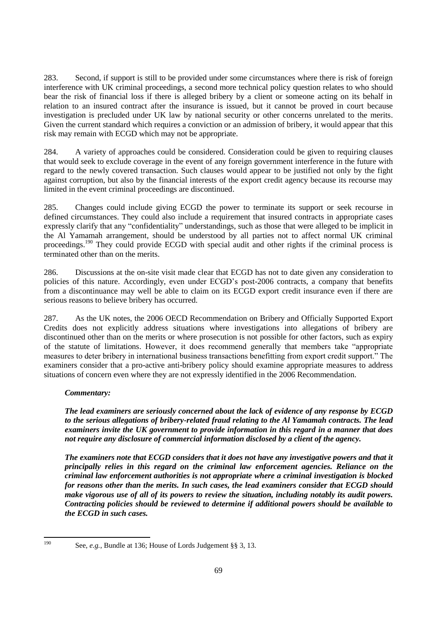283. Second, if support is still to be provided under some circumstances where there is risk of foreign interference with UK criminal proceedings, a second more technical policy question relates to who should bear the risk of financial loss if there is alleged bribery by a client or someone acting on its behalf in relation to an insured contract after the insurance is issued, but it cannot be proved in court because investigation is precluded under UK law by national security or other concerns unrelated to the merits. Given the current standard which requires a conviction or an admission of bribery, it would appear that this risk may remain with ECGD which may not be appropriate.

284. A variety of approaches could be considered. Consideration could be given to requiring clauses that would seek to exclude coverage in the event of any foreign government interference in the future with regard to the newly covered transaction. Such clauses would appear to be justified not only by the fight against corruption, but also by the financial interests of the export credit agency because its recourse may limited in the event criminal proceedings are discontinued.

285. Changes could include giving ECGD the power to terminate its support or seek recourse in defined circumstances. They could also include a requirement that insured contracts in appropriate cases expressly clarify that any "confidentiality" understandings, such as those that were alleged to be implicit in the Al Yamamah arrangement, should be understood by all parties not to affect normal UK criminal proceedings.<sup>190</sup> They could provide ECGD with special audit and other rights if the criminal process is terminated other than on the merits.

286. Discussions at the on-site visit made clear that ECGD has not to date given any consideration to policies of this nature. Accordingly, even under ECGD's post-2006 contracts, a company that benefits from a discontinuance may well be able to claim on its ECGD export credit insurance even if there are serious reasons to believe bribery has occurred.

287. As the UK notes, the 2006 OECD Recommendation on Bribery and Officially Supported Export Credits does not explicitly address situations where investigations into allegations of bribery are discontinued other than on the merits or where prosecution is not possible for other factors, such as expiry of the statute of limitations. However, it does recommend generally that members take "appropriate" measures to deter bribery in international business transactions benefitting from export credit support." The examiners consider that a pro-active anti-bribery policy should examine appropriate measures to address situations of concern even where they are not expressly identified in the 2006 Recommendation.

## *Commentary:*

*The lead examiners are seriously concerned about the lack of evidence of any response by ECGD to the serious allegations of bribery-related fraud relating to the Al Yamamah contracts. The lead examiners invite the UK government to provide information in this regard in a manner that does not require any disclosure of commercial information disclosed by a client of the agency.* 

*The examiners note that ECGD considers that it does not have any investigative powers and that it principally relies in this regard on the criminal law enforcement agencies. Reliance on the criminal law enforcement authorities is not appropriate where a criminal investigation is blocked for reasons other than the merits. In such cases, the lead examiners consider that ECGD should make vigorous use of all of its powers to review the situation, including notably its audit powers. Contracting policies should be reviewed to determine if additional powers should be available to the ECGD in such cases.* 

<sup>190</sup> 

See, *e.g.*, Bundle at 136; House of Lords Judgement §§ 3, 13.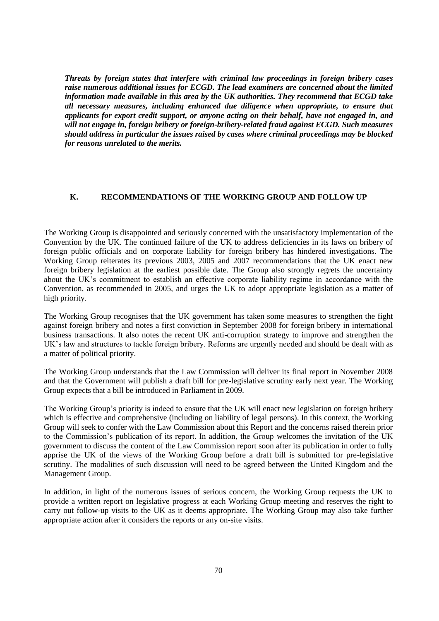*Threats by foreign states that interfere with criminal law proceedings in foreign bribery cases raise numerous additional issues for ECGD. The lead examiners are concerned about the limited information made available in this area by the UK authorities. They recommend that ECGD take all necessary measures, including enhanced due diligence when appropriate, to ensure that applicants for export credit support, or anyone acting on their behalf, have not engaged in, and will not engage in, foreign bribery or foreign-bribery-related fraud against ECGD. Such measures should address in particular the issues raised by cases where criminal proceedings may be blocked for reasons unrelated to the merits.*

### **K. RECOMMENDATIONS OF THE WORKING GROUP AND FOLLOW UP**

The Working Group is disappointed and seriously concerned with the unsatisfactory implementation of the Convention by the UK. The continued failure of the UK to address deficiencies in its laws on bribery of foreign public officials and on corporate liability for foreign bribery has hindered investigations. The Working Group reiterates its previous 2003, 2005 and 2007 recommendations that the UK enact new foreign bribery legislation at the earliest possible date. The Group also strongly regrets the uncertainty about the UK's commitment to establish an effective corporate liability regime in accordance with the Convention, as recommended in 2005, and urges the UK to adopt appropriate legislation as a matter of high priority.

The Working Group recognises that the UK government has taken some measures to strengthen the fight against foreign bribery and notes a first conviction in September 2008 for foreign bribery in international business transactions. It also notes the recent UK anti-corruption strategy to improve and strengthen the UK's law and structures to tackle foreign bribery. Reforms are urgently needed and should be dealt with as a matter of political priority.

The Working Group understands that the Law Commission will deliver its final report in November 2008 and that the Government will publish a draft bill for pre-legislative scrutiny early next year. The Working Group expects that a bill be introduced in Parliament in 2009.

The Working Group's priority is indeed to ensure that the UK will enact new legislation on foreign bribery which is effective and comprehensive (including on liability of legal persons). In this context, the Working Group will seek to confer with the Law Commission about this Report and the concerns raised therein prior to the Commission's publication of its report. In addition, the Group welcomes the invitation of the UK government to discuss the content of the Law Commission report soon after its publication in order to fully apprise the UK of the views of the Working Group before a draft bill is submitted for pre-legislative scrutiny. The modalities of such discussion will need to be agreed between the United Kingdom and the Management Group.

In addition, in light of the numerous issues of serious concern, the Working Group requests the UK to provide a written report on legislative progress at each Working Group meeting and reserves the right to carry out follow-up visits to the UK as it deems appropriate. The Working Group may also take further appropriate action after it considers the reports or any on-site visits.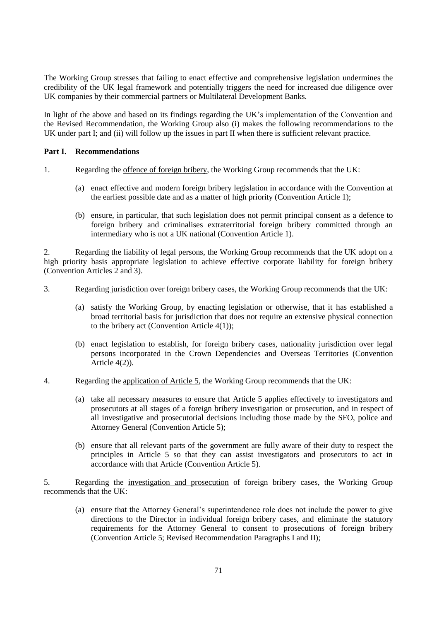The Working Group stresses that failing to enact effective and comprehensive legislation undermines the credibility of the UK legal framework and potentially triggers the need for increased due diligence over UK companies by their commercial partners or Multilateral Development Banks.

In light of the above and based on its findings regarding the UK's implementation of the Convention and the Revised Recommendation, the Working Group also (i) makes the following recommendations to the UK under part I; and (ii) will follow up the issues in part II when there is sufficient relevant practice.

### **Part I. Recommendations**

- 1. Regarding the offence of foreign bribery, the Working Group recommends that the UK:
	- (a) enact effective and modern foreign bribery legislation in accordance with the Convention at the earliest possible date and as a matter of high priority (Convention Article 1);
	- (b) ensure, in particular, that such legislation does not permit principal consent as a defence to foreign bribery and criminalises extraterritorial foreign bribery committed through an intermediary who is not a UK national (Convention Article 1).

2. Regarding the liability of legal persons, the Working Group recommends that the UK adopt on a high priority basis appropriate legislation to achieve effective corporate liability for foreign bribery (Convention Articles 2 and 3).

- 3. Regarding jurisdiction over foreign bribery cases, the Working Group recommends that the UK:
	- (a) satisfy the Working Group, by enacting legislation or otherwise, that it has established a broad territorial basis for jurisdiction that does not require an extensive physical connection to the bribery act (Convention Article 4(1));
	- (b) enact legislation to establish, for foreign bribery cases, nationality jurisdiction over legal persons incorporated in the Crown Dependencies and Overseas Territories (Convention Article 4(2)).
- 4. Regarding the application of Article 5, the Working Group recommends that the UK:
	- (a) take all necessary measures to ensure that Article 5 applies effectively to investigators and prosecutors at all stages of a foreign bribery investigation or prosecution, and in respect of all investigative and prosecutorial decisions including those made by the SFO, police and Attorney General (Convention Article 5);
	- (b) ensure that all relevant parts of the government are fully aware of their duty to respect the principles in Article 5 so that they can assist investigators and prosecutors to act in accordance with that Article (Convention Article 5).

5. Regarding the investigation and prosecution of foreign bribery cases, the Working Group recommends that the UK:

(a) ensure that the Attorney General's superintendence role does not include the power to give directions to the Director in individual foreign bribery cases, and eliminate the statutory requirements for the Attorney General to consent to prosecutions of foreign bribery (Convention Article 5; Revised Recommendation Paragraphs I and II);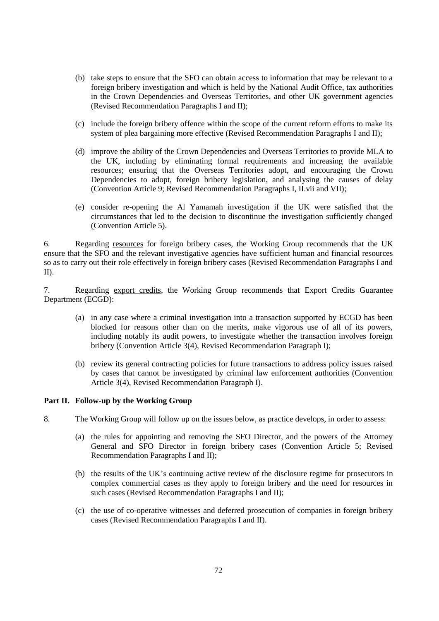- (b) take steps to ensure that the SFO can obtain access to information that may be relevant to a foreign bribery investigation and which is held by the National Audit Office, tax authorities in the Crown Dependencies and Overseas Territories, and other UK government agencies (Revised Recommendation Paragraphs I and II);
- (c) include the foreign bribery offence within the scope of the current reform efforts to make its system of plea bargaining more effective (Revised Recommendation Paragraphs I and II);
- (d) improve the ability of the Crown Dependencies and Overseas Territories to provide MLA to the UK, including by eliminating formal requirements and increasing the available resources; ensuring that the Overseas Territories adopt, and encouraging the Crown Dependencies to adopt, foreign bribery legislation, and analysing the causes of delay (Convention Article 9; Revised Recommendation Paragraphs I, II.vii and VII);
- (e) consider re-opening the Al Yamamah investigation if the UK were satisfied that the circumstances that led to the decision to discontinue the investigation sufficiently changed (Convention Article 5).

6. Regarding resources for foreign bribery cases, the Working Group recommends that the UK ensure that the SFO and the relevant investigative agencies have sufficient human and financial resources so as to carry out their role effectively in foreign bribery cases (Revised Recommendation Paragraphs I and II).

7. Regarding export credits, the Working Group recommends that Export Credits Guarantee Department (ECGD):

- (a) in any case where a criminal investigation into a transaction supported by ECGD has been blocked for reasons other than on the merits, make vigorous use of all of its powers, including notably its audit powers, to investigate whether the transaction involves foreign bribery (Convention Article 3(4), Revised Recommendation Paragraph I);
- (b) review its general contracting policies for future transactions to address policy issues raised by cases that cannot be investigated by criminal law enforcement authorities (Convention Article 3(4), Revised Recommendation Paragraph I).

## **Part II. Follow-up by the Working Group**

8. The Working Group will follow up on the issues below, as practice develops, in order to assess:

- (a) the rules for appointing and removing the SFO Director, and the powers of the Attorney General and SFO Director in foreign bribery cases (Convention Article 5; Revised Recommendation Paragraphs I and II);
- (b) the results of the UK's continuing active review of the disclosure regime for prosecutors in complex commercial cases as they apply to foreign bribery and the need for resources in such cases (Revised Recommendation Paragraphs I and II);
- (c) the use of co-operative witnesses and deferred prosecution of companies in foreign bribery cases (Revised Recommendation Paragraphs I and II).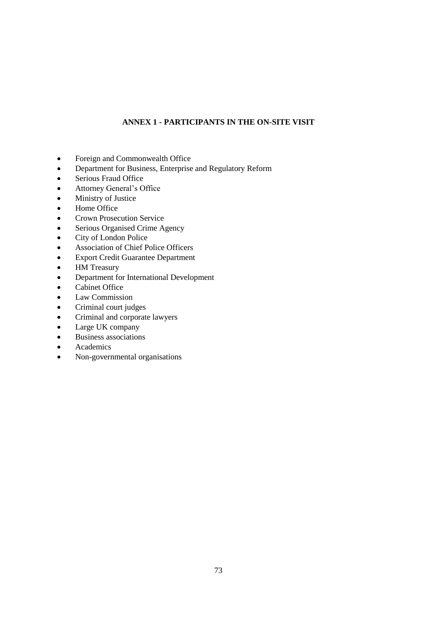# **ANNEX 1 - PARTICIPANTS IN THE ON-SITE VISIT**

- Foreign and Commonwealth Office
- Department for Business, Enterprise and Regulatory Reform
- Serious Fraud Office
- Attorney General's Office
- Ministry of Justice
- Home Office
- Crown Prosecution Service
- Serious Organised Crime Agency
- City of London Police
- Association of Chief Police Officers
- Export Credit Guarantee Department
- HM Treasury
- Department for International Development
- Cabinet Office
- Law Commission
- Criminal court judges
- Criminal and corporate lawyers
- Large UK company
- Business associations
- Academics
- Non-governmental organisations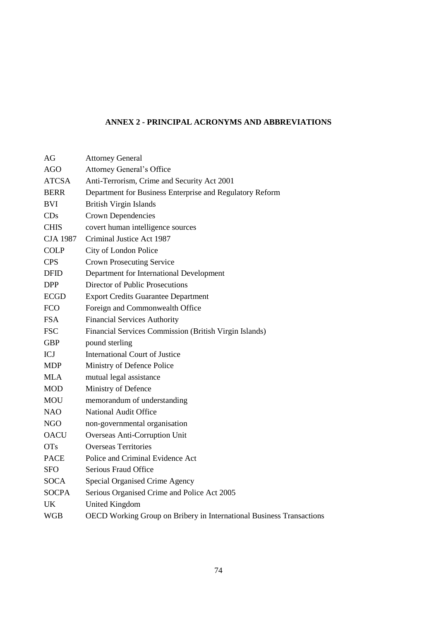# **ANNEX 2 - PRINCIPAL ACRONYMS AND ABBREVIATIONS**

| AG              | <b>Attorney General</b>                                              |
|-----------------|----------------------------------------------------------------------|
| <b>AGO</b>      | <b>Attorney General's Office</b>                                     |
| <b>ATCSA</b>    | Anti-Terrorism, Crime and Security Act 2001                          |
| <b>BERR</b>     | Department for Business Enterprise and Regulatory Reform             |
| <b>BVI</b>      | <b>British Virgin Islands</b>                                        |
| CDs             | Crown Dependencies                                                   |
| <b>CHIS</b>     | covert human intelligence sources                                    |
| <b>CJA 1987</b> | Criminal Justice Act 1987                                            |
| <b>COLP</b>     | City of London Police                                                |
| <b>CPS</b>      | <b>Crown Prosecuting Service</b>                                     |
| <b>DFID</b>     | Department for International Development                             |
| <b>DPP</b>      | Director of Public Prosecutions                                      |
| <b>ECGD</b>     | <b>Export Credits Guarantee Department</b>                           |
| <b>FCO</b>      | Foreign and Commonwealth Office                                      |
| <b>FSA</b>      | <b>Financial Services Authority</b>                                  |
| <b>FSC</b>      | Financial Services Commission (British Virgin Islands)               |
| <b>GBP</b>      | pound sterling                                                       |
| ICJ             | <b>International Court of Justice</b>                                |
| <b>MDP</b>      | Ministry of Defence Police                                           |
| <b>MLA</b>      | mutual legal assistance                                              |
| <b>MOD</b>      | Ministry of Defence                                                  |
| <b>MOU</b>      | memorandum of understanding                                          |
| <b>NAO</b>      | National Audit Office                                                |
| <b>NGO</b>      | non-governmental organisation                                        |
| <b>OACU</b>     | Overseas Anti-Corruption Unit                                        |
| <b>OTs</b>      | <b>Overseas Territories</b>                                          |
| <b>PACE</b>     | Police and Criminal Evidence Act                                     |
| SFO             | Serious Fraud Office                                                 |
| <b>SOCA</b>     | Special Organised Crime Agency                                       |
| <b>SOCPA</b>    | Serious Organised Crime and Police Act 2005                          |
| UK              | <b>United Kingdom</b>                                                |
| <b>WGB</b>      | OECD Working Group on Bribery in International Business Transactions |
|                 |                                                                      |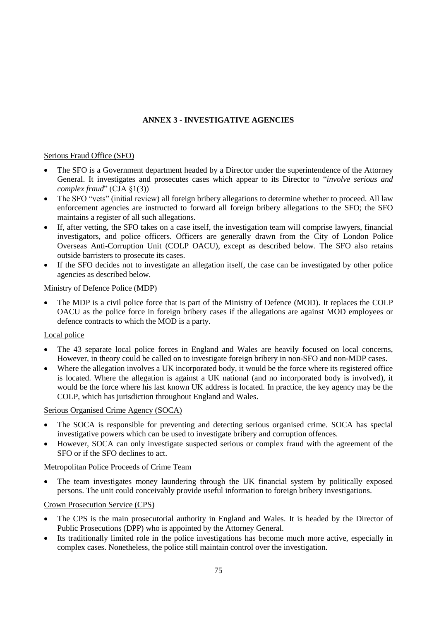# **ANNEX 3 - INVESTIGATIVE AGENCIES**

## Serious Fraud Office (SFO)

- The SFO is a Government department headed by a Director under the superintendence of the Attorney General. It investigates and prosecutes cases which appear to its Director to "*involve serious and complex fraud*" (CJA §1(3))
- The SFO "vets" (initial review) all foreign bribery allegations to determine whether to proceed. All law enforcement agencies are instructed to forward all foreign bribery allegations to the SFO; the SFO maintains a register of all such allegations.
- If, after vetting, the SFO takes on a case itself, the investigation team will comprise lawyers, financial investigators, and police officers. Officers are generally drawn from the City of London Police Overseas Anti-Corruption Unit (COLP OACU), except as described below. The SFO also retains outside barristers to prosecute its cases.
- If the SFO decides not to investigate an allegation itself, the case can be investigated by other police agencies as described below.

## Ministry of Defence Police (MDP)

• The MDP is a civil police force that is part of the Ministry of Defence (MOD). It replaces the COLP OACU as the police force in foreign bribery cases if the allegations are against MOD employees or defence contracts to which the MOD is a party.

## Local police

- The 43 separate local police forces in England and Wales are heavily focused on local concerns, However, in theory could be called on to investigate foreign bribery in non-SFO and non-MDP cases.
- Where the allegation involves a UK incorporated body, it would be the force where its registered office is located. Where the allegation is against a UK national (and no incorporated body is involved), it would be the force where his last known UK address is located. In practice, the key agency may be the COLP, which has jurisdiction throughout England and Wales.

## Serious Organised Crime Agency (SOCA)

- The SOCA is responsible for preventing and detecting serious organised crime. SOCA has special investigative powers which can be used to investigate bribery and corruption offences.
- However, SOCA can only investigate suspected serious or complex fraud with the agreement of the SFO or if the SFO declines to act.

## Metropolitan Police Proceeds of Crime Team

• The team investigates money laundering through the UK financial system by politically exposed persons. The unit could conceivably provide useful information to foreign bribery investigations.

## Crown Prosecution Service (CPS)

- The CPS is the main prosecutorial authority in England and Wales. It is headed by the Director of Public Prosecutions (DPP) who is appointed by the Attorney General.
- Its traditionally limited role in the police investigations has become much more active, especially in complex cases. Nonetheless, the police still maintain control over the investigation.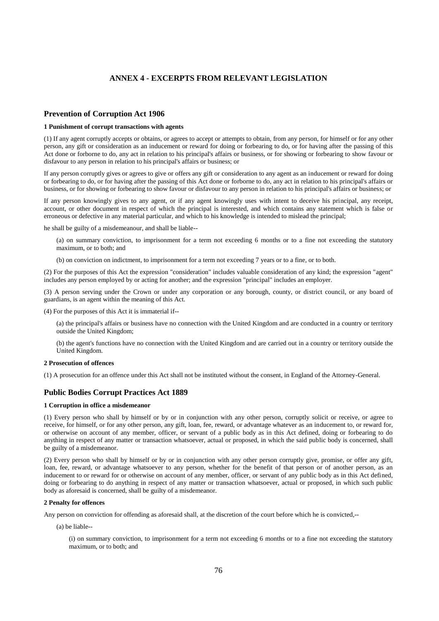### **ANNEX 4 - EXCERPTS FROM RELEVANT LEGISLATION**

### **Prevention of Corruption Act 1906**

### **1 Punishment of corrupt transactions with agents**

(1) If any agent corruptly accepts or obtains, or agrees to accept or attempts to obtain, from any person, for himself or for any other person, any gift or consideration as an inducement or reward for doing or forbearing to do, or for having after the passing of this Act done or forborne to do, any act in relation to his principal's affairs or business, or for showing or forbearing to show favour or disfavour to any person in relation to his principal's affairs or business; or

If any person corruptly gives or agrees to give or offers any gift or consideration to any agent as an inducement or reward for doing or forbearing to do, or for having after the passing of this Act done or forborne to do, any act in relation to his principal's affairs or business, or for showing or forbearing to show favour or disfavour to any person in relation to his principal's affairs or business; or

If any person knowingly gives to any agent, or if any agent knowingly uses with intent to deceive his principal, any receipt, account, or other document in respect of which the principal is interested, and which contains any statement which is false or erroneous or defective in any material particular, and which to his knowledge is intended to mislead the principal;

he shall be guilty of a misdemeanour, and shall be liable--

(a) on summary conviction, to imprisonment for a term not exceeding 6 months or to a fine not exceeding the statutory maximum, or to both; and

(b) on conviction on indictment, to imprisonment for a term not exceeding 7 years or to a fine, or to both.

(2) For the purposes of this Act the expression "consideration" includes valuable consideration of any kind; the expression "agent" includes any person employed by or acting for another; and the expression "principal" includes an employer.

(3) A person serving under the Crown or under any corporation or any borough, county, or district council, or any board of guardians, is an agent within the meaning of this Act.

(4) For the purposes of this Act it is immaterial if--

(a) the principal's affairs or business have no connection with the United Kingdom and are conducted in a country or territory outside the United Kingdom;

(b) the agent's functions have no connection with the United Kingdom and are carried out in a country or territory outside the United Kingdom.

#### **2 Prosecution of offences**

(1) A prosecution for an offence under this Act shall not be instituted without the consent, in England of the Attorney-General.

### **Public Bodies Corrupt Practices Act 1889**

### **1 Corruption in office a misdemeanor**

(1) Every person who shall by himself or by or in conjunction with any other person, corruptly solicit or receive, or agree to receive, for himself, or for any other person, any gift, loan, fee, reward, or advantage whatever as an inducement to, or reward for, or otherwise on account of any member, officer, or servant of a public body as in this Act defined, doing or forbearing to do anything in respect of any matter or transaction whatsoever, actual or proposed, in which the said public body is concerned, shall be guilty of a misdemeanor.

(2) Every person who shall by himself or by or in conjunction with any other person corruptly give, promise, or offer any gift, loan, fee, reward, or advantage whatsoever to any person, whether for the benefit of that person or of another person, as an inducement to or reward for or otherwise on account of any member, officer, or servant of any public body as in this Act defined, doing or forbearing to do anything in respect of any matter or transaction whatsoever, actual or proposed, in which such public body as aforesaid is concerned, shall be guilty of a misdemeanor.

#### **2 Penalty for offences**

Any person on conviction for offending as aforesaid shall, at the discretion of the court before which he is convicted,--

(a) be liable--

(i) on summary conviction, to imprisonment for a term not exceeding 6 months or to a fine not exceeding the statutory maximum, or to both; and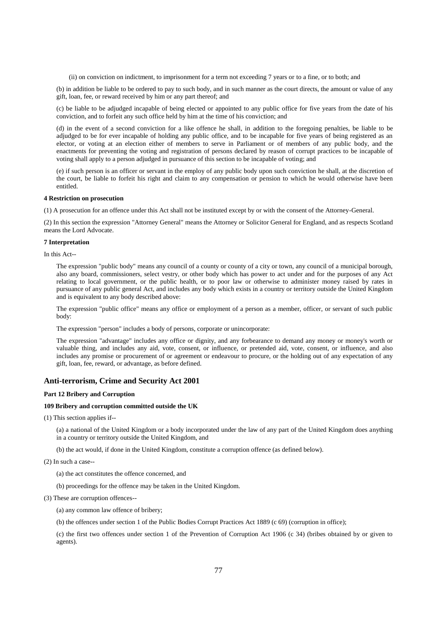(ii) on conviction on indictment, to imprisonment for a term not exceeding 7 years or to a fine, or to both; and

(b) in addition be liable to be ordered to pay to such body, and in such manner as the court directs, the amount or value of any gift, loan, fee, or reward received by him or any part thereof; and

(c) be liable to be adjudged incapable of being elected or appointed to any public office for five years from the date of his conviction, and to forfeit any such office held by him at the time of his conviction; and

(d) in the event of a second conviction for a like offence he shall, in addition to the foregoing penalties, be liable to be adjudged to be for ever incapable of holding any public office, and to be incapable for five years of being registered as an elector, or voting at an election either of members to serve in Parliament or of members of any public body, and the enactments for preventing the voting and registration of persons declared by reason of corrupt practices to be incapable of voting shall apply to a person adjudged in pursuance of this section to be incapable of voting; and

(e) if such person is an officer or servant in the employ of any public body upon such conviction he shall, at the discretion of the court, be liable to forfeit his right and claim to any compensation or pension to which he would otherwise have been entitled.

### **4 Restriction on prosecution**

(1) A prosecution for an offence under this Act shall not be instituted except by or with the consent of the Attorney-General.

(2) In this section the expression "Attorney General" means the Attorney or Solicitor General for England, and as respects Scotland means the Lord Advocate.

### **7 Interpretation**

In this Act--

The expression "public body" means any council of a county or county of a city or town, any council of a municipal borough, also any board, commissioners, select vestry, or other body which has power to act under and for the purposes of any Act relating to local government, or the public health, or to poor law or otherwise to administer money raised by rates in pursuance of any public general Act, and includes any body which exists in a country or territory outside the United Kingdom and is equivalent to any body described above:

The expression "public office" means any office or employment of a person as a member, officer, or servant of such public body:

The expression "person" includes a body of persons, corporate or unincorporate:

The expression "advantage" includes any office or dignity, and any forbearance to demand any money or money's worth or valuable thing, and includes any aid, vote, consent, or influence, or pretended aid, vote, consent, or influence, and also includes any promise or procurement of or agreement or endeavour to procure, or the holding out of any expectation of any gift, loan, fee, reward, or advantage, as before defined.

### **Anti-terrorism, Crime and Security Act 2001**

#### **Part 12 Bribery and Corruption**

#### **109 Bribery and corruption committed outside the UK**

(1) This section applies if--

(a) a national of the United Kingdom or a body incorporated under the law of any part of the United Kingdom does anything in a country or territory outside the United Kingdom, and

(b) the act would, if done in the United Kingdom, constitute a corruption offence (as defined below).

(2) In such a case--

(a) the act constitutes the offence concerned, and

(b) proceedings for the offence may be taken in the United Kingdom.

(3) These are corruption offences--

(a) any common law offence of bribery;

(b) the offences under section 1 of the Public Bodies Corrupt Practices Act 1889 (c 69) (corruption in office);

(c) the first two offences under section 1 of the Prevention of Corruption Act 1906 (c 34) (bribes obtained by or given to agents).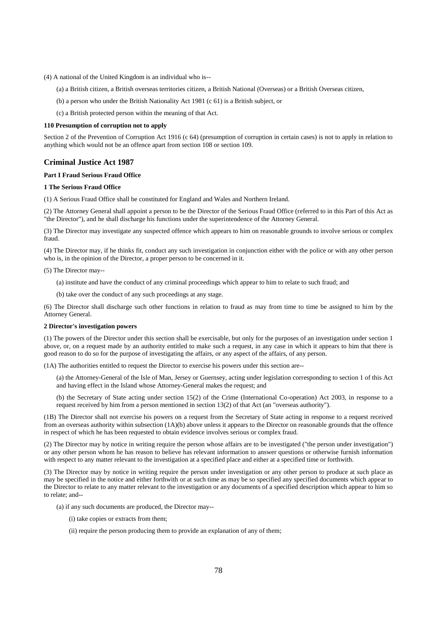- (4) A national of the United Kingdom is an individual who is--
	- (a) a British citizen, a British overseas territories citizen, a British National (Overseas) or a British Overseas citizen,
	- (b) a person who under the British Nationality Act 1981 (c 61) is a British subject, or
	- (c) a British protected person within the meaning of that Act.

#### **110 Presumption of corruption not to apply**

Section 2 of the Prevention of Corruption Act 1916 (c 64) (presumption of corruption in certain cases) is not to apply in relation to anything which would not be an offence apart from section 108 or section 109.

### **Criminal Justice Act 1987**

### **Part I Fraud Serious Fraud Office**

#### **1 The Serious Fraud Office**

(1) A Serious Fraud Office shall be constituted for England and Wales and Northern Ireland.

(2) The Attorney General shall appoint a person to be the Director of the Serious Fraud Office (referred to in this Part of this Act as "the Director"), and he shall discharge his functions under the superintendence of the Attorney General.

(3) The Director may investigate any suspected offence which appears to him on reasonable grounds to involve serious or complex fraud.

(4) The Director may, if he thinks fit, conduct any such investigation in conjunction either with the police or with any other person who is, in the opinion of the Director, a proper person to be concerned in it.

(5) The Director may--

- (a) institute and have the conduct of any criminal proceedings which appear to him to relate to such fraud; and
- (b) take over the conduct of any such proceedings at any stage.

(6) The Director shall discharge such other functions in relation to fraud as may from time to time be assigned to him by the Attorney General.

#### **2 Director's investigation powers**

(1) The powers of the Director under this section shall be exercisable, but only for the purposes of an investigation under section 1 above, or, on a request made by an authority entitled to make such a request, in any case in which it appears to him that there is good reason to do so for the purpose of investigating the affairs, or any aspect of the affairs, of any person.

(1A) The authorities entitled to request the Director to exercise his powers under this section are--

(a) the Attorney-General of the Isle of Man, Jersey or Guernsey, acting under legislation corresponding to section 1 of this Act and having effect in the Island whose Attorney-General makes the request; and

(b) the Secretary of State acting under section 15(2) of the Crime (International Co-operation) Act 2003, in response to a request received by him from a person mentioned in section 13(2) of that Act (an "overseas authority").

(1B) The Director shall not exercise his powers on a request from the Secretary of State acting in response to a request received from an overseas authority within subsection (1A)(b) above unless it appears to the Director on reasonable grounds that the offence in respect of which he has been requested to obtain evidence involves serious or complex fraud.

(2) The Director may by notice in writing require the person whose affairs are to be investigated ("the person under investigation") or any other person whom he has reason to believe has relevant information to answer questions or otherwise furnish information with respect to any matter relevant to the investigation at a specified place and either at a specified time or forthwith.

(3) The Director may by notice in writing require the person under investigation or any other person to produce at such place as may be specified in the notice and either forthwith or at such time as may be so specified any specified documents which appear to the Director to relate to any matter relevant to the investigation or any documents of a specified description which appear to him so to relate; and--

- (a) if any such documents are produced, the Director may--
	- (i) take copies or extracts from them;
	- (ii) require the person producing them to provide an explanation of any of them;